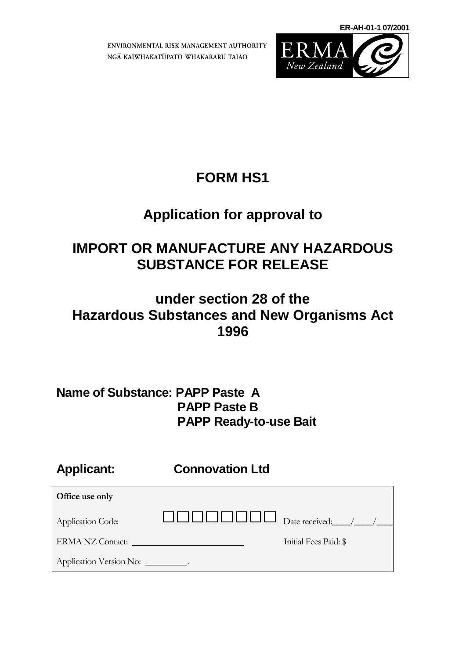**ER-AH-01-1 07/2001**

ENVIRONMENTAL RISK MANAGEMENT AUTHORITY NGĀ KAIWHAKATŪPATO WHAKARARU TAIAO



### **FORM HS1**

## **Application for approval to**

### **IMPORT OR MANUFACTURE ANY HAZARDOUS SUBSTANCE FOR RELEASE**

### **under section 28 of the Hazardous Substances and New Organisms Act 1996**

### **Name of Substance: PAPP Paste A PAPP Paste B PAPP Ready-to-use Bait**

**Applicant: Connovation Ltd**

| Office use only          |                      |                       |
|--------------------------|----------------------|-----------------------|
| <b>Application Code:</b> | JI JI JI JI JI JI JI | $\Box$ Date received: |
| ERMA NZ Contact:         |                      | Initial Fees Paid: \$ |
| Application Version No:  |                      |                       |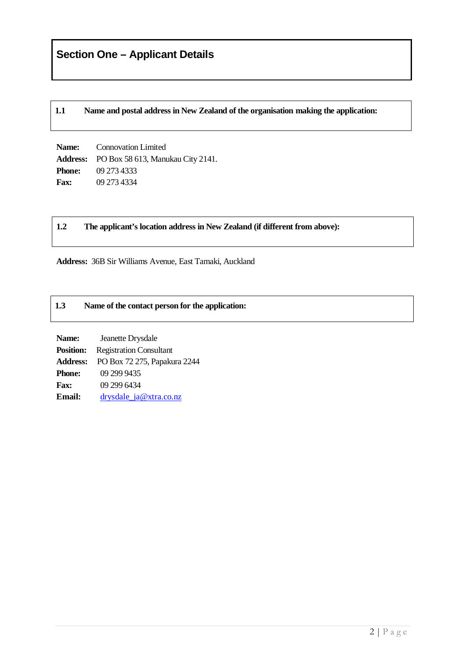**1.1 Name and postal address in New Zealand of the organisation making the application:**

**Name:** Connovation Limited **Address:** PO Box 58 613, Manukau City 2141. **Phone:** 09 273 4333 **Fax:** 09 273 4334

#### **1.2 The applicant's location address in New Zealand (if different from above):**

**Address:** 36B Sir Williams Avenue, East Tamaki, Auckland

#### **1.3 Name of the contact person for the application:**

**Name:** Jeanette Drysdale **Position:** Registration Consultant **Address:** PO Box 72 275, Papakura 2244 **Phone:** 09 299 9435 **Fax:** 09 299 6434 Email: [drysdale\\_ja@xtra.co.nz](mailto:drysdale_ja@xtra.co.nz)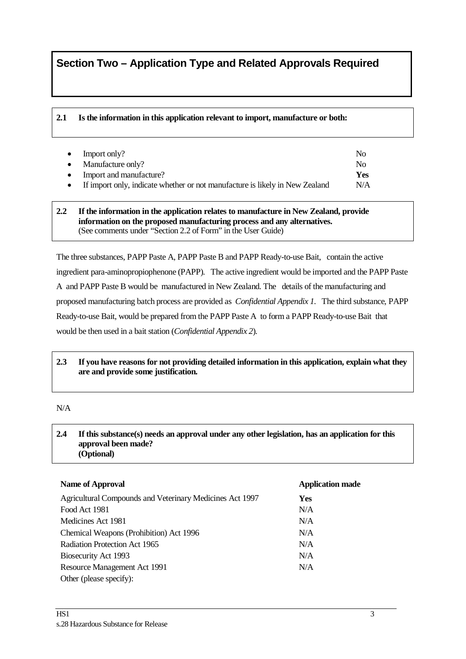### **Section Two – Application Type and Related Approvals Required**

#### **2.1 Is the information in this application relevant to import, manufacture or both:**

| $\bullet$ | Import only?                                                                 | Nο  |
|-----------|------------------------------------------------------------------------------|-----|
|           | Manufacture only?                                                            | Nο  |
|           | Import and manufacture?                                                      | Yes |
|           | If import only, indicate whether or not manufacture is likely in New Zealand | N/A |

#### **2.2 If the information in the application relates to manufacture in New Zealand, provide information on the proposed manufacturing process and any alternatives.** (See comments under "Section 2.2 of Form" in the User Guide)

The three substances, PAPP Paste A, PAPP Paste B and PAPP Ready-to-use Bait, contain the active ingredient para-aminopropiophenone (PAPP). The active ingredient would be imported and the PAPP Paste A and PAPP Paste B would be manufactured in New Zealand. The details of the manufacturing and proposed manufacturing batch process are provided as *Confidential Appendix 1*. The third substance, PAPP Ready-to-use Bait, would be prepared from the PAPP Paste A to form a PAPP Ready-to-use Bait that would be then used in a bait station (*Confidential Appendix 2*).

#### **2.3 If you have reasons for not providing detailed information in this application, explain what they are and provide some justification.**

#### N/A

#### **2.4 If this substance(s) needs an approval under any other legislation, has an application for this approval been made? (Optional)**

| <b>Name of Approval</b>                                  | <b>Application made</b> |
|----------------------------------------------------------|-------------------------|
| Agricultural Compounds and Veterinary Medicines Act 1997 | <b>Yes</b>              |
| Food Act 1981                                            | N/A                     |
| Medicines Act 1981                                       | N/A                     |
| Chemical Weapons (Prohibition) Act 1996                  | N/A                     |
| Radiation Protection Act 1965                            | N/A                     |
| Biosecurity Act 1993                                     | N/A                     |
| Resource Management Act 1991                             | N/A                     |
| Other (please specify):                                  |                         |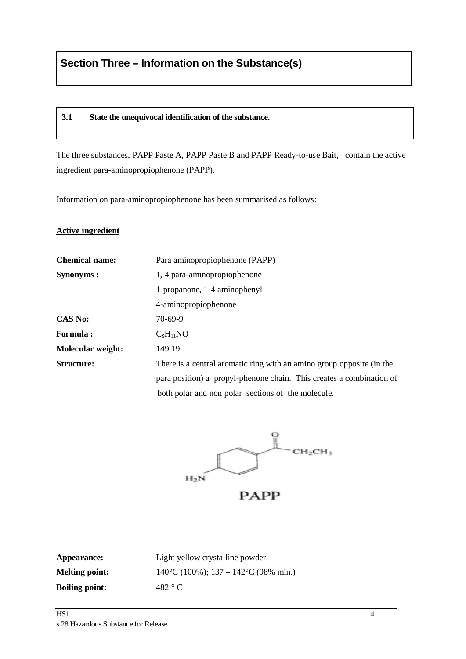#### **3.1 State the unequivocal identification of the substance.**

The three substances, PAPP Paste A, PAPP Paste B and PAPP Ready-to-use Bait, contain the active ingredient para-aminopropiophenone (PAPP).

Information on para-aminopropiophenone has been summarised as follows:

#### **Active ingredient**

| <b>Chemical name:</b>    | Para aminopropiophenone (PAPP)                                        |
|--------------------------|-----------------------------------------------------------------------|
| Synonyms:                | 1, 4 para-aminopropiophenone                                          |
|                          | 1-propanone, 1-4 aminophenyl                                          |
|                          | 4-aminopropiophenone                                                  |
| <b>CAS No:</b>           | 70-69-9                                                               |
| <b>Formula:</b>          | $C_9H_{11}NO$                                                         |
| <b>Molecular weight:</b> | 149.19                                                                |
| Structure:               | There is a central aromatic ring with an amino group opposite (in the |
|                          | para position) a propyl-phenone chain. This creates a combination of  |
|                          | both polar and non polar sections of the molecule.                    |



| Appearance:           | Light ye          |
|-----------------------|-------------------|
| <b>Melting point:</b> | $140^{\circ}$ C ( |
| <b>Boiling point:</b> | 482 °C            |

**Allow crystalline powder**  $(100\%)$ ; 137 – 142<sup>o</sup>C (98% min.)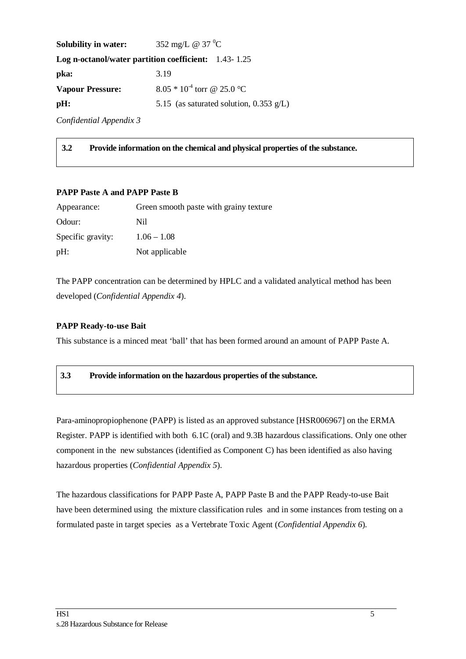| <b>Solubility in water:</b> | 352 mg/L @ 37 $^0C$                                  |
|-----------------------------|------------------------------------------------------|
|                             | Log n-octanol/water partition coefficient: 1.43-1.25 |
| pka:                        | 3.19                                                 |
| <b>Vapour Pressure:</b>     | $8.05 * 10^{-4}$ torr @ 25.0 °C                      |
| pH:                         | 5.15 (as saturated solution, 0.353 $g/L$ )           |
|                             |                                                      |

*Confidential Appendix 3*

**3.2 Provide information on the chemical and physical properties of the substance.**

#### **PAPP Paste A and PAPP Paste B**

| Appearance:       | Green smooth paste with grainy texture |
|-------------------|----------------------------------------|
| Odour:            | Nil                                    |
| Specific gravity: | $1.06 - 1.08$                          |
| pH:               | Not applicable                         |

The PAPP concentration can be determined by HPLC and a validated analytical method has been developed (*Confidential Appendix 4*).

#### **PAPP Ready-to-use Bait**

This substance is a minced meat 'ball' that has been formed around an amount of PAPP Paste A.

#### **3.3 Provide information on the hazardous properties of the substance.**

Para-aminopropiophenone (PAPP) is listed as an approved substance [HSR006967] on the ERMA Register. PAPP is identified with both 6.1C (oral) and 9.3B hazardous classifications. Only one other component in the new substances (identified as Component C) has been identified as also having hazardous properties (*Confidential Appendix 5*).

The hazardous classifications for PAPP Paste A, PAPP Paste B and the PAPP Ready-to-use Bait have been determined using the mixture classification rules and in some instances from testing on a formulated paste in target species as a Vertebrate Toxic Agent (*Confidential Appendix 6*).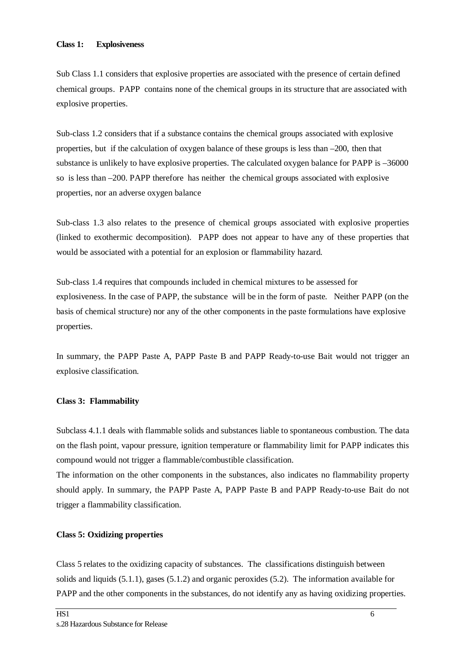#### **Class 1: Explosiveness**

Sub Class 1.1 considers that explosive properties are associated with the presence of certain defined chemical groups. PAPP contains none of the chemical groups in its structure that are associated with explosive properties.

Sub-class 1.2 considers that if a substance contains the chemical groups associated with explosive properties, but if the calculation of oxygen balance of these groups is less than –200, then that substance is unlikely to have explosive properties. The calculated oxygen balance for PAPP is  $-36000$ so is less than –200. PAPP therefore has neither the chemical groups associated with explosive properties, nor an adverse oxygen balance

Sub-class 1.3 also relates to the presence of chemical groups associated with explosive properties (linked to exothermic decomposition). PAPP does not appear to have any of these properties that would be associated with a potential for an explosion or flammability hazard.

Sub-class 1.4 requires that compounds included in chemical mixtures to be assessed for explosiveness. In the case of PAPP, the substance will be in the form of paste. Neither PAPP (on the basis of chemical structure) nor any of the other components in the paste formulations have explosive properties.

In summary, the PAPP Paste A, PAPP Paste B and PAPP Ready-to-use Bait would not trigger an explosive classification.

#### **Class 3: Flammability**

Subclass 4.1.1 deals with flammable solids and substances liable to spontaneous combustion. The data on the flash point, vapour pressure, ignition temperature or flammability limit for PAPP indicates this compound would not trigger a flammable/combustible classification.

The information on the other components in the substances, also indicates no flammability property should apply. In summary, the PAPP Paste A, PAPP Paste B and PAPP Ready-to-use Bait do not trigger a flammability classification.

#### **Class 5: Oxidizing properties**

Class 5 relates to the oxidizing capacity of substances. The classifications distinguish between solids and liquids (5.1.1), gases (5.1.2) and organic peroxides (5.2). The information available for PAPP and the other components in the substances, do not identify any as having oxidizing properties.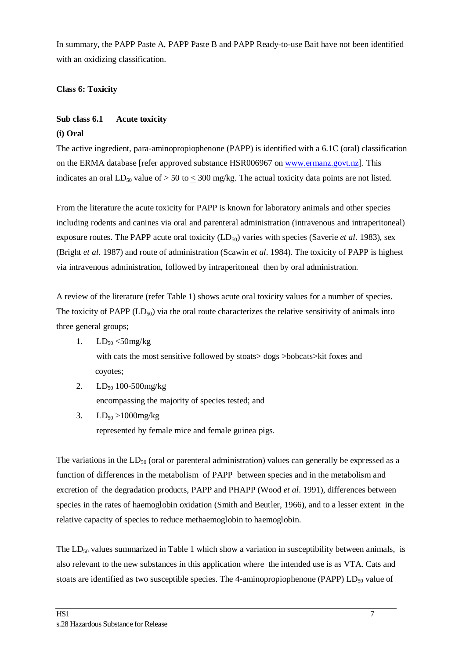In summary, the PAPP Paste A, PAPP Paste B and PAPP Ready-to-use Bait have not been identified with an oxidizing classification.

#### **Class 6: Toxicity**

### **Sub class 6.1 Acute toxicity**

#### **(i) Oral**

The active ingredient, para-aminopropiophenone (PAPP) is identified with a 6.1C (oral) classification on the ERMA database [refer approved substance HSR006967 on [www.ermanz.govt.nz\]](http://www.ermanz.govt.nz/). This indicates an oral LD<sub>50</sub> value of  $> 50$  to  $\leq 300$  mg/kg. The actual toxicity data points are not listed.

From the literature the acute toxicity for PAPP is known for laboratory animals and other species including rodents and canines via oral and parenteral administration (intravenous and intraperitoneal) exposure routes. The PAPP acute oral toxicity (LD<sub>50</sub>) varies with species (Saverie *et al.* 1983), sex (Bright *et al*. 1987) and route of administration (Scawin *et al*. 1984). The toxicity of PAPP is highest via intravenous administration, followed by intraperitoneal then by oral administration.

A review of the literature (refer Table 1) shows acute oral toxicity values for a number of species. The toxicity of PAPP  $(LD_{50})$  via the oral route characterizes the relative sensitivity of animals into three general groups;

1.  $LD_{50} < 50$  mg/kg

with cats the most sensitive followed by stoats> dogs >bobcats>kit foxes and coyotes;

- 2.  $LD_{50}$  100-500mg/kg encompassing the majority of species tested; and
- 3.  $LD_{50} > 1000$ mg/kg represented by female mice and female guinea pigs.

The variations in the  $LD_{50}$  (oral or parenteral administration) values can generally be expressed as a function of differences in the metabolism of PAPP between species and in the metabolism and excretion of the degradation products, PAPP and PHAPP (Wood *et al*. 1991), differences between species in the rates of haemoglobin oxidation (Smith and Beutler, 1966), and to a lesser extent in the relative capacity of species to reduce methaemoglobin to haemoglobin.

The  $LD_{50}$  values summarized in Table 1 which show a variation in susceptibility between animals, is also relevant to the new substances in this application where the intended use is as VTA. Cats and stoats are identified as two susceptible species. The 4-aminopropiophenone (PAPP)  $LD_{50}$  value of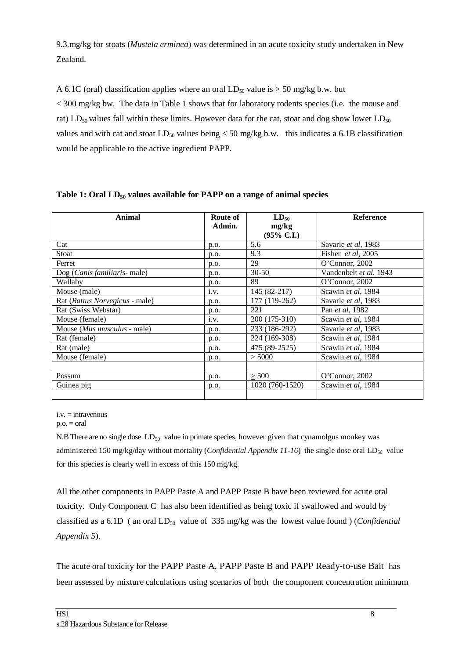9.3.mg/kg for stoats (*Mustela erminea*) was determined in an acute toxicity study undertaken in New Zealand.

A 6.1C (oral) classification applies where an oral  $LD_{50}$  value is  $\geq$  50 mg/kg b.w. but < 300 mg/kg bw. The data in Table 1 shows that for laboratory rodents species (i.e. the mouse and rat) LD<sub>50</sub> values fall within these limits. However data for the cat, stoat and dog show lower LD<sub>50</sub> values and with cat and stoat  $LD_{50}$  values being  $<$  50 mg/kg b.w. this indicates a 6.1B classification would be applicable to the active ingredient PAPP.

| <b>Animal</b>                       | Route of<br>Admin. | $LD_{50}$<br>mg/kg<br>$(95\% \text{ C.I.})$ | <b>Reference</b>        |
|-------------------------------------|--------------------|---------------------------------------------|-------------------------|
| Cat                                 | p.o.               | 5.6                                         | Savarie et al, 1983     |
| Stoat                               | p.o.               | 9.3                                         | Fisher et al, 2005      |
| Ferret                              | p.o.               | 29                                          | O'Connor, 2002          |
| Dog (Canis familiaris- male)        | p.o.               | $30 - 50$                                   | Vandenbelt et al. 1943  |
| Wallaby                             | p.o.               | 89                                          | O'Connor, 2002          |
| Mouse (male)                        | i.v.               | 145 (82-217)                                | Scawin et al, 1984      |
| Rat (Rattus Norvegicus - male)      | p.o.               | 177 (119-262)                               | Savarie et al, 1983     |
| Rat (Swiss Webstar)                 | p.o.               | 221                                         | Pan <i>et al</i> , 1982 |
| Mouse (female)                      | i.v.               | 200 (175-310)                               | Scawin et al, 1984      |
| Mouse ( <i>Mus musculus</i> - male) | p.o.               | 233 (186-292)                               | Savarie et al, 1983     |
| Rat (female)                        | p.o.               | 224 (169-308)                               | Scawin et al, 1984      |
| Rat (male)                          | p.o.               | 475 (89-2525)                               | Scawin et al, 1984      |
| Mouse (female)                      | p.o.               | > 5000                                      | Scawin et al, 1984      |
|                                     |                    |                                             |                         |
| Possum                              | p.o.               | > 500                                       | O'Connor, $2002$        |
| Guinea pig                          | p.o.               | 1020 (760-1520)                             | Scawin et al, 1984      |
|                                     |                    |                                             |                         |

**Table 1: Oral LD50 values available for PAPP on a range of animal species**

 $i.v. =$  intravenous

 $p.o. = oral$ 

N.B There are no single dose  $LD_{50}$  value in primate species, however given that cynamolgus monkey was administered 150 mg/kg/day without mortality (*Confidential Appendix 11-16*) the single dose oral LD<sub>50</sub> value for this species is clearly well in excess of this 150 mg/kg.

All the other components in PAPP Paste A and PAPP Paste B have been reviewed for acute oral toxicity. Only Component C has also been identified as being toxic if swallowed and would by classified as a 6.1D (an oral LD<sub>50</sub> value of 335 mg/kg was the lowest value found ) (*Confidential Appendix 5*).

The acute oral toxicity for the PAPP Paste A, PAPP Paste B and PAPP Ready-to-use Bait has been assessed by mixture calculations using scenarios of both the component concentration minimum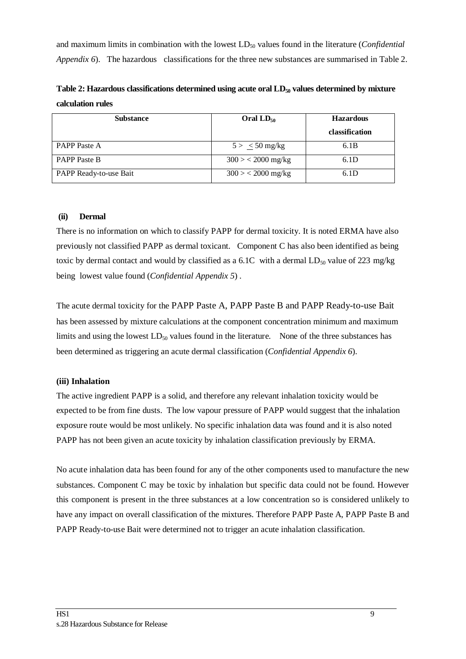and maximum limits in combination with the lowest LD<sub>50</sub> values found in the literature (*Confidential Appendix 6*). The hazardous classifications for the three new substances are summarised in Table 2.

Table 2: Hazardous classifications determined using acute oral LD<sub>50</sub> values determined by mixture **calculation rules** 

| <b>Substance</b>       | Oral $LD_{50}$      | <b>Hazardous</b> |  |
|------------------------|---------------------|------------------|--|
|                        |                     | classification   |  |
| <b>PAPP</b> Paste A    | $5 > \leq 50$ mg/kg | 6.1B             |  |
| <b>PAPP</b> Paste B    | $300 > 2000$ mg/kg  | 6.1D             |  |
| PAPP Ready-to-use Bait | $300 > 2000$ mg/kg  | 6.1D             |  |

#### **(ii) Dermal**

There is no information on which to classify PAPP for dermal toxicity. It is noted ERMA have also previously not classified PAPP as dermal toxicant. Component C has also been identified as being toxic by dermal contact and would by classified as a  $6.1C$  with a dermal  $LD_{50}$  value of 223 mg/kg being lowest value found (*Confidential Appendix 5*) .

The acute dermal toxicity for the PAPP Paste A, PAPP Paste B and PAPP Ready-to-use Bait has been assessed by mixture calculations at the component concentration minimum and maximum limits and using the lowest  $LD_{50}$  values found in the literature. None of the three substances has been determined as triggering an acute dermal classification (*Confidential Appendix 6*).

#### **(iii) Inhalation**

The active ingredient PAPP is a solid, and therefore any relevant inhalation toxicity would be expected to be from fine dusts. The low vapour pressure of PAPP would suggest that the inhalation exposure route would be most unlikely. No specific inhalation data was found and it is also noted PAPP has not been given an acute toxicity by inhalation classification previously by ERMA.

No acute inhalation data has been found for any of the other components used to manufacture the new substances. Component C may be toxic by inhalation but specific data could not be found. However this component is present in the three substances at a low concentration so is considered unlikely to have any impact on overall classification of the mixtures. Therefore PAPP Paste A, PAPP Paste B and PAPP Ready-to-use Bait were determined not to trigger an acute inhalation classification.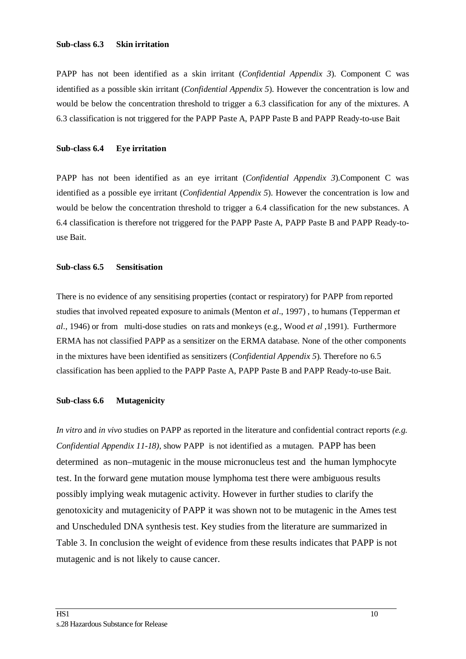#### **Sub-class 6.3 Skin irritation**

PAPP has not been identified as a skin irritant (*Confidential Appendix 3*). Component C was identified as a possible skin irritant (*Confidential Appendix 5*). However the concentration is low and would be below the concentration threshold to trigger a 6.3 classification for any of the mixtures. A 6.3 classification is not triggered for the PAPP Paste A, PAPP Paste B and PAPP Ready-to-use Bait

#### **Sub-class 6.4 Eye irritation**

PAPP has not been identified as an eye irritant (*Confidential Appendix 3*).Component C was identified as a possible eye irritant (*Confidential Appendix 5*). However the concentration is low and would be below the concentration threshold to trigger a 6.4 classification for the new substances. A 6.4 classification is therefore not triggered for the PAPP Paste A, PAPP Paste B and PAPP Ready-touse Bait.

#### **Sub-class 6.5 Sensitisation**

There is no evidence of any sensitising properties (contact or respiratory) for PAPP from reported studies that involved repeated exposure to animals (Menton *et al*., 1997) , to humans (Tepperman *et al*., 1946) or from multi-dose studies on rats and monkeys (e.g., Wood *et al* ,1991). Furthermore ERMA has not classified PAPP as a sensitizer on the ERMA database. None of the other components in the mixtures have been identified as sensitizers (*Confidential Appendix 5*). Therefore no 6.5 classification has been applied to the PAPP Paste A, PAPP Paste B and PAPP Ready-to-use Bait.

#### **Sub-class 6.6 Mutagenicity**

*In vitro* and *in vivo* studies on PAPP as reported in the literature and confidential contract reports *(e.g. Confidential Appendix 11-18)*, show PAPP is not identified as a mutagen. PAPP has been determined as non–mutagenic in the mouse micronucleus test and the human lymphocyte test. In the forward gene mutation mouse lymphoma test there were ambiguous results possibly implying weak mutagenic activity. However in further studies to clarify the genotoxicity and mutagenicity of PAPP it was shown not to be mutagenic in the Ames test and Unscheduled DNA synthesis test. Key studies from the literature are summarized in Table 3. In conclusion the weight of evidence from these results indicates that PAPP is not mutagenic and is not likely to cause cancer.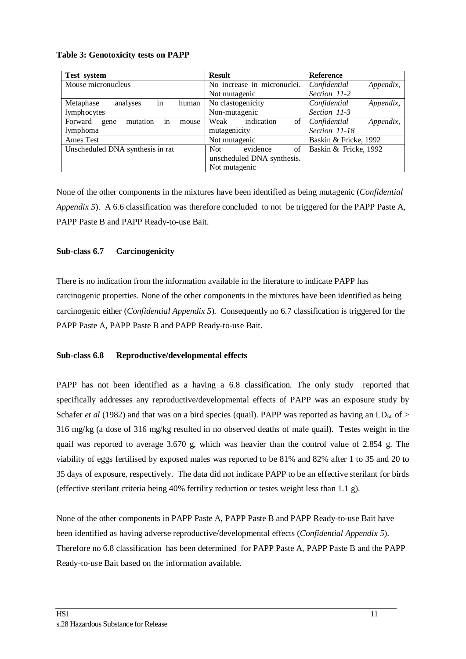| Test system                                | <b>Result</b>               | Reference                 |
|--------------------------------------------|-----------------------------|---------------------------|
| Mouse micronucleus                         | No increase in micronuclei. | Confidential<br>Appendix, |
|                                            | Not mutagenic               | Section 11-2              |
| in<br>Metaphase<br>analyses<br>human       | No clastogenicity           | Confidential<br>Appendix, |
| lymphocytes                                | Non-mutagenic               | Section 11-3              |
| in<br>mutation<br>Forward<br>gene<br>mouse | indication<br>of<br>Weak    | Confidential<br>Appendix, |
| lymphoma                                   | mutagenicity                | Section 11-18             |
| Ames Test<br>Not mutagenic                 |                             | Baskin & Fricke, 1992     |
| Unscheduled DNA synthesis in rat           | evidence<br>of<br>Not.      | Baskin & Fricke, 1992     |
|                                            | unscheduled DNA synthesis.  |                           |
|                                            | Not mutagenic               |                           |

#### **Table 3: Genotoxicity tests on PAPP**

None of the other components in the mixtures have been identified as being mutagenic (*Confidential Appendix 5*). A 6.6 classification was therefore concluded to not be triggered for the PAPP Paste A, PAPP Paste B and PAPP Ready-to-use Bait.

#### **Sub-class 6.7 Carcinogenicity**

There is no indication from the information available in the literature to indicate PAPP has carcinogenic properties. None of the other components in the mixtures have been identified as being carcinogenic either (*Confidential Appendix 5*). Consequently no 6.7 classification is triggered for the PAPP Paste A, PAPP Paste B and PAPP Ready-to-use Bait.

#### **Sub-class 6.8 Reproductive/developmental effects**

PAPP has not been identified as a having a 6.8 classification. The only study reported that specifically addresses any reproductive/developmental effects of PAPP was an exposure study by Schafer *et al* (1982) and that was on a bird species (quail). PAPP was reported as having an LD<sub>50</sub> of > 316 mg/kg (a dose of 316 mg/kg resulted in no observed deaths of male quail). Testes weight in the quail was reported to average 3.670 g, which was heavier than the control value of 2.854 g. The viability of eggs fertilised by exposed males was reported to be 81% and 82% after 1 to 35 and 20 to 35 days of exposure, respectively. The data did not indicate PAPP to be an effective sterilant for birds (effective sterilant criteria being 40% fertility reduction or testes weight less than 1.1 g).

None of the other components in PAPP Paste A, PAPP Paste B and PAPP Ready-to-use Bait have been identified as having adverse reproductive/developmental effects (*Confidential Appendix 5*). Therefore no 6.8 classification has been determined for PAPP Paste A, PAPP Paste B and the PAPP Ready-to-use Bait based on the information available.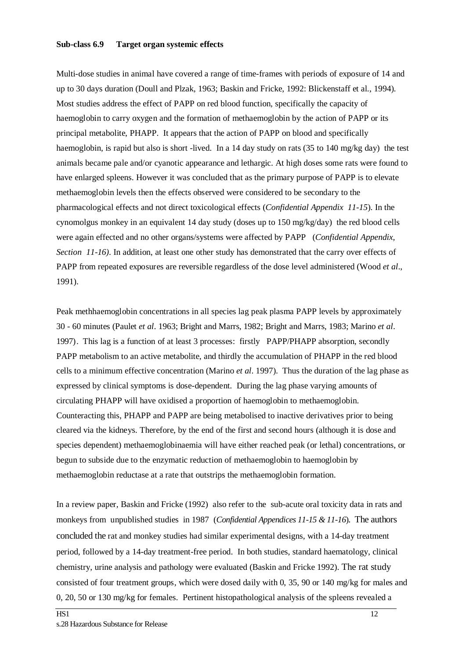#### **Sub-class 6.9 Target organ systemic effects**

Multi-dose studies in animal have covered a range of time-frames with periods of exposure of 14 and up to 30 days duration (Doull and Plzak, 1963; Baskin and Fricke, 1992: Blickenstaff et al., 1994). Most studies address the effect of PAPP on red blood function, specifically the capacity of haemoglobin to carry oxygen and the formation of methaemoglobin by the action of PAPP or its principal metabolite, PHAPP. It appears that the action of PAPP on blood and specifically haemoglobin, is rapid but also is short -lived. In a 14 day study on rats (35 to 140 mg/kg day) the test animals became pale and/or cyanotic appearance and lethargic. At high doses some rats were found to have enlarged spleens. However it was concluded that as the primary purpose of PAPP is to elevate methaemoglobin levels then the effects observed were considered to be secondary to the pharmacological effects and not direct toxicological effects (*Confidential Appendix 11-15*). In the cynomolgus monkey in an equivalent 14 day study (doses up to 150 mg/kg/day) the red blood cells were again effected and no other organs/systems were affected by PAPP (*Confidential Appendix, Section 11-16)*. In addition, at least one other study has demonstrated that the carry over effects of PAPP from repeated exposures are reversible regardless of the dose level administered (Wood *et al*., 1991).

Peak methhaemoglobin concentrations in all species lag peak plasma PAPP levels by approximately 30 - 60 minutes (Paulet *et al*. 1963; Bright and Marrs, 1982; Bright and Marrs, 1983; Marino *et al*. 1997). This lag is a function of at least 3 processes: firstly PAPP/PHAPP absorption, secondly PAPP metabolism to an active metabolite, and thirdly the accumulation of PHAPP in the red blood cells to a minimum effective concentration (Marino *et al*. 1997). Thus the duration of the lag phase as expressed by clinical symptoms is dose-dependent. During the lag phase varying amounts of circulating PHAPP will have oxidised a proportion of haemoglobin to methaemoglobin. Counteracting this, PHAPP and PAPP are being metabolised to inactive derivatives prior to being cleared via the kidneys. Therefore, by the end of the first and second hours (although it is dose and species dependent) methaemoglobinaemia will have either reached peak (or lethal) concentrations, or begun to subside due to the enzymatic reduction of methaemoglobin to haemoglobin by methaemoglobin reductase at a rate that outstrips the methaemoglobin formation.

In a review paper, Baskin and Fricke (1992) also refer to the sub-acute oral toxicity data in rats and monkeys from unpublished studies in 1987 (*Confidential Appendices 11-15 & 11-16*). The authors concluded the rat and monkey studies had similar experimental designs, with a 14-day treatment period, followed by a 14-day treatment-free period. In both studies, standard haematology, clinical chemistry, urine analysis and pathology were evaluated (Baskin and Fricke 1992). The rat study consisted of four treatment groups, which were dosed daily with 0, 35, 90 or 140 mg/kg for males and 0, 20, 50 or 130 mg/kg for females. Pertinent histopathological analysis of the spleens revealed a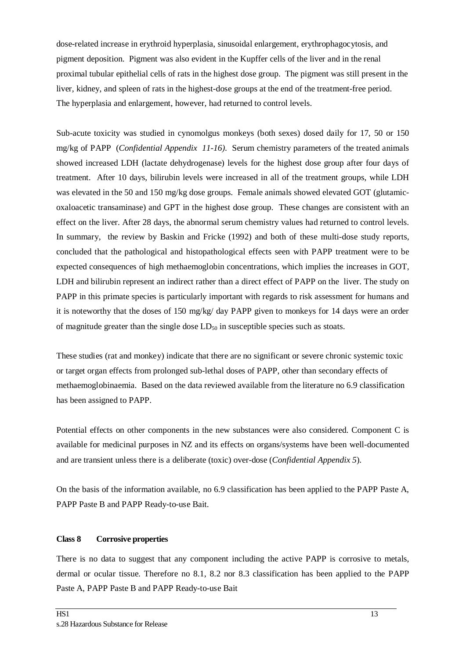dose-related increase in erythroid hyperplasia, sinusoidal enlargement, erythrophagocytosis, and pigment deposition. Pigment was also evident in the Kupffer cells of the liver and in the renal proximal tubular epithelial cells of rats in the highest dose group. The pigment was still present in the liver, kidney, and spleen of rats in the highest-dose groups at the end of the treatment-free period. The hyperplasia and enlargement, however, had returned to control levels.

Sub-acute toxicity was studied in cynomolgus monkeys (both sexes) dosed daily for 17, 50 or 150 mg/kg of PAPP (*Confidential Appendix 11-16)*. Serum chemistry parameters of the treated animals showed increased LDH (lactate dehydrogenase) levels for the highest dose group after four days of treatment. After 10 days, bilirubin levels were increased in all of the treatment groups, while LDH was elevated in the 50 and 150 mg/kg dose groups. Female animals showed elevated GOT (glutamicoxaloacetic transaminase) and GPT in the highest dose group. These changes are consistent with an effect on the liver. After 28 days, the abnormal serum chemistry values had returned to control levels. In summary, the review by Baskin and Fricke (1992) and both of these multi-dose study reports, concluded that the pathological and histopathological effects seen with PAPP treatment were to be expected consequences of high methaemoglobin concentrations, which implies the increases in GOT, LDH and bilirubin represent an indirect rather than a direct effect of PAPP on the liver. The study on PAPP in this primate species is particularly important with regards to risk assessment for humans and it is noteworthy that the doses of 150 mg/kg/ day PAPP given to monkeys for 14 days were an order of magnitude greater than the single dose  $LD_{50}$  in susceptible species such as stoats.

These studies (rat and monkey) indicate that there are no significant or severe chronic systemic toxic or target organ effects from prolonged sub-lethal doses of PAPP, other than secondary effects of methaemoglobinaemia. Based on the data reviewed available from the literature no 6.9 classification has been assigned to PAPP.

Potential effects on other components in the new substances were also considered. Component C is available for medicinal purposes in NZ and its effects on organs/systems have been well-documented and are transient unless there is a deliberate (toxic) over-dose (*Confidential Appendix 5*).

On the basis of the information available, no 6.9 classification has been applied to the PAPP Paste A, PAPP Paste B and PAPP Ready-to-use Bait.

#### **Class 8 Corrosive properties**

There is no data to suggest that any component including the active PAPP is corrosive to metals, dermal or ocular tissue. Therefore no 8.1, 8.2 nor 8.3 classification has been applied to the PAPP Paste A, PAPP Paste B and PAPP Ready-to-use Bait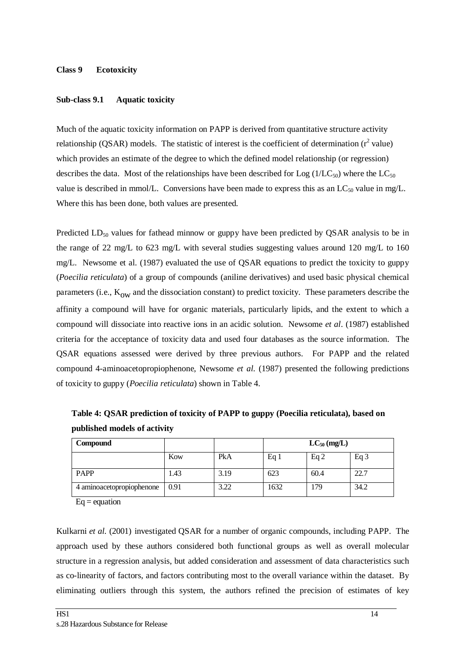#### **Class 9 Ecotoxicity**

#### **Sub-class 9.1 Aquatic toxicity**

Much of the aquatic toxicity information on PAPP is derived from quantitative structure activity relationship (QSAR) models. The statistic of interest is the coefficient of determination  $(r^2 \text{ value})$ which provides an estimate of the degree to which the defined model relationship (or regression) describes the data. Most of the relationships have been described for Log  $(1/LC_{50})$  where the LC<sub>50</sub> value is described in mmol/L. Conversions have been made to express this as an  $LC_{50}$  value in mg/L. Where this has been done, both values are presented.

Predicted  $LD_{50}$  values for fathead minnow or guppy have been predicted by QSAR analysis to be in the range of 22 mg/L to 623 mg/L with several studies suggesting values around 120 mg/L to 160 mg/L. Newsome et al. (1987) evaluated the use of QSAR equations to predict the toxicity to guppy (*Poecilia reticulata*) of a group of compounds (aniline derivatives) and used basic physical chemical parameters (i.e.,  $K_{\text{ow}}$  and the dissociation constant) to predict toxicity. These parameters describe the affinity a compound will have for organic materials, particularly lipids, and the extent to which a compound will dissociate into reactive ions in an acidic solution. Newsome *et al*. (1987) established criteria for the acceptance of toxicity data and used four databases as the source information. The QSAR equations assessed were derived by three previous authors. For PAPP and the related compound 4-aminoacetopropiophenone, Newsome *et al.* (1987) presented the following predictions of toxicity to guppy (*Poecilia reticulata*) shown in Table 4.

**Compound**  $LC_{50}$   $(mg/L)$ Kow PkA Eq 1 Eq 2 Eq 3

PAPP 1.43 3.19 623 60.4 22.7 4 aminoacetopropiophenone 0.91 3.22 1632 179 34.2

 **Table 4: QSAR prediction of toxicity of PAPP to guppy (Poecilia reticulata), based on published models of activity** 

 $Eq = equation$ 

Kulkarni *et al.* (2001) investigated QSAR for a number of organic compounds, including PAPP. The approach used by these authors considered both functional groups as well as overall molecular structure in a regression analysis, but added consideration and assessment of data characteristics such as co-linearity of factors, and factors contributing most to the overall variance within the dataset. By eliminating outliers through this system, the authors refined the precision of estimates of key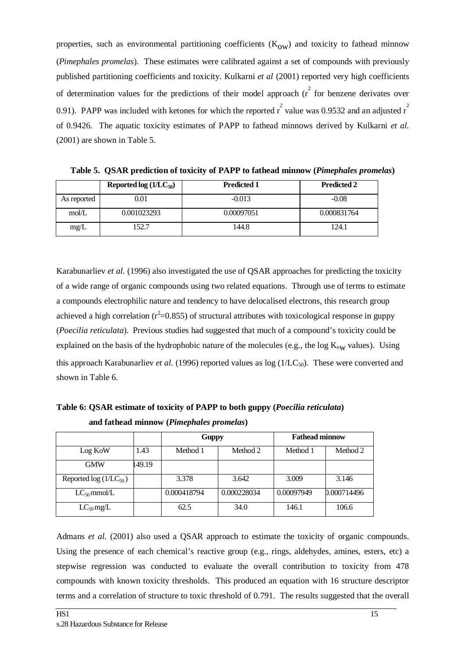properties, such as environmental partitioning coefficients  $(K<sub>ow</sub>)$  and toxicity to fathead minnow (*Pimephales promelas*). These estimates were calibrated against a set of compounds with previously published partitioning coefficients and toxicity. Kulkarni *et al* (2001) reported very high coefficients of determination values for the predictions of their model approach  $(\hat{r})^2$  for benzene derivates over 0.91). PAPP was included with ketones for which the reported  $r^2$  value was 0.9532 and an adjusted  $r^2$ of 0.9426. The aquatic toxicity estimates of PAPP to fathead minnows derived by Kulkarni *et al.* (2001) are shown in Table 5.

|             | Reported $log (1/LC_{50})$ | <b>Predicted 1</b> | <b>Predicted 2</b> |
|-------------|----------------------------|--------------------|--------------------|
| As reported | 0.01                       | $-0.013$           | $-0.08$            |
| mol/L       | 0.001023293                | 0.00097051         | 0.000831764        |
| mg/L        | 52.7                       | 144.8              | 124.1              |

**Table 5. QSAR prediction of toxicity of PAPP to fathead minnow (***Pimephales promelas***)**

Karabunarliev *et al.* (1996) also investigated the use of QSAR approaches for predicting the toxicity of a wide range of organic compounds using two related equations. Through use of terms to estimate a compounds electrophilic nature and tendency to have delocalised electrons, this research group achieved a high correlation ( $r^2$ =0.855) of structural attributes with toxicological response in guppy (*Poecilia reticulata*). Previous studies had suggested that much of a compound's toxicity could be explained on the basis of the hydrophobic nature of the molecules (e.g., the log  $K_{ow}$  values). Using this approach Karabunarliev *et al.* (1996) reported values as  $log(1/LC_{50})$ . These were converted and shown in Table 6.

**Table 6: QSAR estimate of toxicity of PAPP to both guppy (***Poecilia reticulata***) and fathead minnow (***Pimephales promelas***)**

|                           |       | <b>Guppy</b> |             | <b>Fathead minnow</b> |             |
|---------------------------|-------|--------------|-------------|-----------------------|-------------|
| Log KoW                   | 1.43  | Method 1     | Method 2    | Method 1              | Method 2    |
| <b>GMW</b>                | 49.19 |              |             |                       |             |
| Reported $log(1/LC_{50})$ |       | 3.378        | 3.642       | 3.009                 | 3.146       |
| $LC_{50}$ mmol/L          |       | 0.000418794  | 0.000228034 | 0.00097949            | 0.000714496 |
| $LC_{50}$ mg/L            |       | 62.5         | 34.0        | 146.1                 | 106.6       |

Admans *et al.* (2001) also used a QSAR approach to estimate the toxicity of organic compounds. Using the presence of each chemical's reactive group (e.g., rings, aldehydes, amines, esters, etc) a stepwise regression was conducted to evaluate the overall contribution to toxicity from 478 compounds with known toxicity thresholds. This produced an equation with 16 structure descriptor terms and a correlation of structure to toxic threshold of 0.791. The results suggested that the overall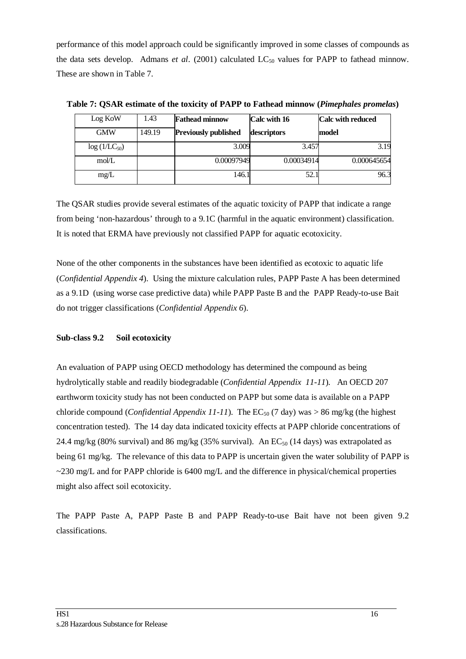performance of this model approach could be significantly improved in some classes of compounds as the data sets develop. Admans *et al.* (2001) calculated LC<sub>50</sub> values for PAPP to fathead minnow. These are shown in Table 7.

| Log KoW          | 1.43   | <b>Fathead minnow</b>       | Calc with 16 | <b>Calc with reduced</b> |
|------------------|--------|-----------------------------|--------------|--------------------------|
| <b>GMW</b>       | 149.19 | <b>Previously published</b> | descriptors  | model                    |
| $log(1/LC_{50})$ |        | 3.009                       | 3.457        | 3.19                     |
| mol/L            |        | 0.00097949                  | 0.00034914   | 0.000645654              |
| mg/L             |        | 146.1                       | 52.1         | 96.3                     |

**Table 7: QSAR estimate of the toxicity of PAPP to Fathead minnow (***Pimephales promelas***)**

The QSAR studies provide several estimates of the aquatic toxicity of PAPP that indicate a range from being 'non-hazardous' through to a 9.1C (harmful in the aquatic environment) classification. It is noted that ERMA have previously not classified PAPP for aquatic ecotoxicity.

None of the other components in the substances have been identified as ecotoxic to aquatic life (*Confidential Appendix 4*). Using the mixture calculation rules, PAPP Paste A has been determined as a 9.1D (using worse case predictive data) while PAPP Paste B and the PAPP Ready-to-use Bait do not trigger classifications (*Confidential Appendix 6*).

#### **Sub-class 9.2 Soil ecotoxicity**

An evaluation of PAPP using OECD methodology has determined the compound as being hydrolytically stable and readily biodegradable (*Confidential Appendix 11-11*). An OECD 207 earthworm toxicity study has not been conducted on PAPP but some data is available on a PAPP chloride compound (*Confidential Appendix 11-11*). The  $EC_{50}$  (7 day) was > 86 mg/kg (the highest concentration tested). The 14 day data indicated toxicity effects at PAPP chloride concentrations of 24.4 mg/kg (80% survival) and 86 mg/kg (35% survival). An  $EC_{50}$  (14 days) was extrapolated as being 61 mg/kg. The relevance of this data to PAPP is uncertain given the water solubility of PAPP is  $\sim$ 230 mg/L and for PAPP chloride is 6400 mg/L and the difference in physical/chemical properties might also affect soil ecotoxicity.

The PAPP Paste A, PAPP Paste B and PAPP Ready-to-use Bait have not been given 9.2 classifications.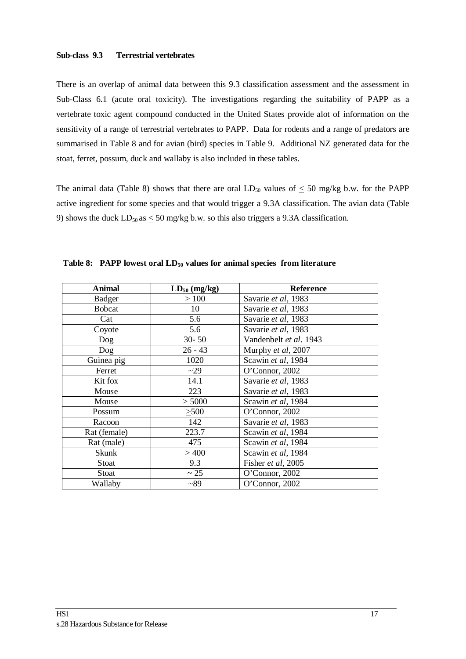#### **Sub-class 9.3 Terrestrial vertebrates**

There is an overlap of animal data between this 9.3 classification assessment and the assessment in Sub-Class 6.1 (acute oral toxicity). The investigations regarding the suitability of PAPP as a vertebrate toxic agent compound conducted in the United States provide alot of information on the sensitivity of a range of terrestrial vertebrates to PAPP. Data for rodents and a range of predators are summarised in Table 8 and for avian (bird) species in Table 9. Additional NZ generated data for the stoat, ferret, possum, duck and wallaby is also included in these tables.

The animal data (Table 8) shows that there are oral  $LD_{50}$  values of  $\leq 50$  mg/kg b.w. for the PAPP active ingredient for some species and that would trigger a 9.3A classification. The avian data (Table 9) shows the duck  $LD_{50}$  as  $\leq 50$  mg/kg b.w. so this also triggers a 9.3A classification.

| <b>Animal</b> | $LD_{50}$ (mg/kg) | <b>Reference</b>       |
|---------------|-------------------|------------------------|
| <b>Badger</b> | >100              | Savarie et al, 1983    |
| <b>Bobcat</b> | 10                | Savarie et al, 1983    |
| Cat           | 5.6               | Savarie et al, 1983    |
| Coyote        | 5.6               | Savarie et al, 1983    |
| Dog           | $30 - 50$         | Vandenbelt et al. 1943 |
| Dog           | $26 - 43$         | Murphy et al, 2007     |
| Guinea pig    | 1020              | Scawin et al, 1984     |
| Ferret        | ~29               | O'Connor, 2002         |
| Kit fox       | 14.1              | Savarie et al, 1983    |
| Mouse         | 223               | Savarie et al, 1983    |
| Mouse         | > 5000            | Scawin et al, 1984     |
| Possum        | >500              | O'Connor, 2002         |
| Racoon        | 142               | Savarie et al, 1983    |
| Rat (female)  | 223.7             | Scawin et al, 1984     |
| Rat (male)    | 475               | Scawin et al, 1984     |
| Skunk         | >400              | Scawin et al, 1984     |
| Stoat         | 9.3               | Fisher et al, 2005     |
| Stoat         | $\sim$ 25         | O'Connor, 2002         |
| Wallaby       | ~289              | O'Connor, 2002         |

Table 8: PAPP lowest oral  $LD_{50}$  values for animal species from literature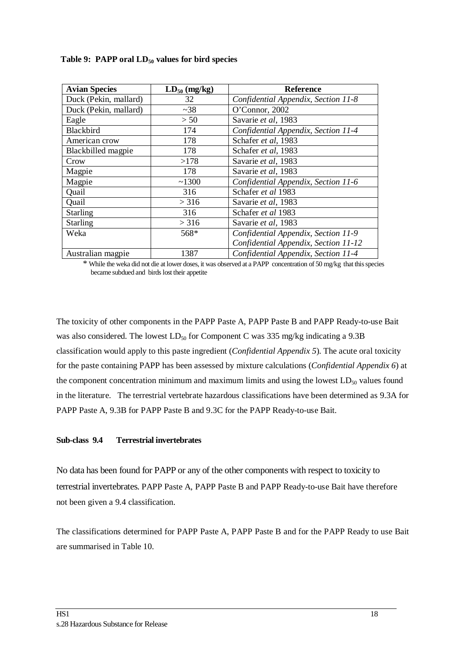| <b>Avian Species</b>  | $LD_{50}$ (mg/kg) | <b>Reference</b>                     |
|-----------------------|-------------------|--------------------------------------|
| Duck (Pekin, mallard) | 32                | Confidential Appendix, Section 11-8  |
| Duck (Pekin, mallard) | ~238              | O'Connor, 2002                       |
| Eagle                 | > 50              | Savarie et al, 1983                  |
| Blackbird             | 174               | Confidential Appendix, Section 11-4  |
| American crow         | 178               | Schafer et al, 1983                  |
| Blackbilled magpie    | 178               | Schafer et al, 1983                  |
| Crow                  | >178              | Savarie et al, 1983                  |
| Magpie                | 178               | Savarie et al, 1983                  |
| Magpie                | ~1300             | Confidential Appendix, Section 11-6  |
| Quail                 | 316               | Schafer et al 1983                   |
| Quail                 | > 316             | Savarie et al, 1983                  |
| <b>Starling</b>       | 316               | Schafer et al 1983                   |
| <b>Starling</b>       | > 316             | Savarie et al, 1983                  |
| Weka                  | 568*              | Confidential Appendix, Section 11-9  |
|                       |                   | Confidential Appendix, Section 11-12 |
| Australian magpie     | 1387              | Confidential Appendix, Section 11-4  |

Table 9: PAPP oral  $LD_{50}$  values for bird species

\* While the weka did not die at lower doses, it was observed at a PAPP concentration of 50 mg/kg that this species became subdued and birds lost their appetite

The toxicity of other components in the PAPP Paste A, PAPP Paste B and PAPP Ready-to-use Bait was also considered. The lowest  $LD_{50}$  for Component C was 335 mg/kg indicating a 9.3B classification would apply to this paste ingredient (*Confidential Appendix 5*). The acute oral toxicity for the paste containing PAPP has been assessed by mixture calculations (*Confidential Appendix 6*) at the component concentration minimum and maximum limits and using the lowest  $LD_{50}$  values found in the literature. The terrestrial vertebrate hazardous classifications have been determined as 9.3A for PAPP Paste A, 9.3B for PAPP Paste B and 9.3C for the PAPP Ready-to-use Bait.

#### **Sub-class 9.4 Terrestrial invertebrates**

No data has been found for PAPP or any of the other components with respect to toxicity to terrestrial invertebrates. PAPP Paste A, PAPP Paste B and PAPP Ready-to-use Bait have therefore not been given a 9.4 classification.

The classifications determined for PAPP Paste A, PAPP Paste B and for the PAPP Ready to use Bait are summarised in Table 10.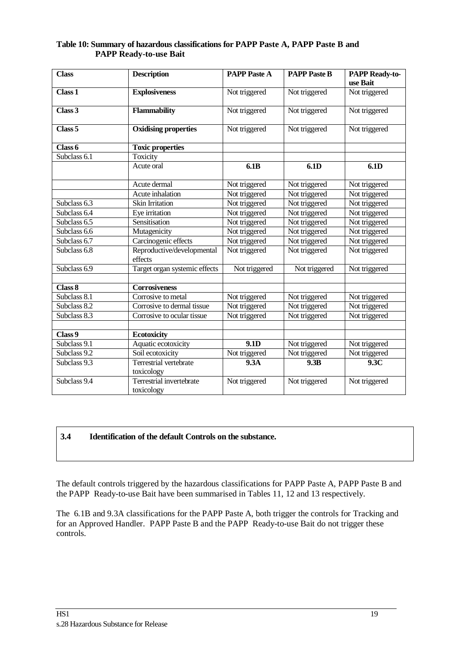| Table 10: Summary of hazardous classifications for PAPP Paste A, PAPP Paste B and |  |  |  |
|-----------------------------------------------------------------------------------|--|--|--|
| <b>PAPP Ready-to-use Bait</b>                                                     |  |  |  |

| <b>Class</b>       | <b>Description</b>                     | <b>PAPP Paste A</b> | <b>PAPP Paste B</b> | <b>PAPP Ready-to-</b><br>use Bait |
|--------------------|----------------------------------------|---------------------|---------------------|-----------------------------------|
| Class <sub>1</sub> | <b>Explosiveness</b>                   | Not triggered       | Not triggered       | Not triggered                     |
| Class 3            | <b>Flammability</b>                    | Not triggered       | Not triggered       | Not triggered                     |
| Class <sub>5</sub> | <b>Oxidising properties</b>            | Not triggered       | Not triggered       | Not triggered                     |
| Class 6            | <b>Toxic properties</b>                |                     |                     |                                   |
| Subclass 6.1       | Toxicity                               |                     |                     |                                   |
|                    | Acute oral                             | 6.1B                | 6.1D                | 6.1D                              |
|                    | Acute dermal                           | Not triggered       | Not triggered       | Not triggered                     |
|                    | Acute inhalation                       | Not triggered       | Not triggered       | Not triggered                     |
| Subclass 6.3       | Skin Irritation                        | Not triggered       | Not triggered       | Not triggered                     |
| Subclass 6.4       | Eye irritation                         | Not triggered       | Not triggered       | Not triggered                     |
| Subclass 6.5       | Sensitisation                          | Not triggered       | Not triggered       | Not triggered                     |
| Subclass 6.6       | Mutagenicity                           | Not triggered       | Not triggered       | Not triggered                     |
| Subclass 6.7       | Carcinogenic effects                   | Not triggered       | Not triggered       | Not triggered                     |
| Subclass 6.8       | Reproductive/developmental<br>effects  | Not triggered       | Not triggered       | Not triggered                     |
| Subclass 6.9       | Target organ systemic effects          | Not triggered       | Not triggered       | Not triggered                     |
|                    |                                        |                     |                     |                                   |
| Class 8            | <b>Corrosiveness</b>                   |                     |                     |                                   |
| Subclass 8.1       | Corrosive to metal                     | Not triggered       | Not triggered       | Not triggered                     |
| Subclass 8.2       | Corrosive to dermal tissue             | Not triggered       | Not triggered       | Not triggered                     |
| Subclass 8.3       | Corrosive to ocular tissue             | Not triggered       | Not triggered       | Not triggered                     |
|                    |                                        |                     |                     |                                   |
| Class 9            | <b>Ecotoxicity</b>                     |                     |                     |                                   |
| Subclass 9.1       | Aquatic ecotoxicity                    | 9.1D                | Not triggered       | Not triggered                     |
| Subclass 9.2       | Soil ecotoxicity                       | Not triggered       | Not triggered       | Not triggered                     |
| Subclass 9.3       | Terrestrial vertebrate<br>toxicology   | 9.3A                | 9.3B                | 9.3C                              |
| Subclass 9.4       | Terrestrial invertebrate<br>toxicology | Not triggered       | Not triggered       | Not triggered                     |

#### **3.4 Identification of the default Controls on the substance.**

The default controls triggered by the hazardous classifications for PAPP Paste A, PAPP Paste B and the PAPP Ready-to-use Bait have been summarised in Tables 11, 12 and 13 respectively.

The 6.1B and 9.3A classifications for the PAPP Paste A, both trigger the controls for Tracking and for an Approved Handler. PAPP Paste B and the PAPP Ready-to-use Bait do not trigger these controls.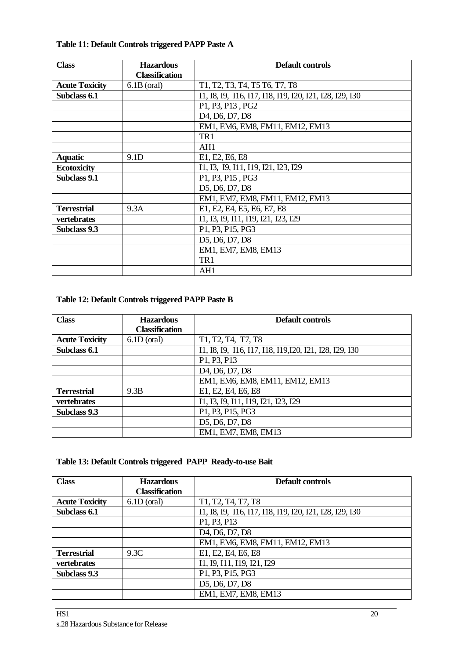| <b>Class</b>          | <b>Hazardous</b>      | Default controls                                                  |
|-----------------------|-----------------------|-------------------------------------------------------------------|
|                       | <b>Classification</b> |                                                                   |
| <b>Acute Toxicity</b> | $6.1B$ (oral)         | T1, T2, T3, T4, T5 T6, T7, T8                                     |
| Subclass 6.1          |                       | I1, I8, I9, I16, I17, I18, I19, I20, I21, I28, I29, I30           |
|                       |                       | P1, P3, P13, PG2                                                  |
|                       |                       | D <sub>4</sub> , D <sub>6</sub> , D <sub>7</sub> , D <sub>8</sub> |
|                       |                       | EM1, EM6, EM8, EM11, EM12, EM13                                   |
|                       |                       | TR1                                                               |
|                       |                       | AH1                                                               |
| <b>Aquatic</b>        | 9.1D                  | E1, E2, E6, E8                                                    |
| <b>Ecotoxicity</b>    |                       | I1, I3, I9, I11, I19, I21, I23, I29                               |
| Subclass 9.1          |                       | P1, P3, P15, PG3                                                  |
|                       |                       | D5, D6, D7, D8                                                    |
|                       |                       | EM1, EM7, EM8, EM11, EM12, EM13                                   |
| <b>Terrestrial</b>    | 9.3A                  | E1, E2, E4, E5, E6, E7, E8                                        |
| vertebrates           |                       | 11, 13, 19, 111, 119, 121, 123, 129                               |
| Subclass 9.3          |                       | P1, P3, P15, PG3                                                  |
|                       |                       | D5, D6, D7, D8                                                    |
|                       |                       | EM1, EM7, EM8, EM13                                               |
|                       |                       | TR1                                                               |
|                       |                       | AH1                                                               |

#### **Table 11: Default Controls triggered PAPP Paste A**

#### **Table 12: Default Controls triggered PAPP Paste B**

| <b>Class</b>          | <b>Hazardous</b>      | <b>Default controls</b>                                           |
|-----------------------|-----------------------|-------------------------------------------------------------------|
|                       | <b>Classification</b> |                                                                   |
| <b>Acute Toxicity</b> | $6.1D$ (oral)         | T1, T2, T4, T7, T8                                                |
| Subclass 6.1          |                       | 11, 18, 19, 116, 117, 118, 119, 120, 121, 128, 129, 130           |
|                       |                       | P1, P3, P13                                                       |
|                       |                       | D <sub>4</sub> , D <sub>6</sub> , D <sub>7</sub> , D <sub>8</sub> |
|                       |                       | EM1, EM6, EM8, EM11, EM12, EM13                                   |
| <b>Terrestrial</b>    | 9.3B                  | E1, E2, E4, E6, E8                                                |
| vertebrates           |                       | 11, 13, 19, 111, 119, 121, 123, 129                               |
| Subclass 9.3          |                       | P1, P3, P15, PG3                                                  |
|                       |                       | D5, D6, D7, D8                                                    |
|                       |                       | EM1, EM7, EM8, EM13                                               |

#### **Table 13: Default Controls triggered PAPP Ready-to-use Bait**

| <b>Class</b>          | <b>Hazardous</b>      | <b>Default controls</b>                                           |
|-----------------------|-----------------------|-------------------------------------------------------------------|
|                       | <b>Classification</b> |                                                                   |
| <b>Acute Toxicity</b> | $6.1D$ (oral)         | T1, T2, T4, T7, T8                                                |
| Subclass 6.1          |                       | I1, I8, I9, I16, I17, I18, I19, I20, I21, I28, I29, I30           |
|                       |                       | P1, P3, P13                                                       |
|                       |                       | D <sub>4</sub> , D <sub>6</sub> , D <sub>7</sub> , D <sub>8</sub> |
|                       |                       | EM1, EM6, EM8, EM11, EM12, EM13                                   |
| <b>Terrestrial</b>    | 9.3C                  | E1, E2, E4, E6, E8                                                |
| vertebrates           |                       | 11, 19, 111, 119, 121, 129                                        |
| Subclass 9.3          |                       | P1, P3, P15, PG3                                                  |
|                       |                       | D5, D6, D7, D8                                                    |
|                       |                       | EM1, EM7, EM8, EM13                                               |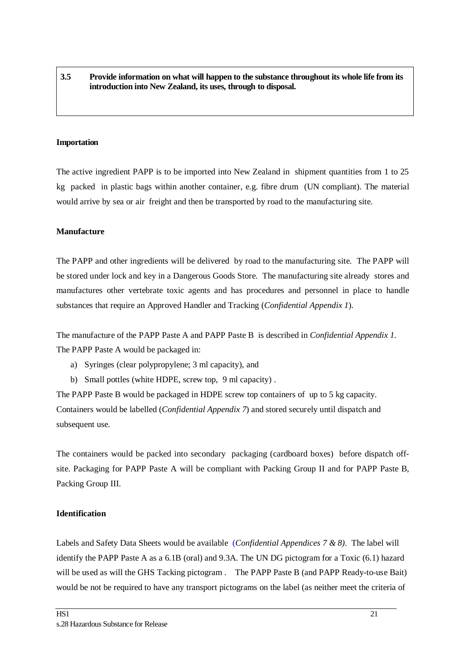#### **3.5 Provide information on what will happen to the substance throughout its whole life from its introduction into New Zealand, its uses, through to disposal.**

#### **Importation**

The active ingredient PAPP is to be imported into New Zealand in shipment quantities from 1 to 25 kg packed in plastic bags within another container, e.g. fibre drum (UN compliant). The material would arrive by sea or air freight and then be transported by road to the manufacturing site.

#### **Manufacture**

The PAPP and other ingredients will be delivered by road to the manufacturing site. The PAPP will be stored under lock and key in a Dangerous Goods Store. The manufacturing site already stores and manufactures other vertebrate toxic agents and has procedures and personnel in place to handle substances that require an Approved Handler and Tracking (*Confidential Appendix 1*).

The manufacture of the PAPP Paste A and PAPP Paste B is described in *Confidential Appendix 1*. The PAPP Paste A would be packaged in:

- a) Syringes (clear polypropylene; 3 ml capacity), and
- b) Small pottles (white HDPE, screw top, 9 ml capacity) .

The PAPP Paste B would be packaged in HDPE screw top containers of up to 5 kg capacity. Containers would be labelled (*Confidential Appendix 7*) and stored securely until dispatch and subsequent use.

The containers would be packed into secondary packaging (cardboard boxes) before dispatch offsite. Packaging for PAPP Paste A will be compliant with Packing Group II and for PAPP Paste B, Packing Group III.

#### **Identification**

Labels and Safety Data Sheets would be available (*Confidential Appendices 7 & 8).* The label will identify the PAPP Paste A as a 6.1B (oral) and 9.3A. The UN DG pictogram for a Toxic (6.1) hazard will be used as will the GHS Tacking pictogram . The PAPP Paste B (and PAPP Ready-to-use Bait) would be not be required to have any transport pictograms on the label (as neither meet the criteria of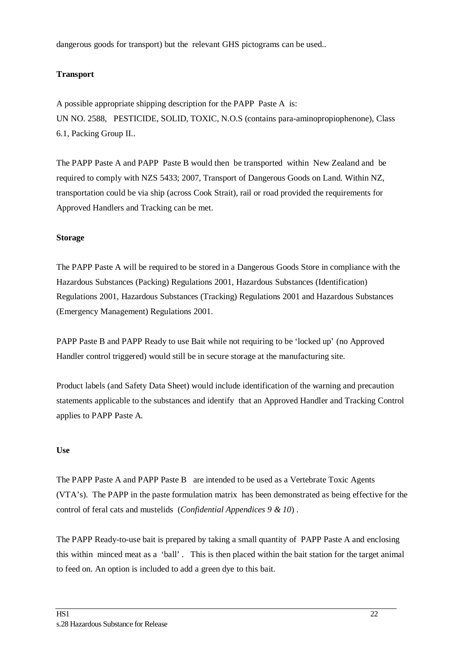dangerous goods for transport) but the relevant GHS pictograms can be used..

#### **Transport**

A possible appropriate shipping description for the PAPP Paste A is: UN NO. 2588, PESTICIDE, SOLID, TOXIC, N.O.S (contains para-aminopropiophenone), Class 6.1, Packing Group II..

The PAPP Paste A and PAPP Paste B would then be transported within New Zealand and be required to comply with NZS 5433; 2007, Transport of Dangerous Goods on Land. Within NZ, transportation could be via ship (across Cook Strait), rail or road provided the requirements for Approved Handlers and Tracking can be met.

#### **Storage**

The PAPP Paste A will be required to be stored in a Dangerous Goods Store in compliance with the Hazardous Substances (Packing) Regulations 2001, Hazardous Substances (Identification) Regulations 2001, Hazardous Substances (Tracking) Regulations 2001 and Hazardous Substances (Emergency Management) Regulations 2001.

PAPP Paste B and PAPP Ready to use Bait while not requiring to be 'locked up' (no Approved Handler control triggered) would still be in secure storage at the manufacturing site.

Product labels (and Safety Data Sheet) would include identification of the warning and precaution statements applicable to the substances and identify that an Approved Handler and Tracking Control applies to PAPP Paste A.

#### **Use**

The PAPP Paste A and PAPP Paste B are intended to be used as a Vertebrate Toxic Agents (VTA's). The PAPP in the paste formulation matrix has been demonstrated as being effective for the control of feral cats and mustelids (*Confidential Appendices 9 & 10*) .

The PAPP Ready-to-use bait is prepared by taking a small quantity of PAPP Paste A and enclosing this within minced meat as a 'ball' . This is then placed within the bait station for the target animal to feed on. An option is included to add a green dye to this bait.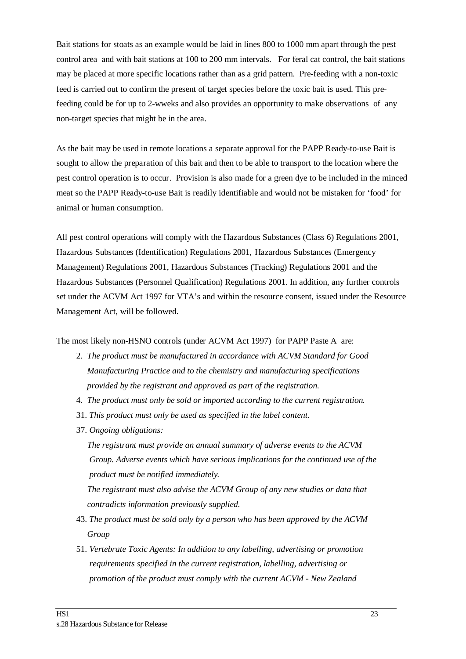Bait stations for stoats as an example would be laid in lines 800 to 1000 mm apart through the pest control area and with bait stations at 100 to 200 mm intervals. For feral cat control, the bait stations may be placed at more specific locations rather than as a grid pattern. Pre-feeding with a non-toxic feed is carried out to confirm the present of target species before the toxic bait is used. This prefeeding could be for up to 2-wweks and also provides an opportunity to make observations of any non-target species that might be in the area.

As the bait may be used in remote locations a separate approval for the PAPP Ready-to-use Bait is sought to allow the preparation of this bait and then to be able to transport to the location where the pest control operation is to occur. Provision is also made for a green dye to be included in the minced meat so the PAPP Ready-to-use Bait is readily identifiable and would not be mistaken for 'food' for animal or human consumption.

All pest control operations will comply with the Hazardous Substances (Class 6) Regulations 2001, Hazardous Substances (Identification) Regulations 2001, Hazardous Substances (Emergency Management) Regulations 2001, Hazardous Substances (Tracking) Regulations 2001 and the Hazardous Substances (Personnel Qualification) Regulations 2001. In addition, any further controls set under the ACVM Act 1997 for VTA's and within the resource consent, issued under the Resource Management Act, will be followed.

#### The most likely non-HSNO controls (under ACVM Act 1997) for PAPP Paste A are:

- 2. *The product must be manufactured in accordance with ACVM Standard for Good Manufacturing Practice and to the chemistry and manufacturing specifications provided by the registrant and approved as part of the registration.*
- 4. *The product must only be sold or imported according to the current registration.*
- 31. *This product must only be used as specified in the label content.*
- 37. *Ongoing obligations:*

 *The registrant must provide an annual summary of adverse events to the ACVM Group. Adverse events which have serious implications for the continued use of the product must be notified immediately.* 

 *The registrant must also advise the ACVM Group of any new studies or data that contradicts information previously supplied.*

- 43. *The product must be sold only by a person who has been approved by the ACVM Group*
- 51. *Vertebrate Toxic Agents: In addition to any labelling, advertising or promotion requirements specified in the current registration, labelling, advertising or promotion of the product must comply with the current ACVM - New Zealand*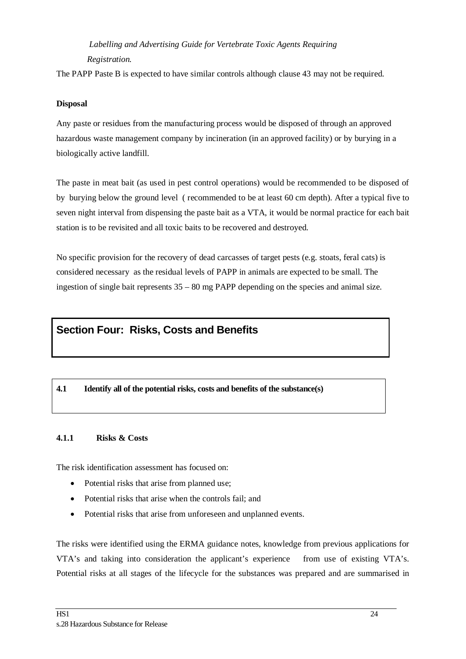### *Labelling and Advertising Guide for Vertebrate Toxic Agents Requiring Registration.*

The PAPP Paste B is expected to have similar controls although clause 43 may not be required.

#### **Disposal**

Any paste or residues from the manufacturing process would be disposed of through an approved hazardous waste management company by incineration (in an approved facility) or by burying in a biologically active landfill.

The paste in meat bait (as used in pest control operations) would be recommended to be disposed of by burying below the ground level ( recommended to be at least 60 cm depth). After a typical five to seven night interval from dispensing the paste bait as a VTA, it would be normal practice for each bait station is to be revisited and all toxic baits to be recovered and destroyed.

No specific provision for the recovery of dead carcasses of target pests (e.g. stoats, feral cats) is considered necessary as the residual levels of PAPP in animals are expected to be small. The ingestion of single bait represents  $35 - 80$  mg PAPP depending on the species and animal size.

### **Section Four: Risks, Costs and Benefits**

#### **4.1 Identify all of the potential risks, costs and benefits of the substance(s)**

#### **4.1.1 Risks & Costs**

The risk identification assessment has focused on:

- Potential risks that arise from planned use;
- Potential risks that arise when the controls fail; and
- Potential risks that arise from unforeseen and unplanned events.

The risks were identified using the ERMA guidance notes, knowledge from previous applications for VTA's and taking into consideration the applicant's experience from use of existing VTA's. Potential risks at all stages of the lifecycle for the substances was prepared and are summarised in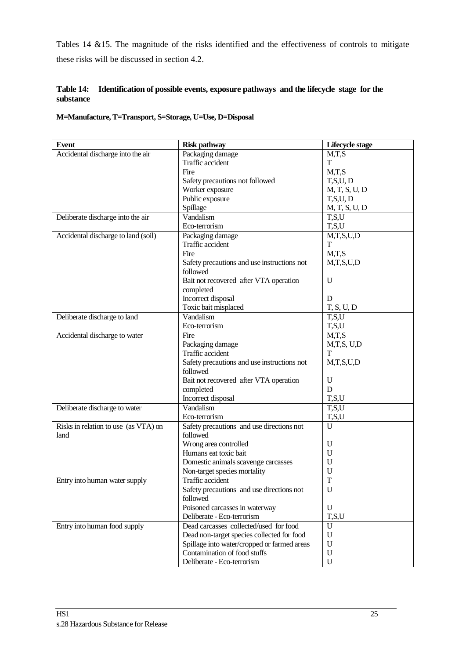Tables 14 &15. The magnitude of the risks identified and the effectiveness of controls to mitigate these risks will be discussed in section 4.2.

#### **Table 14: Identification of possible events, exposure pathways and the lifecycle stage for the substance**

**M=Manufacture, T=Transport, S=Storage, U=Use, D=Disposal**

| <b>Event</b>                         | <b>Risk pathway</b>                         | Lifecycle stage |
|--------------------------------------|---------------------------------------------|-----------------|
| Accidental discharge into the air    | Packaging damage                            | M,T,S           |
|                                      | Traffic accident                            | T               |
|                                      | Fire                                        | M,T,S           |
|                                      | Safety precautions not followed             | T,S,U,D         |
|                                      | Worker exposure                             | M, T, S, U, D   |
|                                      | Public exposure                             | T,S,U,D         |
|                                      | Spillage                                    | M, T, S, U, D   |
| Deliberate discharge into the air    | Vandalism                                   | T, S, U         |
|                                      | Eco-terrorism                               | T, S, U         |
| Accidental discharge to land (soil)  | Packaging damage                            | M,T,S,U,D       |
|                                      | Traffic accident                            | T               |
|                                      | Fire                                        | M,T,S           |
|                                      | Safety precautions and use instructions not | M,T,S,U,D       |
|                                      | followed                                    |                 |
|                                      | Bait not recovered after VTA operation      | U               |
|                                      | completed                                   |                 |
|                                      | Incorrect disposal                          | D               |
|                                      | Toxic bait misplaced                        | T, S, U, D      |
| Deliberate discharge to land         | Vandalism                                   | T, S, U         |
|                                      | Eco-terrorism                               | T, S, U         |
| Accidental discharge to water        | Fire                                        | M,T,S           |
|                                      | Packaging damage                            | M,T,S, U,D      |
|                                      | Traffic accident                            | T               |
|                                      | Safety precautions and use instructions not | M,T,S,U,D       |
|                                      | followed                                    |                 |
|                                      | Bait not recovered after VTA operation      | U               |
|                                      | completed                                   | D               |
|                                      | Incorrect disposal                          | T.S.U           |
| Deliberate discharge to water        | Vandalism                                   | T, S, U         |
|                                      | Eco-terrorism                               | T,S,U           |
| Risks in relation to use (as VTA) on | Safety precautions and use directions not   | U               |
| land                                 | followed                                    |                 |
|                                      | Wrong area controlled                       | U               |
|                                      | Humans eat toxic bait                       | U               |
|                                      | Domestic animals scavenge carcasses         | U               |
|                                      | Non-target species mortality                | U               |
| Entry into human water supply        | Traffic accident                            | T               |
|                                      | Safety precautions and use directions not   | $\mathbf U$     |
|                                      | followed                                    |                 |
|                                      | Poisoned carcasses in waterway              | U               |
|                                      | Deliberate - Eco-terrorism                  | T,S,U           |
| Entry into human food supply         | Dead carcasses collected/used for food      | U               |
|                                      | Dead non-target species collected for food  | U               |
|                                      | Spillage into water/cropped or farmed areas | U               |
|                                      | Contamination of food stuffs                | $\mathbf U$     |
|                                      | Deliberate - Eco-terrorism                  | $\mathbf U$     |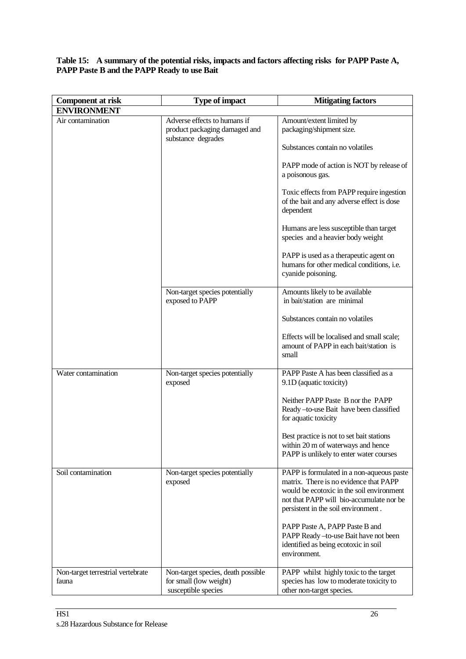**Table 15: A summary of the potential risks, impacts and factors affecting risks for PAPP Paste A, PAPP Paste B and the PAPP Ready to use Bait** 

| <b>Component at risk</b>          | <b>Type of impact</b>                                                               | <b>Mitigating factors</b>                                                                                                                                                                                           |
|-----------------------------------|-------------------------------------------------------------------------------------|---------------------------------------------------------------------------------------------------------------------------------------------------------------------------------------------------------------------|
| <b>ENVIRONMENT</b>                |                                                                                     |                                                                                                                                                                                                                     |
| Air contamination                 | Adverse effects to humans if<br>product packaging damaged and<br>substance degrades | Amount/extent limited by<br>packaging/shipment size.                                                                                                                                                                |
|                                   |                                                                                     | Substances contain no volatiles                                                                                                                                                                                     |
|                                   |                                                                                     | PAPP mode of action is NOT by release of<br>a poisonous gas.                                                                                                                                                        |
|                                   |                                                                                     | Toxic effects from PAPP require ingestion<br>of the bait and any adverse effect is dose<br>dependent                                                                                                                |
|                                   |                                                                                     | Humans are less susceptible than target<br>species and a heavier body weight                                                                                                                                        |
|                                   |                                                                                     | PAPP is used as a therapeutic agent on<br>humans for other medical conditions, i.e.<br>cyanide poisoning.                                                                                                           |
|                                   | Non-target species potentially<br>exposed to PAPP                                   | Amounts likely to be available<br>in bait/station are minimal                                                                                                                                                       |
|                                   |                                                                                     | Substances contain no volatiles                                                                                                                                                                                     |
|                                   |                                                                                     | Effects will be localised and small scale;<br>amount of PAPP in each bait/station is<br>small                                                                                                                       |
| Water contamination               | Non-target species potentially<br>exposed                                           | PAPP Paste A has been classified as a<br>9.1D (aquatic toxicity)                                                                                                                                                    |
|                                   |                                                                                     | Neither PAPP Paste B nor the PAPP<br>Ready-to-use Bait have been classified<br>for aquatic toxicity                                                                                                                 |
|                                   |                                                                                     | Best practice is not to set bait stations<br>within 20 m of waterways and hence<br>PAPP is unlikely to enter water courses                                                                                          |
| Soil contamination                | Non-target species potentially<br>exposed                                           | PAPP is formulated in a non-aqueous paste<br>matrix. There is no evidence that PAPP<br>would be ecotoxic in the soil environment<br>not that PAPP will bio-accumulate nor be<br>persistent in the soil environment. |
|                                   |                                                                                     | PAPP Paste A, PAPP Paste B and<br>PAPP Ready - to-use Bait have not been<br>identified as being ecotoxic in soil<br>environment.                                                                                    |
| Non-target terrestrial vertebrate | Non-target species, death possible                                                  | PAPP whilst highly toxic to the target                                                                                                                                                                              |
| fauna                             | for small (low weight)<br>susceptible species                                       | species has low to moderate toxicity to<br>other non-target species.                                                                                                                                                |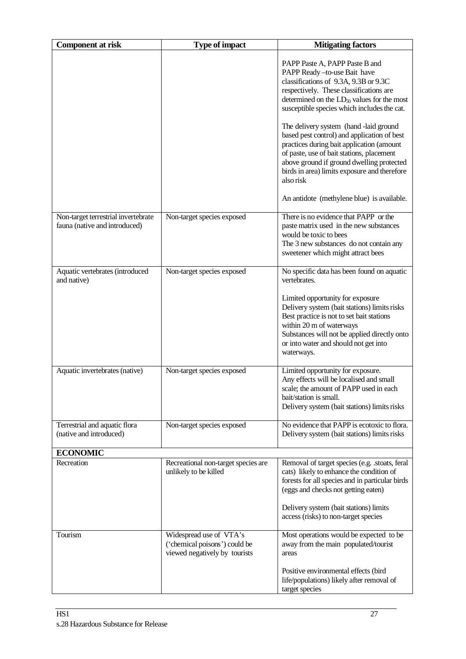| <b>Component at risk</b>                                             | <b>Type of impact</b>                                                                     | <b>Mitigating factors</b>                                                                                                                                                                                                                                                                                                                                                                                                                                                                                                                                                                              |
|----------------------------------------------------------------------|-------------------------------------------------------------------------------------------|--------------------------------------------------------------------------------------------------------------------------------------------------------------------------------------------------------------------------------------------------------------------------------------------------------------------------------------------------------------------------------------------------------------------------------------------------------------------------------------------------------------------------------------------------------------------------------------------------------|
|                                                                      |                                                                                           | PAPP Paste A, PAPP Paste B and<br>PAPP Ready -to-use Bait have<br>classifications of 9.3A, 9.3B or 9.3C<br>respectively. These classifications are<br>determined on the LD <sub>50</sub> values for the most<br>susceptible species which includes the cat.<br>The delivery system (hand -laid ground<br>based pest control) and application of best<br>practices during bait application (amount<br>of paste, use of bait stations, placement<br>above ground if ground dwelling protected<br>birds in area) limits exposure and therefore<br>also risk<br>An antidote (methylene blue) is available. |
| Non-target terrestrial invertebrate<br>fauna (native and introduced) | Non-target species exposed                                                                | There is no evidence that PAPP or the<br>paste matrix used in the new substances<br>would be toxic to bees<br>The 3 new substances do not contain any<br>sweetener which might attract bees                                                                                                                                                                                                                                                                                                                                                                                                            |
| Aquatic vertebrates (introduced<br>and native)                       | Non-target species exposed                                                                | No specific data has been found on aquatic<br>vertebrates.<br>Limited opportunity for exposure<br>Delivery system (bait stations) limits risks<br>Best practice is not to set bait stations<br>within 20 m of waterways<br>Substances will not be applied directly onto<br>or into water and should not get into<br>waterways.                                                                                                                                                                                                                                                                         |
| Aquatic invertebrates (native)                                       | Non-target species exposed                                                                | Limited opportunity for exposure.<br>Any effects will be localised and small<br>scale; the amount of PAPP used in each<br>bait/station is small.<br>Delivery system (bait stations) limits risks                                                                                                                                                                                                                                                                                                                                                                                                       |
| Terrestrial and aquatic flora<br>(native and introduced)             | Non-target species exposed                                                                | No evidence that PAPP is ecotoxic to flora.<br>Delivery system (bait stations) limits risks                                                                                                                                                                                                                                                                                                                                                                                                                                                                                                            |
| <b>ECONOMIC</b>                                                      |                                                                                           |                                                                                                                                                                                                                                                                                                                                                                                                                                                                                                                                                                                                        |
| Recreation                                                           | Recreational non-target species are<br>unlikely to be killed                              | Removal of target species (e.g. .stoats, feral<br>cats) likely to enhance the condition of<br>forests for all species and in particular birds<br>(eggs and checks not getting eaten)<br>Delivery system (bait stations) limits<br>access (risks) to non-target species                                                                                                                                                                                                                                                                                                                                 |
| Tourism                                                              | Widespread use of VTA's<br>('chemical poisons') could be<br>viewed negatively by tourists | Most operations would be expected to be<br>away from the main populated/tourist<br>areas<br>Positive environmental effects (bird<br>life/populations) likely after removal of<br>target species                                                                                                                                                                                                                                                                                                                                                                                                        |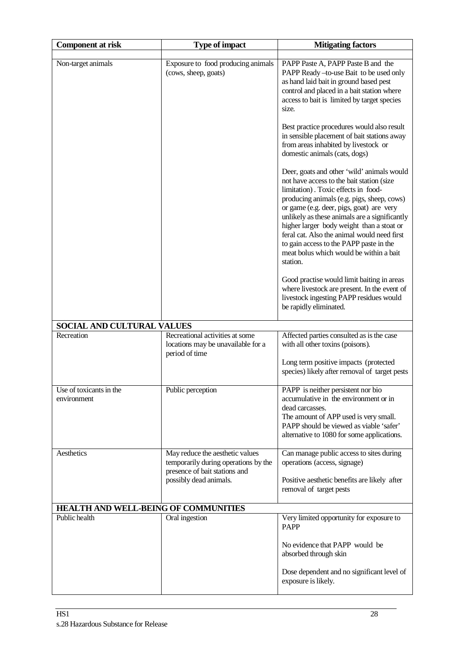| <b>Component at risk</b>               | <b>Type of impact</b>                                                                                                              | <b>Mitigating factors</b>                                                                                                                                                                                                                                                                                                                                                                                                                                               |
|----------------------------------------|------------------------------------------------------------------------------------------------------------------------------------|-------------------------------------------------------------------------------------------------------------------------------------------------------------------------------------------------------------------------------------------------------------------------------------------------------------------------------------------------------------------------------------------------------------------------------------------------------------------------|
| Non-target animals                     | Exposure to food producing animals<br>(cows, sheep, goats)                                                                         | PAPP Paste A, PAPP Paste B and the<br>PAPP Ready -to-use Bait to be used only<br>as hand laid bait in ground based pest<br>control and placed in a bait station where<br>access to bait is limited by target species<br>size.                                                                                                                                                                                                                                           |
|                                        |                                                                                                                                    | Best practice procedures would also result<br>in sensible placement of bait stations away<br>from areas inhabited by livestock or<br>domestic animals (cats, dogs)                                                                                                                                                                                                                                                                                                      |
|                                        |                                                                                                                                    | Deer, goats and other 'wild' animals would<br>not have access to the bait station (size<br>limitation). Toxic effects in food-<br>producing animals (e.g. pigs, sheep, cows)<br>or game (e.g. deer, pigs, goat) are very<br>unlikely as these animals are a significantly<br>higher larger body weight than a stoat or<br>feral cat. Also the animal would need first<br>to gain access to the PAPP paste in the<br>meat bolus which would be within a bait<br>station. |
|                                        |                                                                                                                                    | Good practise would limit baiting in areas<br>where livestock are present. In the event of<br>livestock ingesting PAPP residues would<br>be rapidly eliminated.                                                                                                                                                                                                                                                                                                         |
| SOCIAL AND CULTURAL VALUES             |                                                                                                                                    |                                                                                                                                                                                                                                                                                                                                                                                                                                                                         |
| Recreation                             | Recreational activities at some<br>locations may be unavailable for a<br>period of time                                            | Affected parties consulted as is the case<br>with all other toxins (poisons).<br>Long term positive impacts (protected<br>species) likely after removal of target pests                                                                                                                                                                                                                                                                                                 |
|                                        |                                                                                                                                    |                                                                                                                                                                                                                                                                                                                                                                                                                                                                         |
| Use of toxicants in the<br>environment | Public perception                                                                                                                  | PAPP is neither persistent nor bio<br>accumulative in the environment or in<br>dead carcasses.<br>The amount of APP used is very small.<br>PAPP should be viewed as viable 'safer'<br>alternative to 1080 for some applications.                                                                                                                                                                                                                                        |
| Aesthetics                             | May reduce the aesthetic values<br>temporarily during operations by the<br>presence of bait stations and<br>possibly dead animals. | Can manage public access to sites during<br>operations (access, signage)<br>Positive aesthetic benefits are likely after<br>removal of target pests                                                                                                                                                                                                                                                                                                                     |
| HEALTH AND WELL-BEING OF COMMUNITIES   |                                                                                                                                    |                                                                                                                                                                                                                                                                                                                                                                                                                                                                         |
| Public health                          | Oral ingestion                                                                                                                     | Very limited opportunity for exposure to<br><b>PAPP</b>                                                                                                                                                                                                                                                                                                                                                                                                                 |
|                                        |                                                                                                                                    | No evidence that PAPP would be<br>absorbed through skin                                                                                                                                                                                                                                                                                                                                                                                                                 |
|                                        |                                                                                                                                    | Dose dependent and no significant level of<br>exposure is likely.                                                                                                                                                                                                                                                                                                                                                                                                       |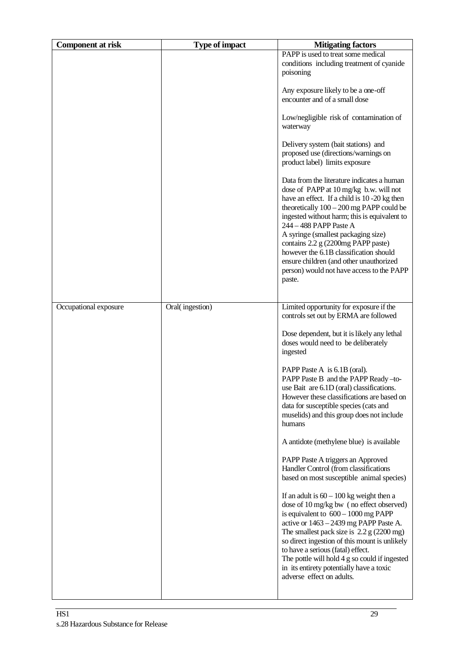| <b>Component at risk</b> | <b>Type of impact</b> | <b>Mitigating factors</b>                                                                                                                                                                                                                                                                                                                                                                                                                                                             |
|--------------------------|-----------------------|---------------------------------------------------------------------------------------------------------------------------------------------------------------------------------------------------------------------------------------------------------------------------------------------------------------------------------------------------------------------------------------------------------------------------------------------------------------------------------------|
|                          |                       | PAPP is used to treat some medical<br>conditions including treatment of cyanide<br>poisoning                                                                                                                                                                                                                                                                                                                                                                                          |
|                          |                       | Any exposure likely to be a one-off<br>encounter and of a small dose                                                                                                                                                                                                                                                                                                                                                                                                                  |
|                          |                       | Low/negligible risk of contamination of<br>waterway                                                                                                                                                                                                                                                                                                                                                                                                                                   |
|                          |                       | Delivery system (bait stations) and<br>proposed use (directions/warnings on<br>product label) limits exposure                                                                                                                                                                                                                                                                                                                                                                         |
|                          |                       | Data from the literature indicates a human<br>dose of PAPP at 10 mg/kg b.w. will not<br>have an effect. If a child is 10 -20 kg then<br>theoretically $100 - 200$ mg PAPP could be<br>ingested without harm; this is equivalent to<br>244 - 488 PAPP Paste A<br>A syringe (smallest packaging size)<br>contains 2.2 g (2200mg PAPP paste)<br>however the 6.1B classification should<br>ensure children (and other unauthorized<br>person) would not have access to the PAPP<br>paste. |
| Occupational exposure    | Oral(ingestion)       | Limited opportunity for exposure if the<br>controls set out by ERMA are followed                                                                                                                                                                                                                                                                                                                                                                                                      |
|                          |                       | Dose dependent, but it is likely any lethal<br>doses would need to be deliberately<br>ingested                                                                                                                                                                                                                                                                                                                                                                                        |
|                          |                       | PAPP Paste A is 6.1B (oral).<br>PAPP Paste B and the PAPP Ready-to-<br>use Bait are 6.1D (oral) classifications<br>However these classifications are based on<br>data for susceptible species (cats and<br>muselids) and this group does not include<br>humans                                                                                                                                                                                                                        |
|                          |                       | A antidote (methylene blue) is available                                                                                                                                                                                                                                                                                                                                                                                                                                              |
|                          |                       | PAPP Paste A triggers an Approved<br>Handler Control (from classifications<br>based on most susceptible animal species)                                                                                                                                                                                                                                                                                                                                                               |
|                          |                       | If an adult is $60 - 100$ kg weight then a<br>dose of 10 mg/kg bw (no effect observed)<br>is equivalent to $600 - 1000$ mg PAPP<br>active or 1463 - 2439 mg PAPP Paste A.<br>The smallest pack size is $2.2 g$ (2200 mg)<br>so direct ingestion of this mount is unlikely<br>to have a serious (fatal) effect.<br>The pottle will hold 4 g so could if ingested<br>in its entirety potentially have a toxic<br>adverse effect on adults.                                              |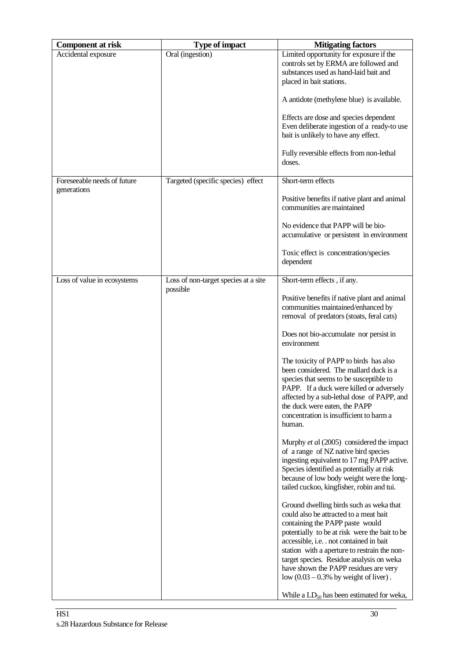| <b>Component at risk</b>    | <b>Type of impact</b>                | <b>Mitigating factors</b>                                                                                                                                                                                                                                                                                                                                                                                                                                   |
|-----------------------------|--------------------------------------|-------------------------------------------------------------------------------------------------------------------------------------------------------------------------------------------------------------------------------------------------------------------------------------------------------------------------------------------------------------------------------------------------------------------------------------------------------------|
| Accidental exposure         | Oral (ingestion)                     | Limited opportunity for exposure if the<br>controls set by ERMA are followed and<br>substances used as hand-laid bait and<br>placed in bait stations.<br>A antidote (methylene blue) is available.                                                                                                                                                                                                                                                          |
|                             |                                      | Effects are dose and species dependent<br>Even deliberate ingestion of a ready-to use<br>bait is unlikely to have any effect.                                                                                                                                                                                                                                                                                                                               |
|                             |                                      | Fully reversible effects from non-lethal<br>doses.                                                                                                                                                                                                                                                                                                                                                                                                          |
| Foreseeable needs of future | Targeted (specific species) effect   | Short-term effects                                                                                                                                                                                                                                                                                                                                                                                                                                          |
| generations                 |                                      | Positive benefits if native plant and animal<br>communities are maintained                                                                                                                                                                                                                                                                                                                                                                                  |
|                             |                                      | No evidence that PAPP will be bio-<br>accumulative or persistent in environment                                                                                                                                                                                                                                                                                                                                                                             |
|                             |                                      | Toxic effect is concentration/species<br>dependent                                                                                                                                                                                                                                                                                                                                                                                                          |
| Loss of value in ecosystems | Loss of non-target species at a site | Short-term effects, if any.                                                                                                                                                                                                                                                                                                                                                                                                                                 |
|                             | possible                             | Positive benefits if native plant and animal<br>communities maintained/enhanced by<br>removal of predators (stoats, feral cats)                                                                                                                                                                                                                                                                                                                             |
|                             |                                      | Does not bio-accumulate nor persist in<br>environment                                                                                                                                                                                                                                                                                                                                                                                                       |
|                             |                                      | The toxicity of PAPP to birds has also<br>been considered. The mallard duck is a<br>species that seems to be susceptible to<br>PAPP. If a duck were killed or adversely<br>affected by a sub-lethal dose of PAPP, and<br>the duck were eaten, the PAPP<br>concentration is insufficient to harm a<br>human.                                                                                                                                                 |
|                             |                                      | Murphy et al (2005) considered the impact<br>of a range of NZ native bird species<br>ingesting equivalent to 17 mg PAPP active.<br>Species identified as potentially at risk<br>because of low body weight were the long-<br>tailed cuckoo, kingfisher, robin and tui.                                                                                                                                                                                      |
|                             |                                      | Ground dwelling birds such as weka that<br>could also be attracted to a meat bait<br>containing the PAPP paste would<br>potentially to be at risk were the bait to be<br>accessible, i.e. . not contained in bait<br>station with a aperture to restrain the non-<br>target species. Residue analysis on weka<br>have shown the PAPP residues are very<br>low $(0.03 - 0.3\%$ by weight of liver).<br>While a LD <sub>50</sub> has been estimated for weka, |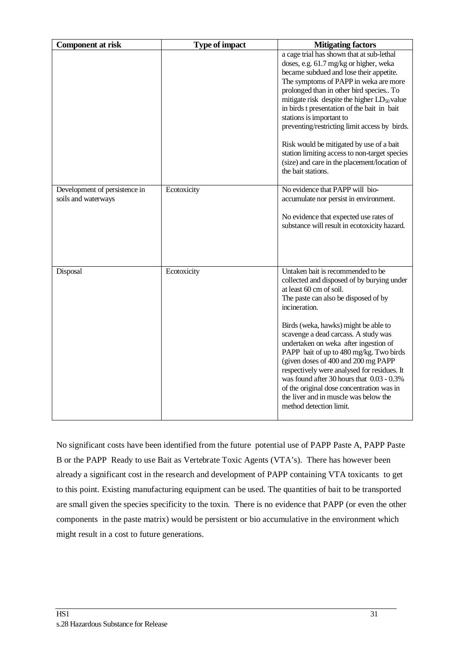| <b>Component at risk</b>                             | <b>Type of impact</b> | <b>Mitigating factors</b>                                                                                                                                                                                                                                                                                                                                                                                                                                                                                                                                                                   |
|------------------------------------------------------|-----------------------|---------------------------------------------------------------------------------------------------------------------------------------------------------------------------------------------------------------------------------------------------------------------------------------------------------------------------------------------------------------------------------------------------------------------------------------------------------------------------------------------------------------------------------------------------------------------------------------------|
|                                                      |                       | a cage trial has shown that at sub-lethal<br>doses, e.g. 61.7 mg/kg or higher, weka<br>became subdued and lose their appetite.<br>The symptoms of PAPP in weka are more<br>prolonged than in other bird species To<br>mitigate risk despite the higher LD <sub>50</sub> value<br>in birds t presentation of the bait in bait<br>stations is important to<br>preventing/restricting limit access by birds.<br>Risk would be mitigated by use of a bait<br>station limiting access to non-target species<br>(size) and care in the placement/location of<br>the bait stations.                |
| Development of persistence in<br>soils and waterways | Ecotoxicity           | No evidence that PAPP will bio-<br>accumulate nor persist in environment.<br>No evidence that expected use rates of<br>substance will result in ecotoxicity hazard.                                                                                                                                                                                                                                                                                                                                                                                                                         |
| Disposal                                             | Ecotoxicity           | Untaken bait is recommended to be<br>collected and disposed of by burying under<br>at least 60 cm of soil.<br>The paste can also be disposed of by<br>incineration.<br>Birds (weka, hawks) might be able to<br>scavenge a dead carcass. A study was<br>undertaken on weka after ingestion of<br>PAPP bait of up to 480 mg/kg. Two birds<br>(given doses of 400 and 200 mg PAPP<br>respectively were analysed for residues. It<br>was found after 30 hours that 0.03 - 0.3%<br>of the original dose concentration was in<br>the liver and in muscle was below the<br>method detection limit. |

No significant costs have been identified from the future potential use of PAPP Paste A, PAPP Paste B or the PAPP Ready to use Bait as Vertebrate Toxic Agents (VTA's). There has however been already a significant cost in the research and development of PAPP containing VTA toxicants to get to this point. Existing manufacturing equipment can be used. The quantities of bait to be transported are small given the species specificity to the toxin. There is no evidence that PAPP (or even the other components in the paste matrix) would be persistent or bio accumulative in the environment which might result in a cost to future generations.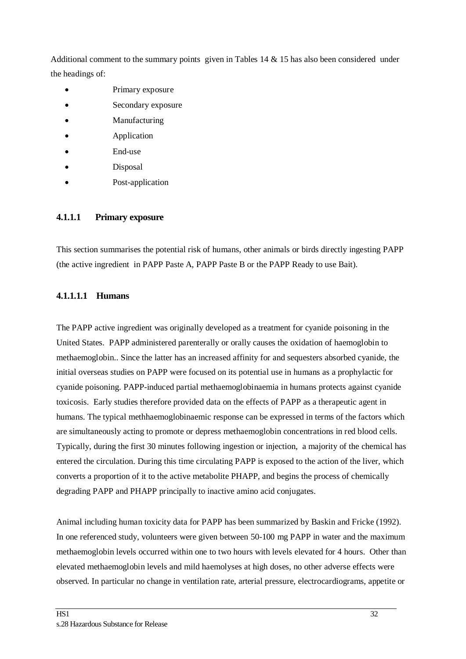Additional comment to the summary points given in Tables 14  $\&$  15 has also been considered under the headings of:

- Primary exposure
- Secondary exposure
- **Manufacturing**
- **Application**
- End-use
- Disposal
- Post-application

#### **4.1.1.1 Primary exposure**

This section summarises the potential risk of humans, other animals or birds directly ingesting PAPP (the active ingredient in PAPP Paste A, PAPP Paste B or the PAPP Ready to use Bait).

#### **4.1.1.1.1 Humans**

The PAPP active ingredient was originally developed as a treatment for cyanide poisoning in the United States. PAPP administered parenterally or orally causes the oxidation of haemoglobin to methaemoglobin.. Since the latter has an increased affinity for and sequesters absorbed cyanide, the initial overseas studies on PAPP were focused on its potential use in humans as a prophylactic for cyanide poisoning. PAPP-induced partial methaemoglobinaemia in humans protects against cyanide toxicosis. Early studies therefore provided data on the effects of PAPP as a therapeutic agent in humans. The typical methhaemoglobinaemic response can be expressed in terms of the factors which are simultaneously acting to promote or depress methaemoglobin concentrations in red blood cells. Typically, during the first 30 minutes following ingestion or injection, a majority of the chemical has entered the circulation. During this time circulating PAPP is exposed to the action of the liver, which converts a proportion of it to the active metabolite PHAPP, and begins the process of chemically degrading PAPP and PHAPP principally to inactive amino acid conjugates.

Animal including human toxicity data for PAPP has been summarized by Baskin and Fricke (1992). In one referenced study, volunteers were given between 50-100 mg PAPP in water and the maximum methaemoglobin levels occurred within one to two hours with levels elevated for 4 hours. Other than elevated methaemoglobin levels and mild haemolyses at high doses, no other adverse effects were observed. In particular no change in ventilation rate, arterial pressure, electrocardiograms, appetite or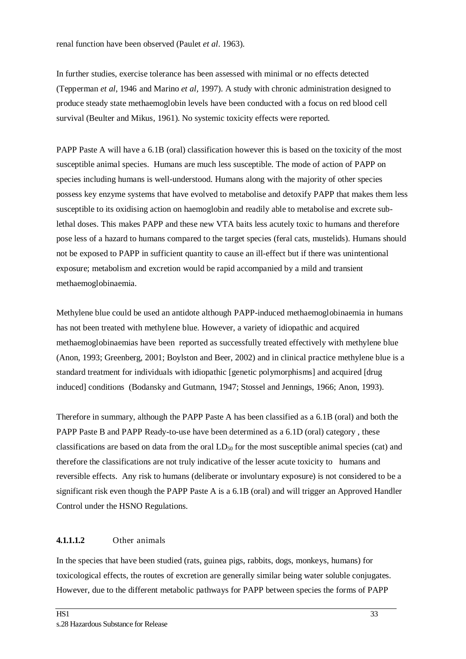renal function have been observed (Paulet *et al*. 1963).

In further studies, exercise tolerance has been assessed with minimal or no effects detected (Tepperman *et al*, 1946 and Marino *et al,* 1997). A study with chronic administration designed to produce steady state methaemoglobin levels have been conducted with a focus on red blood cell survival (Beulter and Mikus, 1961). No systemic toxicity effects were reported.

PAPP Paste A will have a 6.1B (oral) classification however this is based on the toxicity of the most susceptible animal species. Humans are much less susceptible. The mode of action of PAPP on species including humans is well-understood. Humans along with the majority of other species possess key enzyme systems that have evolved to metabolise and detoxify PAPP that makes them less susceptible to its oxidising action on haemoglobin and readily able to metabolise and excrete sublethal doses. This makes PAPP and these new VTA baits less acutely toxic to humans and therefore pose less of a hazard to humans compared to the target species (feral cats, mustelids). Humans should not be exposed to PAPP in sufficient quantity to cause an ill-effect but if there was unintentional exposure; metabolism and excretion would be rapid accompanied by a mild and transient methaemoglobinaemia.

Methylene blue could be used an antidote although PAPP-induced methaemoglobinaemia in humans has not been treated with methylene blue. However, a variety of idiopathic and acquired methaemoglobinaemias have been reported as successfully treated effectively with methylene blue (Anon, 1993; Greenberg, 2001; Boylston and Beer, 2002) and in clinical practice methylene blue is a standard treatment for individuals with idiopathic [genetic polymorphisms] and acquired [drug induced] conditions (Bodansky and Gutmann, 1947; Stossel and Jennings, 1966; Anon, 1993).

Therefore in summary, although the PAPP Paste A has been classified as a 6.1B (oral) and both the PAPP Paste B and PAPP Ready-to-use have been determined as a 6.1D (oral) category , these classifications are based on data from the oral  $LD_{50}$  for the most susceptible animal species (cat) and therefore the classifications are not truly indicative of the lesser acute toxicity to humans and reversible effects. Any risk to humans (deliberate or involuntary exposure) is not considered to be a significant risk even though the PAPP Paste A is a 6.1B (oral) and will trigger an Approved Handler Control under the HSNO Regulations.

#### **4.1.1.1.2** Other animals

In the species that have been studied (rats, guinea pigs, rabbits, dogs, monkeys, humans) for toxicological effects, the routes of excretion are generally similar being water soluble conjugates. However, due to the different metabolic pathways for PAPP between species the forms of PAPP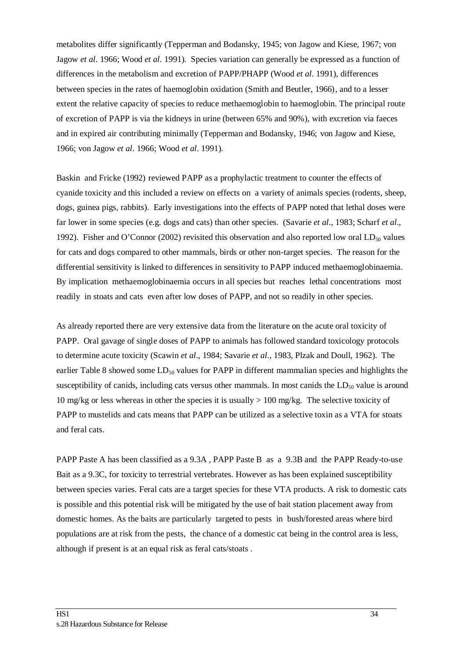metabolites differ significantly (Tepperman and Bodansky, 1945; von Jagow and Kiese, 1967; von Jagow *et al*. 1966; Wood *et al*. 1991). Species variation can generally be expressed as a function of differences in the metabolism and excretion of PAPP/PHAPP (Wood *et al*. 1991), differences between species in the rates of haemoglobin oxidation (Smith and Beutler, 1966), and to a lesser extent the relative capacity of species to reduce methaemoglobin to haemoglobin. The principal route of excretion of PAPP is via the kidneys in urine (between 65% and 90%), with excretion via faeces and in expired air contributing minimally (Tepperman and Bodansky, 1946; von Jagow and Kiese, 1966; von Jagow *et al*. 1966; Wood *et al*. 1991).

Baskin and Fricke (1992) reviewed PAPP as a prophylactic treatment to counter the effects of cyanide toxicity and this included a review on effects on a variety of animals species (rodents, sheep, dogs, guinea pigs, rabbits). Early investigations into the effects of PAPP noted that lethal doses were far lower in some species (e.g. dogs and cats) than other species. (Savarie *et al*., 1983; Scharf *et al*., 1992). Fisher and O'Connor (2002) revisited this observation and also reported low oral  $LD<sub>50</sub>$  values for cats and dogs compared to other mammals, birds or other non-target species. The reason for the differential sensitivity is linked to differences in sensitivity to PAPP induced methaemoglobinaemia. By implication methaemoglobinaemia occurs in all species but reaches lethal concentrations most readily in stoats and cats even after low doses of PAPP, and not so readily in other species.

As already reported there are very extensive data from the literature on the acute oral toxicity of PAPP. Oral gavage of single doses of PAPP to animals has followed standard toxicology protocols to determine acute toxicity (Scawin *et al*., 1984; Savarie *et al*., 1983, Plzak and Doull, 1962). The earlier Table 8 showed some  $LD_{50}$  values for PAPP in different mammalian species and highlights the susceptibility of canids, including cats versus other mammals. In most canids the  $LD<sub>50</sub>$  value is around 10 mg/kg or less whereas in other the species it is usually  $> 100$  mg/kg. The selective toxicity of PAPP to mustelids and cats means that PAPP can be utilized as a selective toxin as a VTA for stoats and feral cats.

PAPP Paste A has been classified as a 9.3A , PAPP Paste B as a 9.3B and the PAPP Ready-to-use Bait as a 9.3C, for toxicity to terrestrial vertebrates. However as has been explained susceptibility between species varies. Feral cats are a target species for these VTA products. A risk to domestic cats is possible and this potential risk will be mitigated by the use of bait station placement away from domestic homes. As the baits are particularly targeted to pests in bush/forested areas where bird populations are at risk from the pests, the chance of a domestic cat being in the control area is less, although if present is at an equal risk as feral cats/stoats .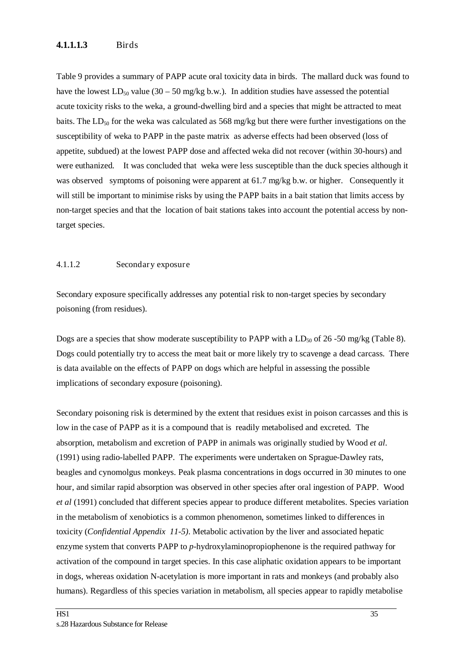#### **4.1.1.1.3** Birds

Table 9 provides a summary of PAPP acute oral toxicity data in birds. The mallard duck was found to have the lowest  $LD_{50}$  value (30 – 50 mg/kg b.w.). In addition studies have assessed the potential acute toxicity risks to the weka, a ground-dwelling bird and a species that might be attracted to meat baits. The  $LD_{50}$  for the weka was calculated as 568 mg/kg but there were further investigations on the susceptibility of weka to PAPP in the paste matrix as adverse effects had been observed (loss of appetite, subdued) at the lowest PAPP dose and affected weka did not recover (within 30-hours) and were euthanized. It was concluded that weka were less susceptible than the duck species although it was observed symptoms of poisoning were apparent at 61.7 mg/kg b.w. or higher. Consequently it will still be important to minimise risks by using the PAPP baits in a bait station that limits access by non-target species and that the location of bait stations takes into account the potential access by nontarget species.

#### 4.1.1.2 Secondary exposure

Secondary exposure specifically addresses any potential risk to non-target species by secondary poisoning (from residues).

Dogs are a species that show moderate susceptibility to PAPP with a  $LD_{50}$  of 26-50 mg/kg (Table 8). Dogs could potentially try to access the meat bait or more likely try to scavenge a dead carcass. There is data available on the effects of PAPP on dogs which are helpful in assessing the possible implications of secondary exposure (poisoning).

Secondary poisoning risk is determined by the extent that residues exist in poison carcasses and this is low in the case of PAPP as it is a compound that is readily metabolised and excreted. The absorption, metabolism and excretion of PAPP in animals was originally studied by Wood *et al*. (1991) using radio-labelled PAPP. The experiments were undertaken on Sprague-Dawley rats, beagles and cynomolgus monkeys. Peak plasma concentrations in dogs occurred in 30 minutes to one hour, and similar rapid absorption was observed in other species after oral ingestion of PAPP. Wood *et al* (1991) concluded that different species appear to produce different metabolites. Species variation in the metabolism of xenobiotics is a common phenomenon, sometimes linked to differences in toxicity (*Confidential Appendix 11-5)*. Metabolic activation by the liver and associated hepatic enzyme system that converts PAPP to *p*-hydroxylaminopropiophenone is the required pathway for activation of the compound in target species. In this case aliphatic oxidation appears to be important in dogs, whereas oxidation N-acetylation is more important in rats and monkeys (and probably also humans). Regardless of this species variation in metabolism, all species appear to rapidly metabolise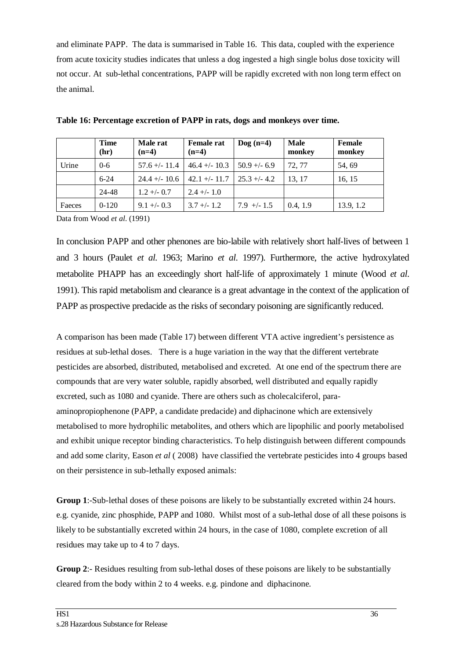and eliminate PAPP. The data is summarised in Table 16. This data, coupled with the experience from acute toxicity studies indicates that unless a dog ingested a high single bolus dose toxicity will not occur. At sub-lethal concentrations, PAPP will be rapidly excreted with non long term effect on the animal.

|        | <b>Time</b><br>(hr) | Male rat<br>$(n=4)$ | <b>Female rat</b><br>$(n=4)$   | $\text{Dog}$ (n=4) | <b>Male</b><br>monkey | <b>Female</b><br>monkey |
|--------|---------------------|---------------------|--------------------------------|--------------------|-----------------------|-------------------------|
| Urine  | $0 - 6$             | $57.6 + - 11.4$     | $46.4 + - 10.3$                | $50.9 + -6.9$      | 72.77                 | 54, 69                  |
|        | $6 - 24$            | $24.4 + - 10.6$     | $42.1 + (-11.7)$ 25.3 + $-4.2$ |                    | 13.17                 | 16, 15                  |
|        | 24-48               | $1.2 + - 0.7$       | $2.4 +/- 1.0$                  |                    |                       |                         |
| Faeces | $0-120$             | $9.1 + -0.3$        | $3.7 + - 1.2$                  | $7.9$ +/- 1.5      | 0.4, 1.9              | 13.9, 1.2               |

**Table 16: Percentage excretion of PAPP in rats, dogs and monkeys over time.** 

Data from Wood *et al*. (1991)

In conclusion PAPP and other phenones are bio-labile with relatively short half-lives of between 1 and 3 hours (Paulet *et al*. 1963; Marino *et al*. 1997). Furthermore, the active hydroxylated metabolite PHAPP has an exceedingly short half-life of approximately 1 minute (Wood *et al*. 1991). This rapid metabolism and clearance is a great advantage in the context of the application of PAPP as prospective predacide as the risks of secondary poisoning are significantly reduced.

A comparison has been made (Table 17) between different VTA active ingredient's persistence as residues at sub-lethal doses. There is a huge variation in the way that the different vertebrate pesticides are absorbed, distributed, metabolised and excreted. At one end of the spectrum there are compounds that are very water soluble, rapidly absorbed, well distributed and equally rapidly excreted, such as 1080 and cyanide. There are others such as cholecalciferol, paraaminopropiophenone (PAPP, a candidate predacide) and diphacinone which are extensively metabolised to more hydrophilic metabolites, and others which are lipophilic and poorly metabolised and exhibit unique receptor binding characteristics. To help distinguish between different compounds and add some clarity, Eason *et al* ( 2008) have classified the vertebrate pesticides into 4 groups based on their persistence in sub-lethally exposed animals:

**Group 1**:-Sub-lethal doses of these poisons are likely to be substantially excreted within 24 hours. e.g. cyanide, zinc phosphide, PAPP and 1080. Whilst most of a sub-lethal dose of all these poisons is likely to be substantially excreted within 24 hours, in the case of 1080, complete excretion of all residues may take up to 4 to 7 days.

**Group 2:-** Residues resulting from sub-lethal doses of these poisons are likely to be substantially cleared from the body within 2 to 4 weeks. e.g. pindone and diphacinone.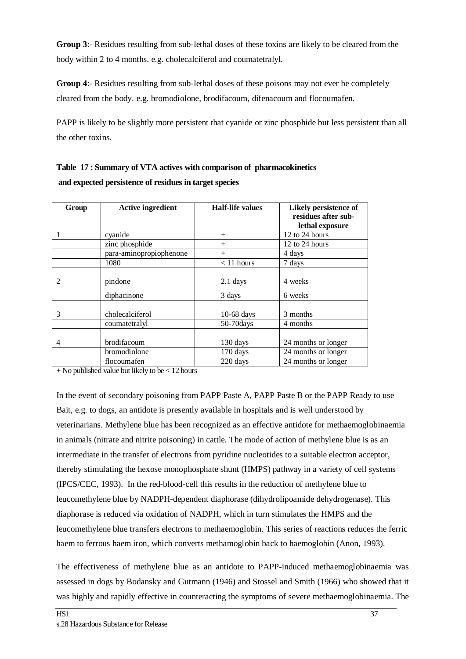**Group 3**:- Residues resulting from sub-lethal doses of these toxins are likely to be cleared from the body within 2 to 4 months. e.g. cholecalciferol and coumatetralyl.

**Group 4**:- Residues resulting from sub-lethal doses of these poisons may not ever be completely cleared from the body. e.g. bromodiolone, brodifacoum, difenacoum and flocoumafen.

PAPP is likely to be slightly more persistent that cyanide or zinc phosphide but less persistent than all the other toxins.

| Table 17: Summary of VTA actives with comparison of pharmacokinetics |
|----------------------------------------------------------------------|
| and expected persistence of residues in target species               |

| Group          | <b>Active ingredient</b> | <b>Half-life values</b> | Likely persistence of<br>residues after sub-<br>lethal exposure |
|----------------|--------------------------|-------------------------|-----------------------------------------------------------------|
|                | cyanide                  | $^{+}$                  | 12 to 24 hours                                                  |
|                | zinc phosphide           | $^{+}$                  | 12 to 24 hours                                                  |
|                | para-aminopropiophenone  | $^{+}$                  | 4 days                                                          |
|                | 1080                     | $< 11$ hours            | 7 days                                                          |
|                |                          |                         |                                                                 |
| $\overline{2}$ | pindone                  | $2.1$ days              | 4 weeks                                                         |
|                | diphacinone              | 3 days                  | 6 weeks                                                         |
|                |                          |                         |                                                                 |
| $\mathcal{F}$  | cholecalciferol          | $10-68$ days            | 3 months                                                        |
|                | coumatetralyl            | 50-70 days              | 4 months                                                        |
|                |                          |                         |                                                                 |
| $\overline{4}$ | brodifacoum              | 130 days                | 24 months or longer                                             |
|                | bromodiolone             | 170 days                | 24 months or longer                                             |
|                | flocoumafen              | 220 days                | 24 months or longer                                             |

 $+$  No published value but likely to be  $<$  12 hours

In the event of secondary poisoning from PAPP Paste A, PAPP Paste B or the PAPP Ready to use Bait, e.g. to dogs, an antidote is presently available in hospitals and is well understood by veterinarians. Methylene blue has been recognized as an effective antidote for methaemoglobinaemia in animals (nitrate and nitrite poisoning) in cattle. The mode of action of methylene blue is as an intermediate in the transfer of electrons from pyridine nucleotides to a suitable electron acceptor, thereby stimulating the hexose monophosphate shunt (HMPS) pathway in a variety of cell systems (IPCS/CEC, 1993). In the red-blood-cell this results in the reduction of methylene blue to leucomethylene blue by NADPH-dependent diaphorase (dihydrolipoamide dehydrogenase). This diaphorase is reduced via oxidation of NADPH, which in turn stimulates the HMPS and the leucomethylene blue transfers electrons to methaemoglobin. This series of reactions reduces the ferric haem to ferrous haem iron, which converts methamoglobin back to haemoglobin (Anon, 1993).

The effectiveness of methylene blue as an antidote to PAPP-induced methaemoglobinaemia was assessed in dogs by Bodansky and Gutmann (1946) and Stossel and Smith (1966) who showed that it was highly and rapidly effective in counteracting the symptoms of severe methaemoglobinaemia. The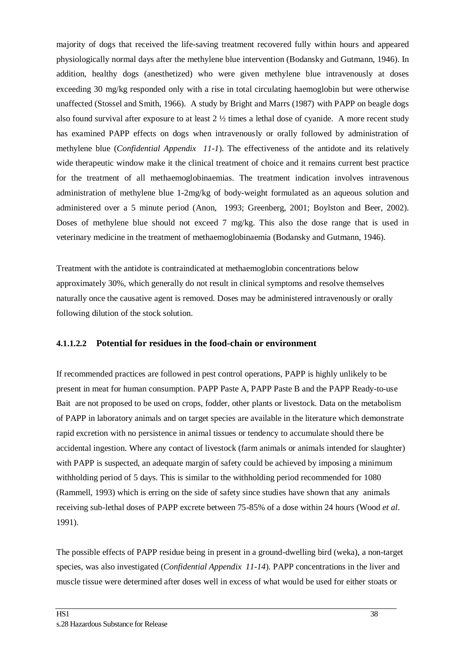majority of dogs that received the life-saving treatment recovered fully within hours and appeared physiologically normal days after the methylene blue intervention (Bodansky and Gutmann, 1946). In addition, healthy dogs (anesthetized) who were given methylene blue intravenously at doses exceeding 30 mg/kg responded only with a rise in total circulating haemoglobin but were otherwise unaffected (Stossel and Smith, 1966). A study by Bright and Marrs (1987) with PAPP on beagle dogs also found survival after exposure to at least 2 ½ times a lethal dose of cyanide. A more recent study has examined PAPP effects on dogs when intravenously or orally followed by administration of methylene blue (*Confidential Appendix 11-1*). The effectiveness of the antidote and its relatively wide therapeutic window make it the clinical treatment of choice and it remains current best practice for the treatment of all methaemoglobinaemias. The treatment indication involves intravenous administration of methylene blue 1-2mg/kg of body-weight formulated as an aqueous solution and administered over a 5 minute period (Anon, 1993; Greenberg, 2001; Boylston and Beer, 2002). Doses of methylene blue should not exceed 7 mg/kg. This also the dose range that is used in veterinary medicine in the treatment of methaemoglobinaemia (Bodansky and Gutmann, 1946).

Treatment with the antidote is contraindicated at methaemoglobin concentrations below approximately 30%, which generally do not result in clinical symptoms and resolve themselves naturally once the causative agent is removed. Doses may be administered intravenously or orally following dilution of the stock solution.

#### **4.1.1.2.2 Potential for residues in the food-chain or environment**

If recommended practices are followed in pest control operations, PAPP is highly unlikely to be present in meat for human consumption. PAPP Paste A, PAPP Paste B and the PAPP Ready-to-use Bait are not proposed to be used on crops, fodder, other plants or livestock. Data on the metabolism of PAPP in laboratory animals and on target species are available in the literature which demonstrate rapid excretion with no persistence in animal tissues or tendency to accumulate should there be accidental ingestion. Where any contact of livestock (farm animals or animals intended for slaughter) with PAPP is suspected, an adequate margin of safety could be achieved by imposing a minimum withholding period of 5 days. This is similar to the withholding period recommended for 1080 (Rammell, 1993) which is erring on the side of safety since studies have shown that any animals receiving sub-lethal doses of PAPP excrete between 75-85% of a dose within 24 hours (Wood *et al*. 1991).

The possible effects of PAPP residue being in present in a ground-dwelling bird (weka), a non-target species, was also investigated (*Confidential Appendix 11-14*). PAPP concentrations in the liver and muscle tissue were determined after doses well in excess of what would be used for either stoats or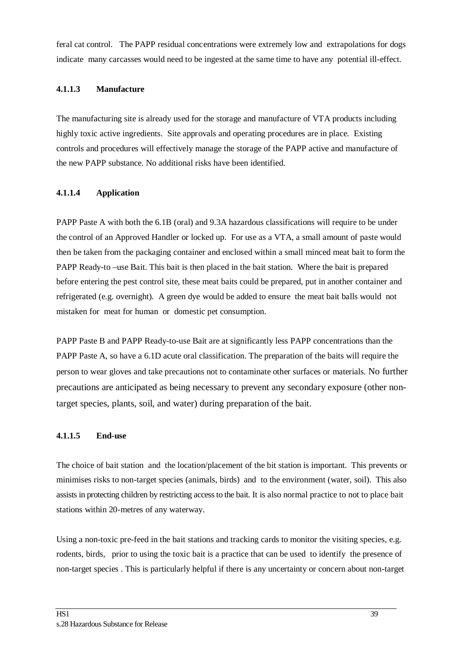feral cat control. The PAPP residual concentrations were extremely low and extrapolations for dogs indicate many carcasses would need to be ingested at the same time to have any potential ill-effect.

#### **4.1.1.3 Manufacture**

The manufacturing site is already used for the storage and manufacture of VTA products including highly toxic active ingredients. Site approvals and operating procedures are in place. Existing controls and procedures will effectively manage the storage of the PAPP active and manufacture of the new PAPP substance. No additional risks have been identified.

#### **4.1.1.4 Application**

PAPP Paste A with both the 6.1B (oral) and 9.3A hazardous classifications will require to be under the control of an Approved Handler or locked up. For use as a VTA, a small amount of paste would then be taken from the packaging container and enclosed within a small minced meat bait to form the PAPP Ready-to –use Bait. This bait is then placed in the bait station. Where the bait is prepared before entering the pest control site, these meat baits could be prepared, put in another container and refrigerated (e.g. overnight). A green dye would be added to ensure the meat bait balls would not mistaken for meat for human or domestic pet consumption.

PAPP Paste B and PAPP Ready-to-use Bait are at significantly less PAPP concentrations than the PAPP Paste A, so have a 6.1D acute oral classification. The preparation of the baits will require the person to wear gloves and take precautions not to contaminate other surfaces or materials. No further precautions are anticipated as being necessary to prevent any secondary exposure (other nontarget species, plants, soil, and water) during preparation of the bait.

#### **4.1.1.5 End-use**

The choice of bait station and the location/placement of the bit station is important. This prevents or minimises risks to non-target species (animals, birds) and to the environment (water, soil). This also assists in protecting children by restricting access to the bait. It is also normal practice to not to place bait stations within 20-metres of any waterway.

Using a non-toxic pre-feed in the bait stations and tracking cards to monitor the visiting species, e.g. rodents, birds, prior to using the toxic bait is a practice that can be used to identify the presence of non-target species . This is particularly helpful if there is any uncertainty or concern about non-target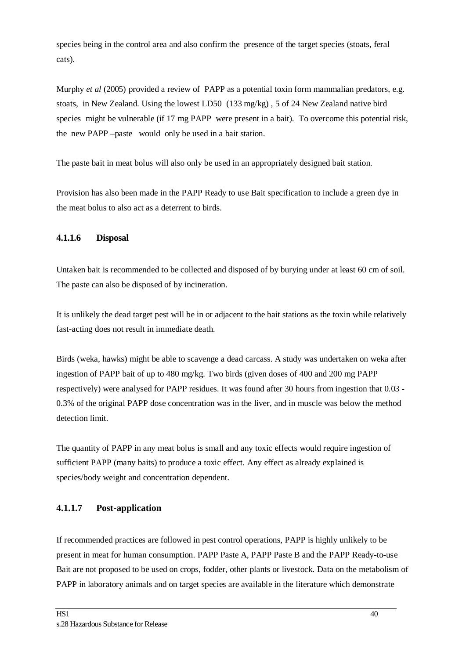species being in the control area and also confirm the presence of the target species (stoats, feral cats).

Murphy *et al* (2005) provided a review of PAPP as a potential toxin form mammalian predators, e.g. stoats, in New Zealand. Using the lowest LD50 (133 mg/kg) , 5 of 24 New Zealand native bird species might be vulnerable (if 17 mg PAPP were present in a bait). To overcome this potential risk, the new PAPP –paste would only be used in a bait station.

The paste bait in meat bolus will also only be used in an appropriately designed bait station.

Provision has also been made in the PAPP Ready to use Bait specification to include a green dye in the meat bolus to also act as a deterrent to birds.

#### **4.1.1.6 Disposal**

Untaken bait is recommended to be collected and disposed of by burying under at least 60 cm of soil. The paste can also be disposed of by incineration.

It is unlikely the dead target pest will be in or adjacent to the bait stations as the toxin while relatively fast-acting does not result in immediate death.

Birds (weka, hawks) might be able to scavenge a dead carcass. A study was undertaken on weka after ingestion of PAPP bait of up to 480 mg/kg. Two birds (given doses of 400 and 200 mg PAPP respectively) were analysed for PAPP residues. It was found after 30 hours from ingestion that 0.03 - 0.3% of the original PAPP dose concentration was in the liver, and in muscle was below the method detection limit.

The quantity of PAPP in any meat bolus is small and any toxic effects would require ingestion of sufficient PAPP (many baits) to produce a toxic effect. Any effect as already explained is species/body weight and concentration dependent.

#### **4.1.1.7 Post-application**

If recommended practices are followed in pest control operations, PAPP is highly unlikely to be present in meat for human consumption. PAPP Paste A, PAPP Paste B and the PAPP Ready-to-use Bait are not proposed to be used on crops, fodder, other plants or livestock. Data on the metabolism of PAPP in laboratory animals and on target species are available in the literature which demonstrate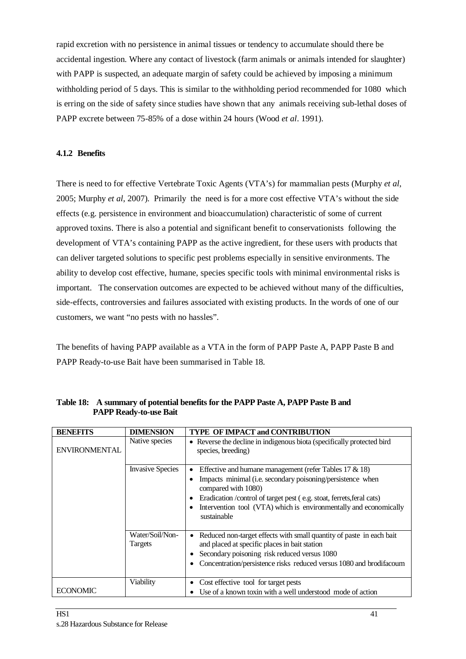rapid excretion with no persistence in animal tissues or tendency to accumulate should there be accidental ingestion. Where any contact of livestock (farm animals or animals intended for slaughter) with PAPP is suspected, an adequate margin of safety could be achieved by imposing a minimum withholding period of 5 days. This is similar to the withholding period recommended for 1080 which is erring on the side of safety since studies have shown that any animals receiving sub-lethal doses of PAPP excrete between 75-85% of a dose within 24 hours (Wood *et al*. 1991).

#### **4.1.2 Benefits**

There is need to for effective Vertebrate Toxic Agents (VTA's) for mammalian pests (Murphy *et al*, 2005; Murphy *et al*, 2007). Primarily the need is for a more cost effective VTA's without the side effects (e.g. persistence in environment and bioaccumulation) characteristic of some of current approved toxins. There is also a potential and significant benefit to conservationists following the development of VTA's containing PAPP as the active ingredient, for these users with products that can deliver targeted solutions to specific pest problems especially in sensitive environments. The ability to develop cost effective, humane, species specific tools with minimal environmental risks is important. The conservation outcomes are expected to be achieved without many of the difficulties, side-effects, controversies and failures associated with existing products. In the words of one of our customers, we want "no pests with no hassles".

The benefits of having PAPP available as a VTA in the form of PAPP Paste A, PAPP Paste B and PAPP Ready-to-use Bait have been summarised in Table 18.

| <b>BENEFITS</b>      | <b>DIMENSION</b>           | <b>TYPE OF IMPACT and CONTRIBUTION</b>                                                                                                                                                                                                                                                                                    |
|----------------------|----------------------------|---------------------------------------------------------------------------------------------------------------------------------------------------------------------------------------------------------------------------------------------------------------------------------------------------------------------------|
| <b>ENVIRONMENTAL</b> | Native species             | • Reverse the decline in indigenous biota (specifically protected bird<br>species, breeding)                                                                                                                                                                                                                              |
|                      | <b>Invasive Species</b>    | Effective and humane management (refer Tables $17 \& 18$ )<br>$\bullet$<br>Impacts minimal (i.e. secondary poisoning/persistence when<br>compared with 1080)<br>Eradication /control of target pest (e.g. stoat, ferrets, feral cats)<br>Intervention tool (VTA) which is environmentally and economically<br>sustainable |
|                      | Water/Soil/Non-<br>Targets | Reduced non-target effects with small quantity of paste in each bait<br>and placed at specific places in bait station<br>Secondary poisoning risk reduced versus 1080<br>Concentration/persistence risks reduced versus 1080 and brodifacoum                                                                              |
| <b>ECONOMIC</b>      | Viability                  | Cost effective tool for target pests<br>Use of a known toxin with a well understood mode of action                                                                                                                                                                                                                        |

**Table 18: A summary of potential benefits for the PAPP Paste A, PAPP Paste B and PAPP Ready-to-use Bait**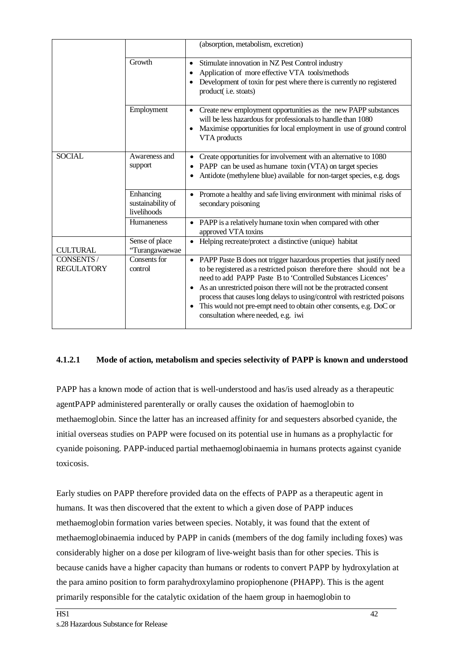|                                 |                                               | (absorption, metabolism, excretion)                                                                                                                                                                                                                                                                                                                                                                                                                                                 |
|---------------------------------|-----------------------------------------------|-------------------------------------------------------------------------------------------------------------------------------------------------------------------------------------------------------------------------------------------------------------------------------------------------------------------------------------------------------------------------------------------------------------------------------------------------------------------------------------|
|                                 | Growth                                        | Stimulate innovation in NZ Pest Control industry<br>$\bullet$<br>Application of more effective VTA tools/methods<br>Development of toxin for pest where there is currently no registered<br>product(i.e. stoats)                                                                                                                                                                                                                                                                    |
|                                 | Employment                                    | Create new employment opportunities as the new PAPP substances<br>$\bullet$<br>will be less hazardous for professionals to handle than 1080<br>Maximise opportunities for local employment in use of ground control<br>VTA products                                                                                                                                                                                                                                                 |
| <b>SOCIAL</b>                   | Awareness and<br>support                      | Create opportunities for involvement with an alternative to 1080<br>PAPP can be used as humane toxin (VTA) on target species<br>Antidote (methylene blue) available for non-target species, e.g. dogs                                                                                                                                                                                                                                                                               |
|                                 | Enhancing<br>sustainability of<br>livelihoods | Promote a healthy and safe living environment with minimal risks of<br>secondary poisoning                                                                                                                                                                                                                                                                                                                                                                                          |
|                                 | <b>Humaneness</b>                             | • PAPP is a relatively humane toxin when compared with other<br>approved VTA toxins                                                                                                                                                                                                                                                                                                                                                                                                 |
| <b>CULTURAL</b>                 | Sense of place<br>'Turangawaewae              | • Helping recreate/protect a distinctive (unique) habitat                                                                                                                                                                                                                                                                                                                                                                                                                           |
| CONSENTS /<br><b>REGULATORY</b> | Consents for<br>control                       | PAPP Paste B does not trigger hazardous properties that justify need<br>to be registered as a restricted poison therefore there should not be a<br>need to add PAPP Paste B to 'Controlled Substances Licences'<br>As an unrestricted poison there will not be the protracted consent<br>٠<br>process that causes long delays to using/control with restricted poisons<br>This would not pre-empt need to obtain other consents, e.g. DoC or<br>consultation where needed, e.g. iwi |

#### **4.1.2.1 Mode of action, metabolism and species selectivity of PAPP is known and understood**

PAPP has a known mode of action that is well-understood and has/is used already as a therapeutic agentPAPP administered parenterally or orally causes the oxidation of haemoglobin to methaemoglobin. Since the latter has an increased affinity for and sequesters absorbed cyanide, the initial overseas studies on PAPP were focused on its potential use in humans as a prophylactic for cyanide poisoning. PAPP-induced partial methaemoglobinaemia in humans protects against cyanide toxicosis.

Early studies on PAPP therefore provided data on the effects of PAPP as a therapeutic agent in humans. It was then discovered that the extent to which a given dose of PAPP induces methaemoglobin formation varies between species. Notably, it was found that the extent of methaemoglobinaemia induced by PAPP in canids (members of the dog family including foxes) was considerably higher on a dose per kilogram of live-weight basis than for other species. This is because canids have a higher capacity than humans or rodents to convert PAPP by hydroxylation at the para amino position to form parahydroxylamino propiophenone (PHAPP). This is the agent primarily responsible for the catalytic oxidation of the haem group in haemoglobin to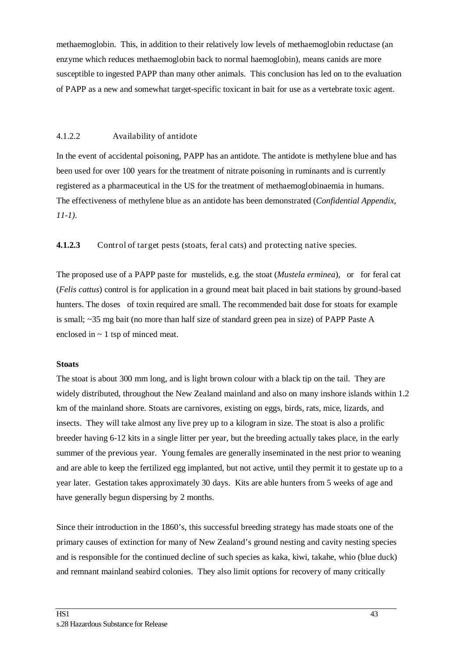methaemoglobin. This, in addition to their relatively low levels of methaemoglobin reductase (an enzyme which reduces methaemoglobin back to normal haemoglobin), means canids are more susceptible to ingested PAPP than many other animals. This conclusion has led on to the evaluation of PAPP as a new and somewhat target-specific toxicant in bait for use as a vertebrate toxic agent.

#### 4.1.2.2 Availability of antidote

In the event of accidental poisoning, PAPP has an antidote. The antidote is methylene blue and has been used for over 100 years for the treatment of nitrate poisoning in ruminants and is currently registered as a pharmaceutical in the US for the treatment of methaemoglobinaemia in humans. The effectiveness of methylene blue as an antidote has been demonstrated (*Confidential Appendix, 11-1).*

**4.1.2.3** Control of target pests (stoats, feral cats) and protecting native species.

The proposed use of a PAPP paste for mustelids, e.g. the stoat (*Mustela erminea*), or for feral cat (*Felis cattus*) control is for application in a ground meat bait placed in bait stations by ground-based hunters. The doses of toxin required are small. The recommended bait dose for stoats for example is small; ~35 mg bait (no more than half size of standard green pea in size) of PAPP Paste A enclosed in  $\sim$  1 tsp of minced meat.

#### **Stoats**

The stoat is about 300 mm long, and is light brown colour with a black tip on the tail. They are widely distributed, throughout the New Zealand mainland and also on many inshore islands within 1.2 km of the mainland shore. Stoats are carnivores, existing on eggs, birds, rats, mice, lizards, and insects. They will take almost any live prey up to a kilogram in size. The stoat is also a prolific breeder having 6-12 kits in a single litter per year, but the breeding actually takes place, in the early summer of the previous year. Young females are generally inseminated in the nest prior to weaning and are able to keep the fertilized egg implanted, but not active, until they permit it to gestate up to a year later. Gestation takes approximately 30 days. Kits are able hunters from 5 weeks of age and have generally begun dispersing by 2 months.

Since their introduction in the 1860's, this successful breeding strategy has made stoats one of the primary causes of extinction for many of New Zealand's ground nesting and cavity nesting species and is responsible for the continued decline of such species as kaka, kiwi, takahe, whio (blue duck) and remnant mainland seabird colonies. They also limit options for recovery of many critically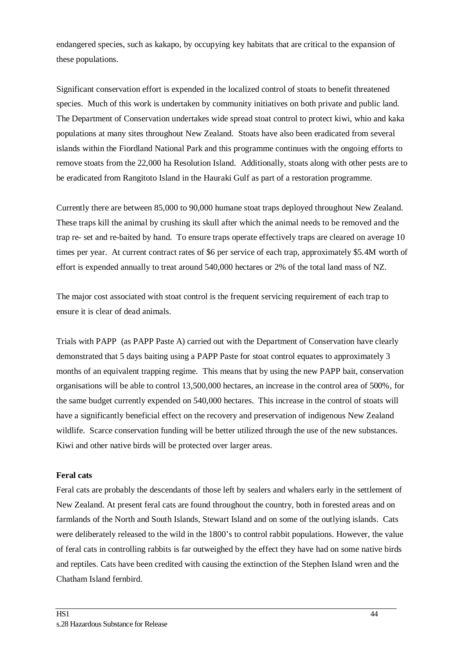endangered species, such as kakapo, by occupying key habitats that are critical to the expansion of these populations.

Significant conservation effort is expended in the localized control of stoats to benefit threatened species. Much of this work is undertaken by community initiatives on both private and public land. The Department of Conservation undertakes wide spread stoat control to protect kiwi, whio and kaka populations at many sites throughout New Zealand. Stoats have also been eradicated from several islands within the Fiordland National Park and this programme continues with the ongoing efforts to remove stoats from the 22,000 ha Resolution Island. Additionally, stoats along with other pests are to be eradicated from Rangitoto Island in the Hauraki Gulf as part of a restoration programme.

Currently there are between 85,000 to 90,000 humane stoat traps deployed throughout New Zealand. These traps kill the animal by crushing its skull after which the animal needs to be removed and the trap re- set and re-baited by hand. To ensure traps operate effectively traps are cleared on average 10 times per year. At current contract rates of \$6 per service of each trap, approximately \$5.4M worth of effort is expended annually to treat around 540,000 hectares or 2% of the total land mass of NZ.

The major cost associated with stoat control is the frequent servicing requirement of each trap to ensure it is clear of dead animals.

Trials with PAPP (as PAPP Paste A) carried out with the Department of Conservation have clearly demonstrated that 5 days baiting using a PAPP Paste for stoat control equates to approximately 3 months of an equivalent trapping regime. This means that by using the new PAPP bait, conservation organisations will be able to control 13,500,000 hectares, an increase in the control area of 500%, for the same budget currently expended on 540,000 hectares. This increase in the control of stoats will have a significantly beneficial effect on the recovery and preservation of indigenous New Zealand wildlife. Scarce conservation funding will be better utilized through the use of the new substances. Kiwi and other native birds will be protected over larger areas.

#### **Feral cats**

Feral cats are probably the descendants of those left by sealers and whalers early in the settlement of New Zealand. At present feral cats are found throughout the country, both in forested areas and on farmlands of the North and South Islands, Stewart Island and on some of the outlying islands. Cats were deliberately released to the wild in the 1800's to control rabbit populations. However, the value of feral cats in controlling rabbits is far outweighed by the effect they have had on some native birds and reptiles. Cats have been credited with causing the extinction of the Stephen Island wren and the Chatham Island fernbird.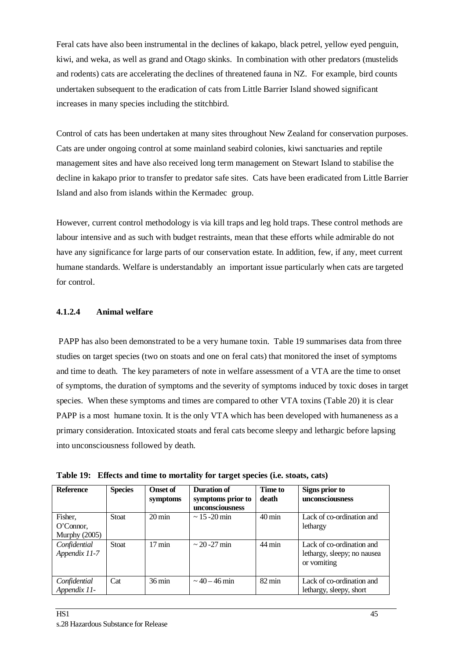Feral cats have also been instrumental in the declines of kakapo, black petrel, yellow eyed penguin, kiwi, and weka, as well as grand and Otago skinks. In combination with other predators (mustelids and rodents) cats are accelerating the declines of threatened fauna in NZ. For example, bird counts undertaken subsequent to the eradication of cats from Little Barrier Island showed significant increases in many species including the stitchbird.

Control of cats has been undertaken at many sites throughout New Zealand for conservation purposes. Cats are under ongoing control at some mainland seabird colonies, kiwi sanctuaries and reptile management sites and have also received long term management on Stewart Island to stabilise the decline in kakapo prior to transfer to predator safe sites. Cats have been eradicated from Little Barrier Island and also from islands within the Kermadec group.

However, current control methodology is via kill traps and leg hold traps. These control methods are labour intensive and as such with budget restraints, mean that these efforts while admirable do not have any significance for large parts of our conservation estate. In addition, few, if any, meet current humane standards. Welfare is understandably an important issue particularly when cats are targeted for control.

#### **4.1.2.4 Animal welfare**

PAPP has also been demonstrated to be a very humane toxin. Table 19 summarises data from three studies on target species (two on stoats and one on feral cats) that monitored the inset of symptoms and time to death. The key parameters of note in welfare assessment of a VTA are the time to onset of symptoms, the duration of symptoms and the severity of symptoms induced by toxic doses in target species. When these symptoms and times are compared to other VTA toxins (Table 20) it is clear PAPP is a most humane toxin. It is the only VTA which has been developed with humaneness as a primary consideration. Intoxicated stoats and feral cats become sleepy and lethargic before lapsing into unconsciousness followed by death.

|  |  |  | Table 19: Effects and time to mortality for target species (i.e. stoats, cats) |  |
|--|--|--|--------------------------------------------------------------------------------|--|
|--|--|--|--------------------------------------------------------------------------------|--|

| <b>Reference</b> | <b>Species</b> | <b>Onset of</b>     | Duration of        | <b>Time to</b>      | Signs prior to              |
|------------------|----------------|---------------------|--------------------|---------------------|-----------------------------|
|                  |                | symptoms            | symptoms prior to  | death               | unconsciousness             |
|                  |                |                     | unconsciousness    |                     |                             |
| Fisher,          | <b>Stoat</b>   | $20 \,\mathrm{min}$ | $\sim$ 15 -20 min  | $40 \text{ min}$    | Lack of co-ordination and   |
| O'Connor,        |                |                     |                    |                     | lethargy                    |
| Murphy $(2005)$  |                |                     |                    |                     |                             |
| Confidential     | <b>Stoat</b>   | $17 \text{ min}$    | $\sim$ 20 - 27 min | $44 \text{ min}$    | Lack of co-ordination and   |
| Appendix 11-7    |                |                     |                    |                     | lethargy, sleepy; no nausea |
|                  |                |                     |                    |                     | or vomiting                 |
|                  |                |                     |                    |                     |                             |
| Confidential     | Cat            | $36 \,\mathrm{min}$ | $\sim$ 40 – 46 min | $82 \,\mathrm{min}$ | Lack of co-ordination and   |
| Appendix 11-     |                |                     |                    |                     | lethargy, sleepy, short     |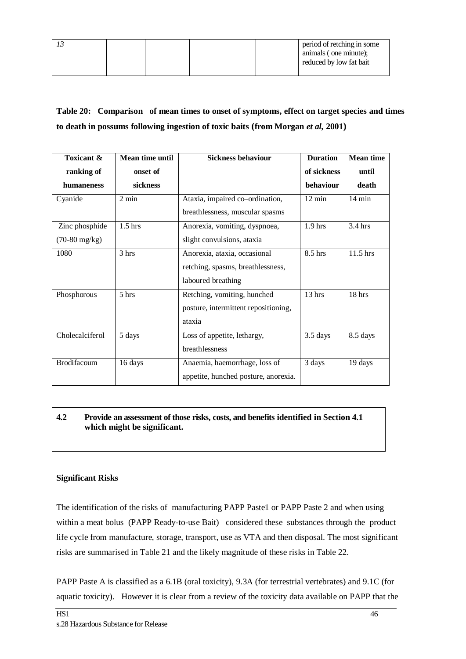|  |  | period of retching in some |
|--|--|----------------------------|
|  |  | animals (one minute);      |
|  |  | reduced by low fat bait    |
|  |  |                            |

### **Table 20: Comparison of mean times to onset of symptoms, effect on target species and times to death in possums following ingestion of toxic baits (from Morgan** *et al,* **2001)**

| Toxicant &              | Mean time until | <b>Sickness behaviour</b>            | <b>Duration</b>  | <b>Mean time</b>  |
|-------------------------|-----------------|--------------------------------------|------------------|-------------------|
| ranking of              | onset of        |                                      | of sickness      | until             |
| humaneness              | sickness        |                                      | behaviour        | death             |
| Cyanide                 | $2 \text{ min}$ | Ataxia, impaired co-ordination,      | $12 \text{ min}$ | $14 \text{ min}$  |
|                         |                 | breathlessness, muscular spasms      |                  |                   |
| Zinc phosphide          | $1.5$ hrs       | Anorexia, vomiting, dyspnoea,        | $1.9$ hrs        | $3.4 \text{ hrs}$ |
| $(70-80 \text{ mg/kg})$ |                 | slight convulsions, ataxia           |                  |                   |
| 1080                    | 3 hrs           | Anorexia, ataxia, occasional         | 8.5 hrs          | 11.5 hrs          |
|                         |                 | retching, spasms, breathlessness,    |                  |                   |
|                         |                 | laboured breathing                   |                  |                   |
| Phosphorous             | 5 hrs           | Retching, vomiting, hunched          | 13 hrs           | 18 hrs            |
|                         |                 | posture, intermittent repositioning, |                  |                   |
|                         |                 | ataxia                               |                  |                   |
| Cholecalciferol         | 5 days          | Loss of appetite, lethargy,          | $3.5$ days       | 8.5 days          |
|                         |                 | breathlessness                       |                  |                   |
| Brodifacoum             | 16 days         | Anaemia, haemorrhage, loss of        | 3 days           | 19 days           |
|                         |                 | appetite, hunched posture, anorexia. |                  |                   |

#### **4.2 Provide an assessment of those risks, costs, and benefits identified in Section 4.1 which might be significant.**

#### **Significant Risks**

The identification of the risks of manufacturing PAPP Paste1 or PAPP Paste 2 and when using within a meat bolus (PAPP Ready-to-use Bait) considered these substances through the product life cycle from manufacture, storage, transport, use as VTA and then disposal. The most significant risks are summarised in Table 21 and the likely magnitude of these risks in Table 22.

PAPP Paste A is classified as a 6.1B (oral toxicity), 9.3A (for terrestrial vertebrates) and 9.1C (for aquatic toxicity). However it is clear from a review of the toxicity data available on PAPP that the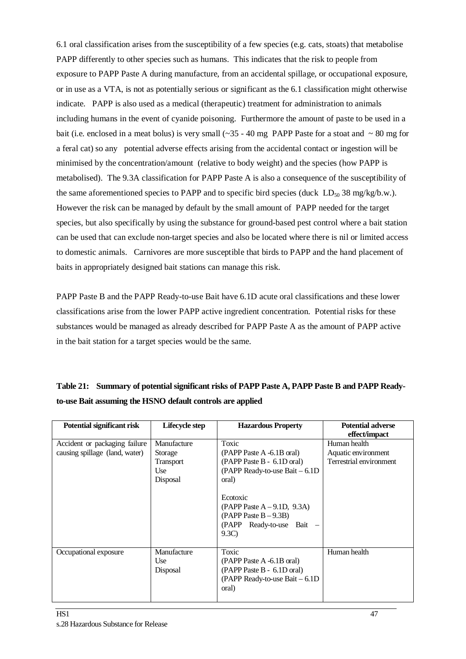6.1 oral classification arises from the susceptibility of a few species (e.g. cats, stoats) that metabolise PAPP differently to other species such as humans. This indicates that the risk to people from exposure to PAPP Paste A during manufacture, from an accidental spillage, or occupational exposure, or in use as a VTA, is not as potentially serious or significant as the 6.1 classification might otherwise indicate. PAPP is also used as a medical (therapeutic) treatment for administration to animals including humans in the event of cyanide poisoning. Furthermore the amount of paste to be used in a bait (i.e. enclosed in a meat bolus) is very small ( $\sim$ 35 - 40 mg PAPP Paste for a stoat and  $\sim$  80 mg for a feral cat) so any potential adverse effects arising from the accidental contact or ingestion will be minimised by the concentration/amount (relative to body weight) and the species (how PAPP is metabolised). The 9.3A classification for PAPP Paste A is also a consequence of the susceptibility of the same aforementioned species to PAPP and to specific bird species (duck  $LD_{50}$  38 mg/kg/b.w.). However the risk can be managed by default by the small amount of PAPP needed for the target species, but also specifically by using the substance for ground-based pest control where a bait station can be used that can exclude non-target species and also be located where there is nil or limited access to domestic animals. Carnivores are more susceptible that birds to PAPP and the hand placement of baits in appropriately designed bait stations can manage this risk.

PAPP Paste B and the PAPP Ready-to-use Bait have 6.1D acute oral classifications and these lower classifications arise from the lower PAPP active ingredient concentration. Potential risks for these substances would be managed as already described for PAPP Paste A as the amount of PAPP active in the bait station for a target species would be the same.

| <b>Potential significant risk</b> | Lifecycle step | <b>Hazardous Property</b>       | <b>Potential adverse</b> |
|-----------------------------------|----------------|---------------------------------|--------------------------|
|                                   |                |                                 | effect/impact            |
| Accident or packaging failure     | Manufacture    | Toxic                           | Human health             |
| causing spillage (land, water)    | Storage        | (PAPP Paste A -6.1B oral)       | Aquatic environment      |
|                                   | Transport      | (PAPP Paste B - 6.1D oral)      | Terrestrial environment  |
|                                   | Use            | (PAPP Ready-to-use Bait - 6.1D) |                          |
|                                   | Disposal       | oral)                           |                          |
|                                   |                |                                 |                          |
|                                   |                | Ecotoxic                        |                          |
|                                   |                | (PAPP Paste $A - 9.1D$ , 9.3A)  |                          |
|                                   |                | $(PAPP$ Paste $B - 9.3B$        |                          |
|                                   |                | (PAPP Ready-to-use Bait -       |                          |
|                                   |                | 9.3C                            |                          |
|                                   |                |                                 |                          |
| Occupational exposure             | Manufacture    | Toxic                           | Human health             |
|                                   | Use            | (PAPP Paste A -6.1B oral)       |                          |
|                                   | Disposal       | (PAPP Paste B - 6.1D oral)      |                          |
|                                   |                | (PAPP Ready-to-use Bait - 6.1D) |                          |
|                                   |                | oral)                           |                          |
|                                   |                |                                 |                          |

### **Table 21: Summary of potential significant risks of PAPP Paste A, PAPP Paste B and PAPP Readyto-use Bait assuming the HSNO default controls are applied**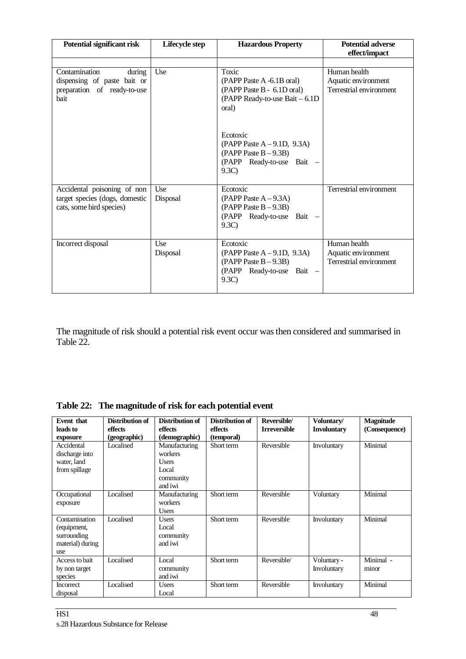| Potential significant risk                                                                | Lifecycle step  | <b>Hazardous Property</b>                                                                                    | <b>Potential adverse</b><br>effect/impact                      |
|-------------------------------------------------------------------------------------------|-----------------|--------------------------------------------------------------------------------------------------------------|----------------------------------------------------------------|
| Contamination<br>during<br>dispensing of paste bait or                                    | Use             | Toxic<br>(PAPP Paste A -6.1B oral)                                                                           | Human health<br>Aquatic environment                            |
| preparation of ready-to-use<br>bait                                                       |                 | (PAPP Paste B - 6.1D oral)<br>(PAPP Ready-to-use Bait - 6.1D)<br>oral)                                       | Terrestrial environment                                        |
|                                                                                           |                 | Ecotoxic<br>(PAPP Paste $A - 9.1D$ , 9.3A)<br>$(PAPP$ Paste $B - 9.3B)$<br>(PAPP Ready-to-use Bait -<br>9.3C |                                                                |
| Accidental poisoning of non<br>target species (dogs, domestic<br>cats, some bird species) | Use<br>Disposal | Ecotoxic<br>$(PAPP$ Paste $A - 9.3A)$<br>$(PAPP$ Paste $B - 9.3B)$<br>(PAPP Ready-to-use Bait -<br>9.3C      | Terrestrial environment                                        |
| Incorrect disposal                                                                        | Use<br>Disposal | Ecotoxic<br>(PAPP Paste $A - 9.1D$ , 9.3A)<br>$(PAPP$ Paste $B - 9.3B)$<br>(PAPP Ready-to-use Bait -<br>9.3C | Human health<br>Aquatic environment<br>Terrestrial environment |

The magnitude of risk should a potential risk event occur was then considered and summarised in Table 22.

| Table 22: The magnitude of risk for each potential event |
|----------------------------------------------------------|
|                                                          |

| <b>Event that</b> | Distribution of | Distribution of | Distribution of | Reversible/         | Voluntary/         | <b>Magnitude</b> |
|-------------------|-----------------|-----------------|-----------------|---------------------|--------------------|------------------|
| leads to          | effects         | effects         | effects         | <b>Irreversible</b> | <b>Involuntary</b> | (Consequence)    |
| exposure          | (geographic)    | (demographic)   | (temporal)      |                     |                    |                  |
| Accidental        | Localised       | Manufacturing   | Short term      | Reversible          | Involuntary        | Minimal          |
| discharge into    |                 | workers         |                 |                     |                    |                  |
| water, land       |                 | <b>Users</b>    |                 |                     |                    |                  |
| from spillage     |                 | Local           |                 |                     |                    |                  |
|                   |                 | community       |                 |                     |                    |                  |
|                   |                 | and iwi         |                 |                     |                    |                  |
| Occupational      | Localised       | Manufacturing   | Short term      | Reversible          | Voluntary          | Minimal          |
| exposure          |                 | workers         |                 |                     |                    |                  |
|                   |                 | <b>Users</b>    |                 |                     |                    |                  |
| Contamination     | Localised       | <b>Users</b>    | Short term      | Reversible          | Involuntary        | Minimal          |
| (equipment,       |                 | Local           |                 |                     |                    |                  |
| surrounding       |                 | community       |                 |                     |                    |                  |
| material) during  |                 | and iwi         |                 |                     |                    |                  |
| use               |                 |                 |                 |                     |                    |                  |
| Access to bait    | Localised       | Local           | Short term      | Reversible/         | Voluntary -        | Minimal -        |
| by non target     |                 | community       |                 |                     | Involuntary        | minor            |
| species           |                 | and iwi         |                 |                     |                    |                  |
| Incorrect         | Localised       | <b>Users</b>    | Short term      | Reversible          | Involuntary        | Minimal          |
| disposal          |                 | Local           |                 |                     |                    |                  |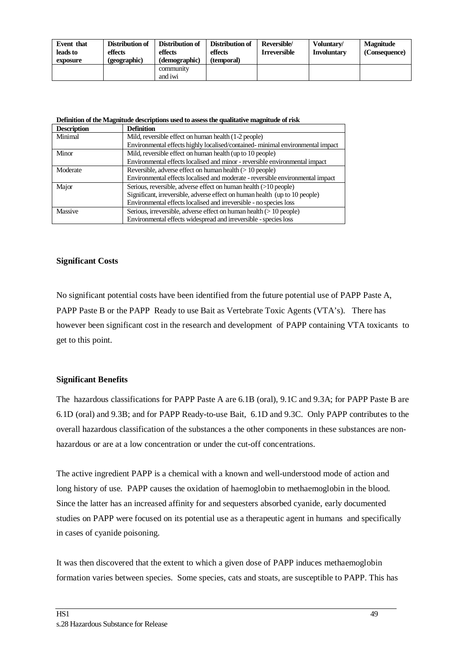| Event that<br>leads to<br>exposure | Distribution of<br>effects<br>(geographic) | Distribution of<br>effects<br>(demographic) | Distribution of<br>effects<br>(temporal) | Reversible/<br><b>Irreversible</b> | Voluntary/<br><b>Involuntary</b> | <b>Magnitude</b><br>(Consequence) |
|------------------------------------|--------------------------------------------|---------------------------------------------|------------------------------------------|------------------------------------|----------------------------------|-----------------------------------|
|                                    |                                            | community<br>and iwi                        |                                          |                                    |                                  |                                   |

**Definition of the Magnitude descriptions used to assess the qualitative magnitude of risk**

| <b>Description</b> | <b>Definition</b>                                                              |
|--------------------|--------------------------------------------------------------------------------|
| Minimal            | Mild, reversible effect on human health (1-2 people)                           |
|                    | Environmental effects highly localised/contained-minimal environmental impact  |
| Minor              | Mild, reversible effect on human health (up to 10 people)                      |
|                    | Environmental effects localised and minor - reversible environmental impact    |
| Moderate           | Reversible, adverse effect on human health $(>10$ people)                      |
|                    | Environmental effects localised and moderate - reversible environmental impact |
| Major              | Serious, reversible, adverse effect on human health (>10 people)               |
|                    | Significant, irreversible, adverse effect on human health (up to 10 people)    |
|                    | Environmental effects localised and irreversible - no species loss             |
| Massive            | Serious, irreversible, adverse effect on human health $(>10$ people)           |
|                    | Environmental effects widespread and irreversible - species loss               |

#### **Significant Costs**

No significant potential costs have been identified from the future potential use of PAPP Paste A, PAPP Paste B or the PAPP Ready to use Bait as Vertebrate Toxic Agents (VTA's). There has however been significant cost in the research and development of PAPP containing VTA toxicants to get to this point.

#### **Significant Benefits**

The hazardous classifications for PAPP Paste A are 6.1B (oral), 9.1C and 9.3A; for PAPP Paste B are 6.1D (oral) and 9.3B; and for PAPP Ready-to-use Bait, 6.1D and 9.3C. Only PAPP contributes to the overall hazardous classification of the substances a the other components in these substances are nonhazardous or are at a low concentration or under the cut-off concentrations.

The active ingredient PAPP is a chemical with a known and well-understood mode of action and long history of use. PAPP causes the oxidation of haemoglobin to methaemoglobin in the blood. Since the latter has an increased affinity for and sequesters absorbed cyanide, early documented studies on PAPP were focused on its potential use as a therapeutic agent in humans and specifically in cases of cyanide poisoning.

It was then discovered that the extent to which a given dose of PAPP induces methaemoglobin formation varies between species. Some species, cats and stoats, are susceptible to PAPP. This has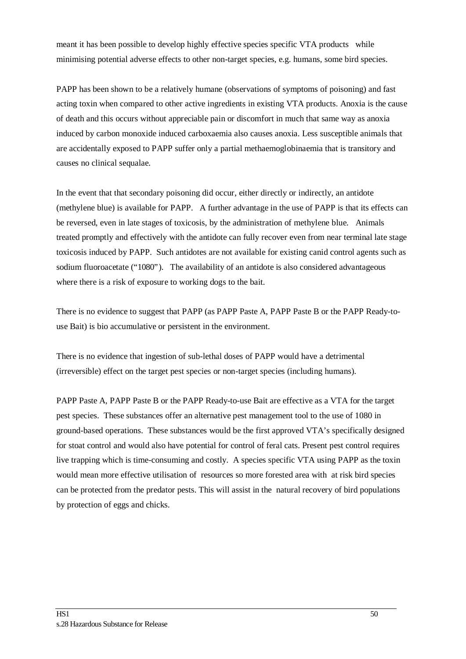meant it has been possible to develop highly effective species specific VTA products while minimising potential adverse effects to other non-target species, e.g. humans, some bird species.

PAPP has been shown to be a relatively humane (observations of symptoms of poisoning) and fast acting toxin when compared to other active ingredients in existing VTA products. Anoxia is the cause of death and this occurs without appreciable pain or discomfort in much that same way as anoxia induced by carbon monoxide induced carboxaemia also causes anoxia. Less susceptible animals that are accidentally exposed to PAPP suffer only a partial methaemoglobinaemia that is transitory and causes no clinical sequalae.

In the event that that secondary poisoning did occur, either directly or indirectly, an antidote (methylene blue) is available for PAPP. A further advantage in the use of PAPP is that its effects can be reversed, even in late stages of toxicosis, by the administration of methylene blue. Animals treated promptly and effectively with the antidote can fully recover even from near terminal late stage toxicosis induced by PAPP. Such antidotes are not available for existing canid control agents such as sodium fluoroacetate ("1080"). The availability of an antidote is also considered advantageous where there is a risk of exposure to working dogs to the bait.

There is no evidence to suggest that PAPP (as PAPP Paste A, PAPP Paste B or the PAPP Ready-touse Bait) is bio accumulative or persistent in the environment.

There is no evidence that ingestion of sub-lethal doses of PAPP would have a detrimental (irreversible) effect on the target pest species or non-target species (including humans).

PAPP Paste A, PAPP Paste B or the PAPP Ready-to-use Bait are effective as a VTA for the target pest species. These substances offer an alternative pest management tool to the use of 1080 in ground-based operations. These substances would be the first approved VTA's specifically designed for stoat control and would also have potential for control of feral cats. Present pest control requires live trapping which is time-consuming and costly. A species specific VTA using PAPP as the toxin would mean more effective utilisation of resources so more forested area with at risk bird species can be protected from the predator pests. This will assist in the natural recovery of bird populations by protection of eggs and chicks.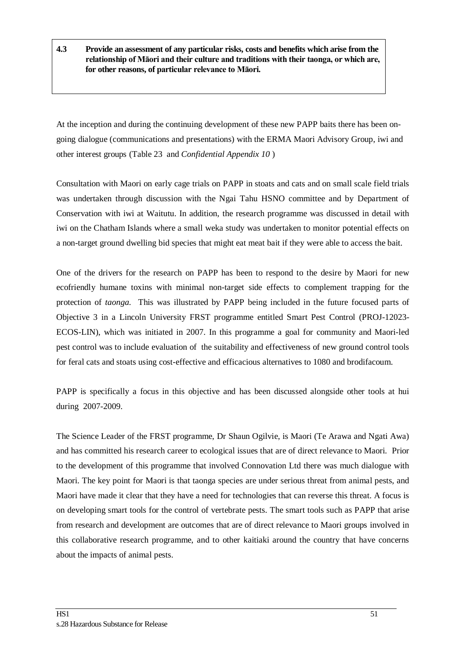**4.3 Provide an assessment of any particular risks, costs and benefits which arise from the relationship of Māori and their culture and traditions with their taonga, or which are, for other reasons, of particular relevance to Māori.**

At the inception and during the continuing development of these new PAPP baits there has been ongoing dialogue (communications and presentations) with the ERMA Maori Advisory Group, iwi and other interest groups (Table 23 and *Confidential Appendix 10* )

Consultation with Maori on early cage trials on PAPP in stoats and cats and on small scale field trials was undertaken through discussion with the Ngai Tahu HSNO committee and by Department of Conservation with iwi at Waitutu. In addition, the research programme was discussed in detail with iwi on the Chatham Islands where a small weka study was undertaken to monitor potential effects on a non-target ground dwelling bid species that might eat meat bait if they were able to access the bait.

One of the drivers for the research on PAPP has been to respond to the desire by Maori for new ecofriendly humane toxins with minimal non-target side effects to complement trapping for the protection of *taonga.* This was illustrated by PAPP being included in the future focused parts of Objective 3 in a Lincoln University FRST programme entitled Smart Pest Control (PROJ-12023- ECOS-LIN), which was initiated in 2007. In this programme a goal for community and Maori-led pest control was to include evaluation of the suitability and effectiveness of new ground control tools for feral cats and stoats using cost-effective and efficacious alternatives to 1080 and brodifacoum.

PAPP is specifically a focus in this objective and has been discussed alongside other tools at hui during 2007-2009.

The Science Leader of the FRST programme, Dr Shaun Ogilvie, is Maori (Te Arawa and Ngati Awa) and has committed his research career to ecological issues that are of direct relevance to Maori. Prior to the development of this programme that involved Connovation Ltd there was much dialogue with Maori. The key point for Maori is that taonga species are under serious threat from animal pests, and Maori have made it clear that they have a need for technologies that can reverse this threat. A focus is on developing smart tools for the control of vertebrate pests. The smart tools such as PAPP that arise from research and development are outcomes that are of direct relevance to Maori groups involved in this collaborative research programme, and to other kaitiaki around the country that have concerns about the impacts of animal pests.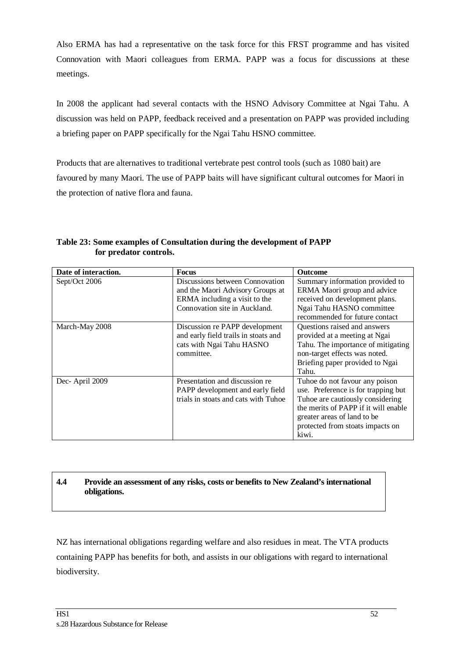Also ERMA has had a representative on the task force for this FRST programme and has visited Connovation with Maori colleagues from ERMA. PAPP was a focus for discussions at these meetings.

In 2008 the applicant had several contacts with the HSNO Advisory Committee at Ngai Tahu. A discussion was held on PAPP, feedback received and a presentation on PAPP was provided including a briefing paper on PAPP specifically for the Ngai Tahu HSNO committee.

Products that are alternatives to traditional vertebrate pest control tools (such as 1080 bait) are favoured by many Maori. The use of PAPP baits will have significant cultural outcomes for Maori in the protection of native flora and fauna.

| Date of interaction. | <b>Focus</b>                                                                                                      | <b>Outcome</b>                                                                                                                                                                                                                |
|----------------------|-------------------------------------------------------------------------------------------------------------------|-------------------------------------------------------------------------------------------------------------------------------------------------------------------------------------------------------------------------------|
| Sept/Oct 2006        | Discussions between Connovation<br>and the Maori Advisory Groups at                                               | Summary information provided to<br>ERMA Maori group and advice                                                                                                                                                                |
|                      | ERMA including a visit to the                                                                                     | received on development plans.                                                                                                                                                                                                |
|                      | Connovation site in Auckland.                                                                                     | Ngai Tahu HASNO committee<br>recommended for future contact                                                                                                                                                                   |
| March-May 2008       | Discussion re PAPP development<br>and early field trails in stoats and<br>cats with Ngai Tahu HASNO<br>committee. | Questions raised and answers<br>provided at a meeting at Ngai<br>Tahu. The importance of mitigating<br>non-target effects was noted.<br>Briefing paper provided to Ngai<br>Tahu.                                              |
| Dec-April 2009       | Presentation and discussion re<br>PAPP development and early field<br>trials in stoats and cats with Tuhoe        | Tuhoe do not favour any poison<br>use. Preference is for trapping but<br>Tuhoe are cautiously considering<br>the merits of PAPP if it will enable<br>greater areas of land to be<br>protected from stoats impacts on<br>kiwi. |

**Table 23: Some examples of Consultation during the development of PAPP for predator controls.**

#### **4.4 Provide an assessment of any risks, costs or benefits to New Zealand's international obligations.**

NZ has international obligations regarding welfare and also residues in meat. The VTA products containing PAPP has benefits for both, and assists in our obligations with regard to international biodiversity.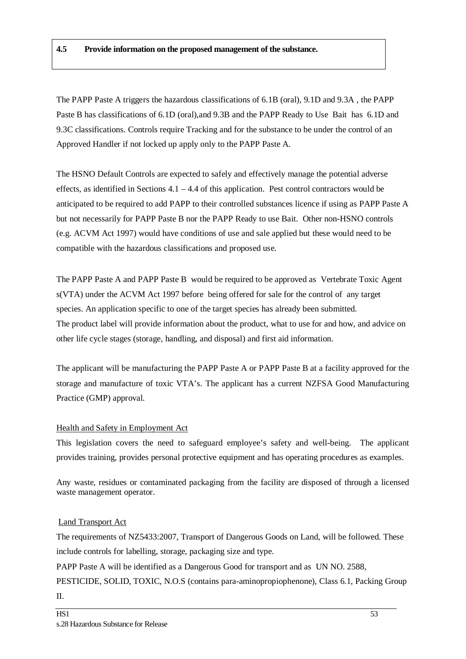The PAPP Paste A triggers the hazardous classifications of 6.1B (oral), 9.1D and 9.3A , the PAPP Paste B has classifications of 6.1D (oral),and 9.3B and the PAPP Ready to Use Bait has 6.1D and 9.3C classifications. Controls require Tracking and for the substance to be under the control of an Approved Handler if not locked up apply only to the PAPP Paste A.

The HSNO Default Controls are expected to safely and effectively manage the potential adverse effects, as identified in Sections 4.1 – 4.4 of this application. Pest control contractors would be anticipated to be required to add PAPP to their controlled substances licence if using as PAPP Paste A but not necessarily for PAPP Paste B nor the PAPP Ready to use Bait. Other non-HSNO controls (e.g. ACVM Act 1997) would have conditions of use and sale applied but these would need to be compatible with the hazardous classifications and proposed use.

The PAPP Paste A and PAPP Paste B would be required to be approved as Vertebrate Toxic Agent s(VTA) under the ACVM Act 1997 before being offered for sale for the control of any target species. An application specific to one of the target species has already been submitted. The product label will provide information about the product, what to use for and how, and advice on other life cycle stages (storage, handling, and disposal) and first aid information.

The applicant will be manufacturing the PAPP Paste A or PAPP Paste B at a facility approved for the storage and manufacture of toxic VTA's. The applicant has a current NZFSA Good Manufacturing Practice (GMP) approval.

#### Health and Safety in Employment Act

This legislation covers the need to safeguard employee's safety and well-being. The applicant provides training, provides personal protective equipment and has operating procedures as examples.

Any waste, residues or contaminated packaging from the facility are disposed of through a licensed waste management operator.

#### Land Transport Act

The requirements of NZ5433:2007, Transport of Dangerous Goods on Land, will be followed. These include controls for labelling, storage, packaging size and type.

PAPP Paste A will be identified as a Dangerous Good for transport and as UN NO. 2588,

PESTICIDE, SOLID, TOXIC, N.O.S (contains para-aminopropiophenone), Class 6.1, Packing Group  $II$ .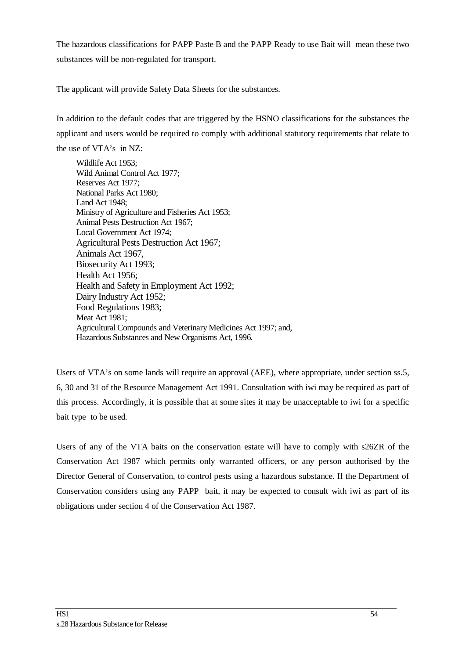The hazardous classifications for PAPP Paste B and the PAPP Ready to use Bait will mean these two substances will be non-regulated for transport.

The applicant will provide Safety Data Sheets for the substances.

In addition to the default codes that are triggered by the HSNO classifications for the substances the applicant and users would be required to comply with additional statutory requirements that relate to

the use of VTA's in NZ:

Wildlife Act 1953; Wild Animal Control Act 1977; Reserves Act 1977; National Parks Act 1980; Land Act 1948; Ministry of Agriculture and Fisheries Act 1953; Animal Pests Destruction Act 1967; Local Government Act 1974; Agricultural Pests Destruction Act 1967; Animals Act 1967, Biosecurity Act 1993; Health Act 1956; Health and Safety in Employment Act 1992; Dairy Industry Act 1952; Food Regulations 1983; Meat Act 1981; Agricultural Compounds and Veterinary Medicines Act 1997; and, Hazardous Substances and New Organisms Act, 1996.

Users of VTA's on some lands will require an approval (AEE), where appropriate, under section ss.5, 6, 30 and 31 of the Resource Management Act 1991. Consultation with iwi may be required as part of this process. Accordingly, it is possible that at some sites it may be unacceptable to iwi for a specific bait type to be used.

Users of any of the VTA baits on the conservation estate will have to comply with s26ZR of the Conservation Act 1987 which permits only warranted officers, or any person authorised by the Director General of Conservation, to control pests using a hazardous substance. If the Department of Conservation considers using any PAPP bait, it may be expected to consult with iwi as part of its obligations under section 4 of the Conservation Act 1987.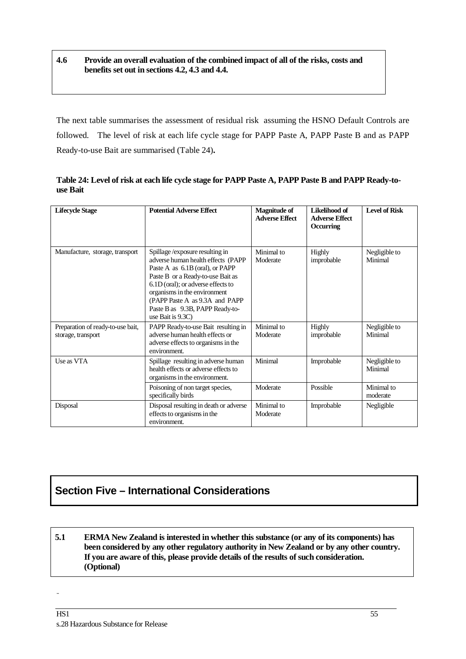#### **4.6 Provide an overall evaluation of the combined impact of all of the risks, costs and benefits set out in sections 4.2, 4.3 and 4.4.**

The next table summarises the assessment of residual risk assuming the HSNO Default Controls are followed. The level of risk at each life cycle stage for PAPP Paste A, PAPP Paste B and as PAPP Ready-to-use Bait are summarised (Table 24)**.**

**Lifecycle Stage Potential Adverse Effect Magnitude of Magnitude of Adverse Effect Likelihood of Adverse Effect Occurring Level of Risk** Manufacture, storage, transport Spillage /exposure resulting in adverse human health effects (PAPP Paste A as 6.1B (oral), or PAPP Paste B or a Ready-to-use Bait as 6.1D (oral); or adverse effects to organisms in the environment (PAPP Paste A as 9.3A and PAPP Paste B as 9.3B, PAPP Ready-touse Bait is 9.3C) Minimal to Moderate Highly improbable Negligible to Minimal Preparation of ready-to-use bait, storage, transport PAPP Ready-to-use Bait resulting in adverse human health effects or adverse effects to organisms in the environment. Minimal to Moderate Highly improbable Negligible to Minimal Use as VTA Spillage resulting in adverse human health effects or adverse effects to organisms in the environment. Minimal Improbable Negligible to Minimal Poisoning of non target species, specifically birds Moderate Possible Minimal to moderate Disposal Disposal resulting in death or adverse effects to organisms in the environment. Minimal to Moderate Improbable Negligible

**Table 24: Level of risk at each life cycle stage for PAPP Paste A, PAPP Paste B and PAPP Ready-touse Bait**

### **Section Five – International Considerations**

**5.1 ERMA New Zealand is interested in whether this substance (or any of its components) has been considered by any other regulatory authority in New Zealand or by any other country. If you are aware of this, please provide details of the results of such consideration. (Optional)**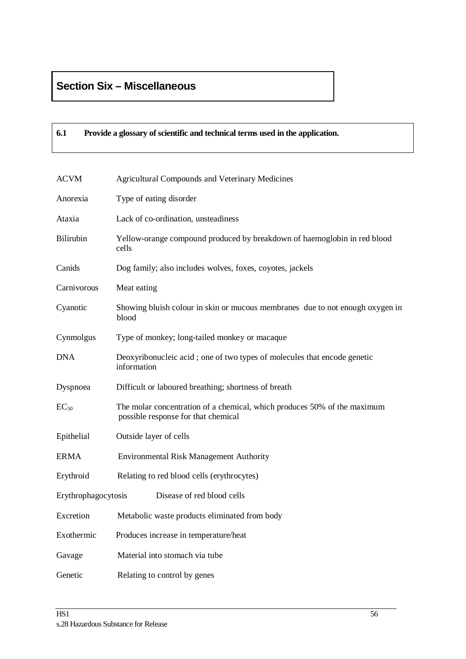### **Section Six – Miscellaneous**

#### **6.1 Provide a glossary of scientific and technical terms used in the application.**

| <b>ACVM</b>         | <b>Agricultural Compounds and Veterinary Medicines</b>                                                          |
|---------------------|-----------------------------------------------------------------------------------------------------------------|
| Anorexia            | Type of eating disorder                                                                                         |
| Ataxia              | Lack of co-ordination, unsteadiness                                                                             |
| Bilirubin           | Yellow-orange compound produced by breakdown of haemoglobin in red blood<br>cells                               |
| Canids              | Dog family; also includes wolves, foxes, coyotes, jackels                                                       |
| Carnivorous         | Meat eating                                                                                                     |
| Cyanotic            | Showing bluish colour in skin or mucous membranes due to not enough oxygen in<br>blood                          |
| Cynmolgus           | Type of monkey; long-tailed monkey or macaque                                                                   |
| <b>DNA</b>          | Deoxyribonucleic acid; one of two types of molecules that encode genetic<br>information                         |
| Dyspnoea            | Difficult or laboured breathing; shortness of breath                                                            |
| $EC_{50}$           | The molar concentration of a chemical, which produces 50% of the maximum<br>possible response for that chemical |
| Epithelial          | Outside layer of cells                                                                                          |
| <b>ERMA</b>         | <b>Environmental Risk Management Authority</b>                                                                  |
| Erythroid           | Relating to red blood cells (erythrocytes)                                                                      |
| Erythrophagocytosis | Disease of red blood cells                                                                                      |
| Excretion           | Metabolic waste products eliminated from body                                                                   |
| Exothermic          | Produces increase in temperature/heat                                                                           |
| Gavage              | Material into stomach via tube                                                                                  |
| Genetic             | Relating to control by genes                                                                                    |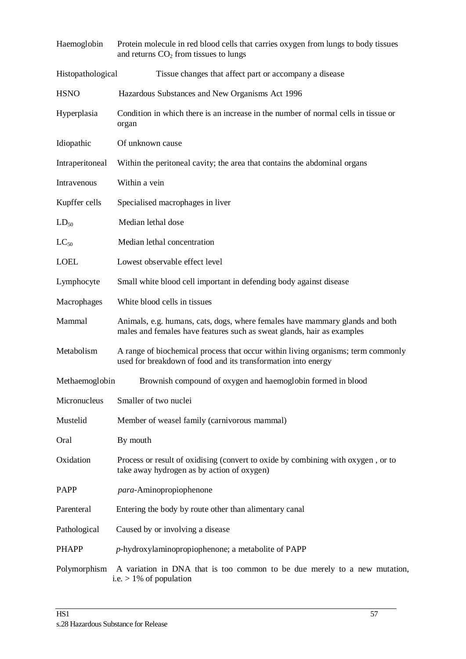| Haemoglobin       | Protein molecule in red blood cells that carries oxygen from lungs to body tissues<br>and returns $CO2$ from tissues to lungs                          |
|-------------------|--------------------------------------------------------------------------------------------------------------------------------------------------------|
| Histopathological | Tissue changes that affect part or accompany a disease                                                                                                 |
| <b>HSNO</b>       | Hazardous Substances and New Organisms Act 1996                                                                                                        |
| Hyperplasia       | Condition in which there is an increase in the number of normal cells in tissue or<br>organ                                                            |
| Idiopathic        | Of unknown cause                                                                                                                                       |
| Intraperitoneal   | Within the peritoneal cavity; the area that contains the abdominal organs                                                                              |
| Intravenous       | Within a vein                                                                                                                                          |
| Kupffer cells     | Specialised macrophages in liver                                                                                                                       |
| $LD_{50}$         | Median lethal dose                                                                                                                                     |
| $LC_{50}$         | Median lethal concentration                                                                                                                            |
| <b>LOEL</b>       | Lowest observable effect level                                                                                                                         |
| Lymphocyte        | Small white blood cell important in defending body against disease                                                                                     |
| Macrophages       | White blood cells in tissues                                                                                                                           |
| Mammal            | Animals, e.g. humans, cats, dogs, where females have mammary glands and both<br>males and females have features such as sweat glands, hair as examples |
| Metabolism        | A range of biochemical process that occur within living organisms; term commonly<br>used for breakdown of food and its transformation into energy      |
| Methaemoglobin    | Brownish compound of oxygen and haemoglobin formed in blood                                                                                            |
| Micronucleus      | Smaller of two nuclei                                                                                                                                  |
| Mustelid          | Member of weasel family (carnivorous mammal)                                                                                                           |
| Oral              | By mouth                                                                                                                                               |
| Oxidation         | Process or result of oxidising (convert to oxide by combining with oxygen, or to<br>take away hydrogen as by action of oxygen)                         |
| <b>PAPP</b>       | para-Aminopropiophenone                                                                                                                                |
| Parenteral        | Entering the body by route other than alimentary canal                                                                                                 |
| Pathological      | Caused by or involving a disease                                                                                                                       |
| <b>PHAPP</b>      | $p$ -hydroxylaminopropiophenone; a metabolite of PAPP                                                                                                  |
| Polymorphism      | A variation in DNA that is too common to be due merely to a new mutation,<br>i.e. $> 1\%$ of population                                                |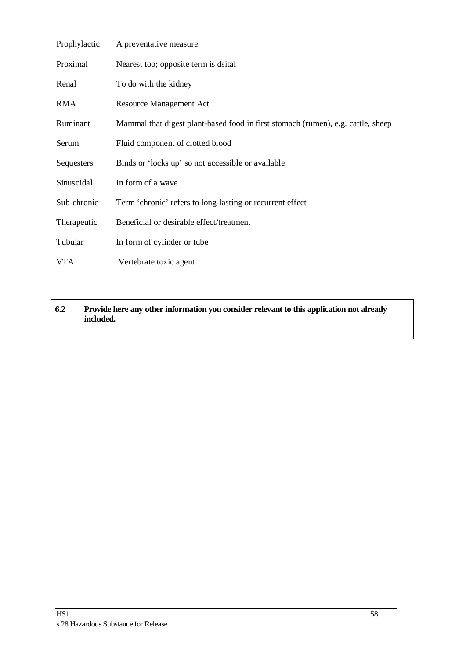| Prophylactic | A preventative measure                                                           |
|--------------|----------------------------------------------------------------------------------|
| Proximal     | Nearest too; opposite term is dsital                                             |
| Renal        | To do with the kidney                                                            |
| <b>RMA</b>   | <b>Resource Management Act</b>                                                   |
| Ruminant     | Mammal that digest plant-based food in first stomach (rumen), e.g. cattle, sheep |
| Serum        | Fluid component of clotted blood                                                 |
| Sequesters   | Binds or 'locks up' so not accessible or available                               |
| Sinusoidal   | In form of a wave                                                                |
| Sub-chronic  | Term 'chronic' refers to long-lasting or recurrent effect                        |
| Therapeutic  | Beneficial or desirable effect/treatment                                         |
| Tubular      | In form of cylinder or tube                                                      |
| <b>VTA</b>   | Vertebrate toxic agent                                                           |

**6.2 Provide here any other information you consider relevant to this application not already included.** 

-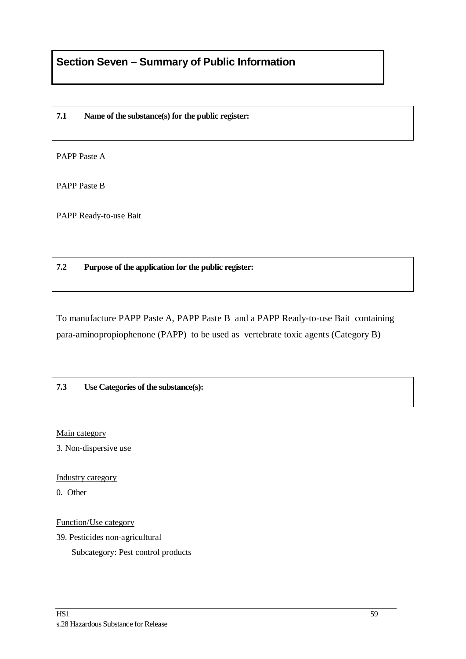#### **7.1 Name of the substance(s) for the public register:**

PAPP Paste A

PAPP Paste B

PAPP Ready-to-use Bait

#### **7.2 Purpose of the application for the public register:**

To manufacture PAPP Paste A, PAPP Paste B and a PAPP Ready-to-use Bait containing para-aminopropiophenone (PAPP) to be used as vertebrate toxic agents (Category B)

#### **7.3 Use Categories of the substance(s):**

Main category

3. Non-dispersive use

Industry category

0. Other

Function/Use category

39. Pesticides non-agricultural

Subcategory: Pest control products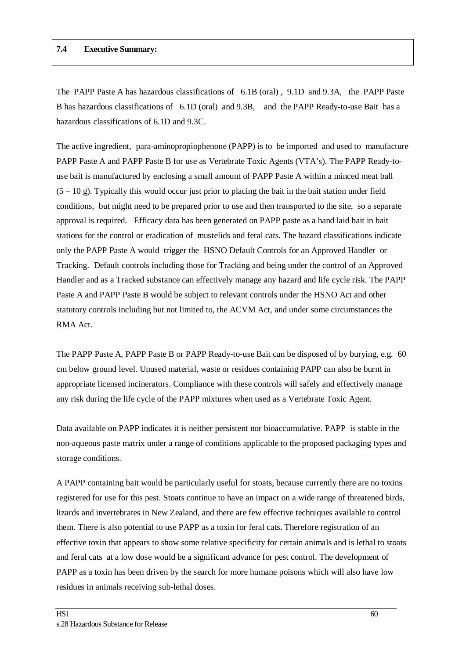#### **7.4 Executive Summary:**

The PAPP Paste A has hazardous classifications of 6.1B (oral) , 9.1D and 9.3A, the PAPP Paste B has hazardous classifications of 6.1D (oral) and 9.3B, and the PAPP Ready-to-use Bait has a hazardous classifications of 6.1D and 9.3C.

The active ingredient, para-aminopropiophenone (PAPP) is to be imported and used to manufacture PAPP Paste A and PAPP Paste B for use as Vertebrate Toxic Agents (VTA's). The PAPP Ready-touse bait is manufactured by enclosing a small amount of PAPP Paste A within a minced meat ball  $(5 - 10 \text{ g})$ . Typically this would occur just prior to placing the bait in the bait station under field conditions, but might need to be prepared prior to use and then transported to the site, so a separate approval is required. Efficacy data has been generated on PAPP paste as a hand laid bait in bait stations for the control or eradication of mustelids and feral cats. The hazard classifications indicate only the PAPP Paste A would trigger the HSNO Default Controls for an Approved Handler or Tracking. Default controls including those for Tracking and being under the control of an Approved Handler and as a Tracked substance can effectively manage any hazard and life cycle risk. The PAPP Paste A and PAPP Paste B would be subject to relevant controls under the HSNO Act and other statutory controls including but not limited to, the ACVM Act, and under some circumstances the RMA Act.

The PAPP Paste A, PAPP Paste B or PAPP Ready-to-use Bait can be disposed of by burying, e.g. 60 cm below ground level. Unused material, waste or residues containing PAPP can also be burnt in appropriate licensed incinerators. Compliance with these controls will safely and effectively manage any risk during the life cycle of the PAPP mixtures when used as a Vertebrate Toxic Agent.

Data available on PAPP indicates it is neither persistent nor bioaccumulative. PAPP is stable in the non-aqueous paste matrix under a range of conditions applicable to the proposed packaging types and storage conditions.

A PAPP containing bait would be particularly useful for stoats, because currently there are no toxins registered for use for this pest. Stoats continue to have an impact on a wide range of threatened birds, lizards and invertebrates in New Zealand, and there are few effective techniques available to control them. There is also potential to use PAPP as a toxin for feral cats. Therefore registration of an effective toxin that appears to show some relative specificity for certain animals and is lethal to stoats and feral cats at a low dose would be a significant advance for pest control. The development of PAPP as a toxin has been driven by the search for more humane poisons which will also have low residues in animals receiving sub-lethal doses.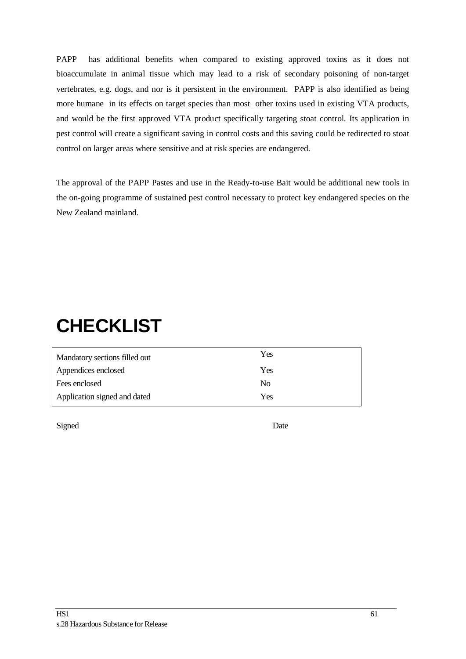PAPP has additional benefits when compared to existing approved toxins as it does not bioaccumulate in animal tissue which may lead to a risk of secondary poisoning of non-target vertebrates, e.g. dogs, and nor is it persistent in the environment. PAPP is also identified as being more humane in its effects on target species than most other toxins used in existing VTA products, and would be the first approved VTA product specifically targeting stoat control. Its application in pest control will create a significant saving in control costs and this saving could be redirected to stoat control on larger areas where sensitive and at risk species are endangered.

The approval of the PAPP Pastes and use in the Ready-to-use Bait would be additional new tools in the on-going programme of sustained pest control necessary to protect key endangered species on the New Zealand mainland.

# **CHECKLIST**

| Mandatory sections filled out | Yes |
|-------------------------------|-----|
| Appendices enclosed           | Yes |
| Fees enclosed                 | No  |
| Application signed and dated  | Yes |

Signed Date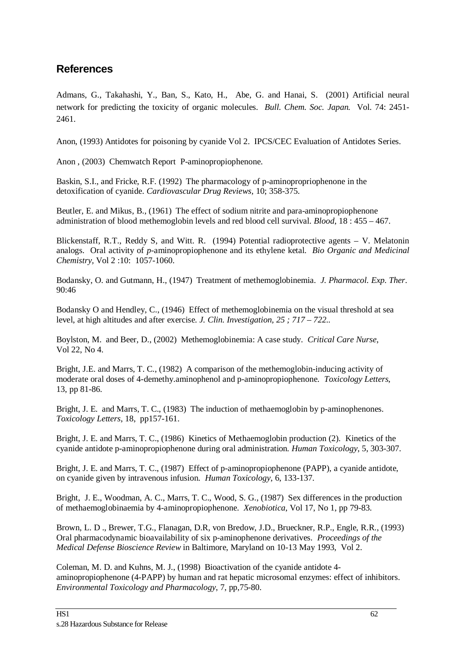### **References**

Admans, G., Takahashi, Y., Ban, S., Kato, H., Abe, G. and Hanai, S. (2001) Artificial neural network for predicting the toxicity of organic molecules. *Bull. Chem. Soc. Japan.* Vol. 74: 2451- 2461.

Anon, (1993) Antidotes for poisoning by cyanide Vol 2. IPCS/CEC Evaluation of Antidotes Series.

Anon , (2003) Chemwatch Report P-aminopropiophenone.

Baskin, S.I., and Fricke, R.F. (1992) The pharmacology of p-aminopropriophenone in the detoxification of cyanide. *Cardiovascular Drug Reviews,* 10; 358-375.

Beutler, E. and Mikus, B., (1961) The effect of sodium nitrite and para-aminopropiophenone administration of blood methemoglobin levels and red blood cell survival. *Blood*, 18 : 455 – 467.

Blickenstaff, R.T., Reddy S, and Witt. R. (1994) Potential radioprotective agents – V. Melatonin analogs. Oral activity of *p*-aminopropiophenone and its ethylene ketal. *Bio Organic and Medicinal Chemistry,* Vol 2 :10: 1057-1060.

Bodansky, O. and Gutmann, H., (1947) Treatment of methemoglobinemia. *J. Pharmacol. Exp. Ther*. 90:46

Bodansky O and Hendley, C., (1946) Effect of methemoglobinemia on the visual threshold at sea level, at high altitudes and after exercise. *J. Clin. Investigation, 25 ; 717 – 722..* 

Boylston, M. and Beer, D., (2002) Methemoglobinemia: A case study. *Critical Care Nurse*, Vol 22, No 4.

Bright, J.E. and Marrs, T. C., (1982) A comparison of the methemoglobin-inducing activity of moderate oral doses of 4-demethy.aminophenol and p-aminopropiophenone. *Toxicology Letters*, 13, pp 81-86.

Bright, J. E. and Marrs, T. C., (1983) The induction of methaemoglobin by p-aminophenones. *Toxicology Letters*, 18, pp157-161.

Bright, J. E. and Marrs, T. C., (1986) Kinetics of Methaemoglobin production (2). Kinetics of the cyanide antidote p-aminopropiophenone during oral administration. *Human Toxicology*, 5, 303-307.

Bright, J. E. and Marrs, T. C., (1987) Effect of p-aminopropiophenone (PAPP), a cyanide antidote, on cyanide given by intravenous infusion. *Human Toxicology*, 6, 133-137.

Bright, J. E., Woodman, A. C., Marrs, T. C., Wood, S. G., (1987) Sex differences in the production of methaemoglobinaemia by 4-aminopropiophenone. *Xenobiotica*, Vol 17, No 1, pp 79-83.

Brown, L. D ., Brewer, T.G., Flanagan, D.R, von Bredow, J.D., Brueckner, R.P., Engle, R.R., (1993) Oral pharmacodynamic bioavailability of six p-aminophenone derivatives. *Proceedings of the Medical Defense Bioscience Review* in Baltimore, Maryland on 10-13 May 1993, Vol 2.

Coleman, M. D. and Kuhns, M. J., (1998) Bioactivation of the cyanide antidote 4 aminopropiophenone (4-PAPP) by human and rat hepatic microsomal enzymes: effect of inhibitors. *Environmental Toxicology and Pharmacology*, 7, pp,75-80.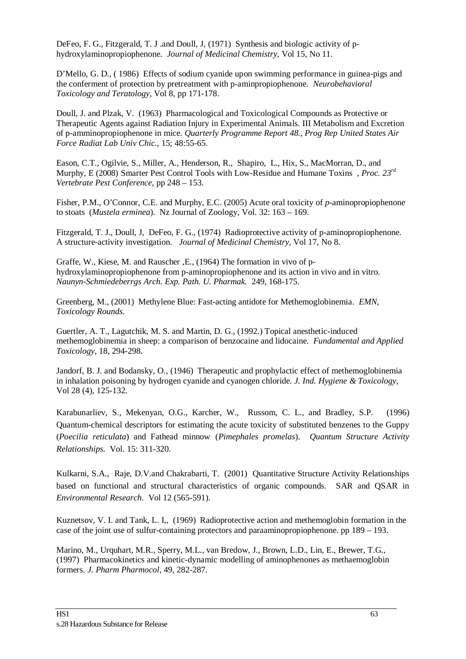DeFeo, F. G., Fitzgerald, T. J .and Doull, J, (1971) Synthesis and biologic activity of phydroxylaminopropiophenone. *Journal of Medicinal Chemistry*, Vol 15, No 11.

D'Mello, G. D., ( 1986) Effects of sodium cyanide upon swimming performance in guinea-pigs and the conferment of protection by pretreatment with p-aminpropiophenone. *Neurobehavioral Toxicology and Teratology*, Vol 8, pp 171-178.

Doull, J. and Plzak, V. (1963) Pharmacological and Toxicological Compounds as Protective or Therapeutic Agents against Radiation Injury in Experimental Animals. III Metabolism and Excretion of p-amminopropiophenone in mice. *Quarterly Programme Report 48., Prog Rep United States Air Force Radiat Lab Univ Chic.,* 15; 48:55-65.

Eason, C.T., Ogilvie, S., Miller, A., Henderson, R., Shapiro, L., Hix, S., MacMorran, D., and Murphy, E (2008) Smarter Pest Control Tools with Low-Residue and Humane Toxins , *Proc. 23rd Vertebrate Pest Conference*, pp 248 – 153.

Fisher, P.M., O'Connor, C.E. and Murphy, E.C. (2005) Acute oral toxicity of *p*-aminopropiophenone to stoats (*Mustela erminea*). Nz Journal of Zoology, Vol. 32: 163 – 169.

Fitzgerald, T. J., Doull, J, DeFeo, F. G., (1974) Radioprotective activity of p-aminopropiophenone. A structure-activity investigation. *Journal of Medicinal Chemistry*, Vol 17, No 8.

Graffe, W., Kiese, M. and Rauscher ,E., (1964) The formation in vivo of phydroxylaminopropiophenone from p-aminopropiophenone and its action in vivo and in vitro. *Naunyn-Schmiedeberrgs Arch. Exp. Path. U. Pharmak.* 249, 168-175.

Greenberg, M., (2001) Methylene Blue: Fast-acting antidote for Methemoglobinemia. *EMN*, *Toxicology Rounds*.

Guertler, A. T., Lagutchik, M. S. and Martin, D. G., (1992.) Topical anesthetic-induced methemoglobinemia in sheep: a comparison of benzocaine and lidocaine. *Fundamental and Applied Toxicology,* 18, 294-298.

Jandorf, B. J. and Bodansky, O., (1946) Therapeutic and prophylactic effect of methemoglobinemia in inhalation poisoning by hydrogen cyanide and cyanogen chloride. *J. Ind. Hygiene & Toxicology*, Vol 28 (4), 125-132.

Karabunarliev, S., Mekenyan, O.G., Karcher, W., Russom, C. L., and Bradley, S.P. (1996) Quantum-chemical descriptors for estimating the acute toxicity of substituted benzenes to the Guppy (*Poecilia reticulata*) and Fathead minnow (*Pimephales promelas*). *Quantum Structure Activity Relationships.* Vol. 15: 311-320.

Kulkarni, S.A., Raje, D.V.and Chakrabarti, T. (2001) Quantitative Structure Activity Relationships based on functional and structural characteristics of organic compounds. SAR and QSAR in *Environmental Research.* Vol 12 (565-591).

Kuznetsov, V. I. and Tank, L. I,, (1969) Radioprotective action and methemoglobin formation in the case of the joint use of sulfur-containing protectors and paraaminopropiophenone. pp 189 – 193.

Marino, M., Urquhart, M.R., Sperry, M.L., van Bredow, J., Brown, L.D., Lin, E., Brewer, T.G., (1997) Pharmacokinetics and kinetic-dynamic modelling of aminophenones as methaemoglobin formers. *J. Pharm Pharmocol*, 49, 282-287.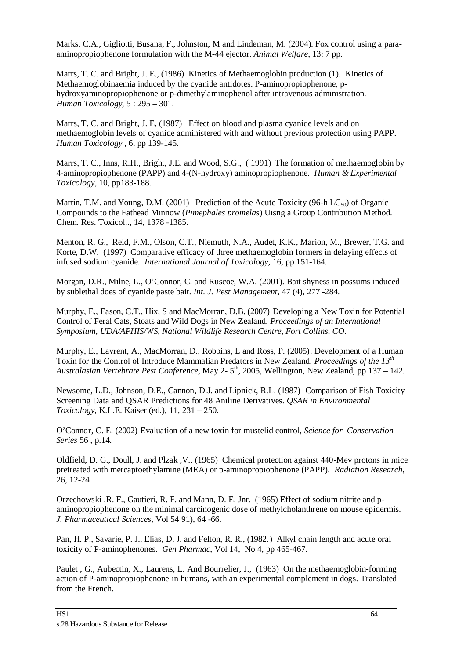Marks, C.A., Gigliotti, Busana, F., Johnston, M and Lindeman, M. (2004). Fox control using a paraaminopropiophenone formulation with the M-44 ejector. *Animal Welfare*, 13: 7 pp.

Marrs, T. C. and Bright, J. E., (1986) Kinetics of Methaemoglobin production (1). Kinetics of Methaemoglobinaemia induced by the cyanide antidotes. P-aminopropiophenone, phydroxyaminopropiophenone or p-dimethylaminophenol after intravenous administration. *Human Toxicology*, 5 : 295 – 301.

Marrs, T. C. and Bright, J. E, (1987) Effect on blood and plasma cyanide levels and on methaemoglobin levels of cyanide administered with and without previous protection using PAPP. *Human Toxicology* , 6, pp 139-145.

Marrs, T. C., Inns, R.H., Bright, J.E. and Wood, S.G., ( 1991) The formation of methaemoglobin by 4-aminopropiophenone (PAPP) and 4-(N-hydroxy) aminopropiophenone. *Human & Experimental Toxicology*, 10, pp183-188.

Martin, T.M. and Young, D.M. (2001) Prediction of the Acute Toxicity (96-h  $LC_{50}$ ) of Organic Compounds to the Fathead Minnow (*Pimephales promelas*) Uisng a Group Contribution Method. Chem. Res. Toxicol.., 14, 1378 -1385.

Menton, R. G., Reid, F.M., Olson, C.T., Niemuth, N.A., Audet, K.K., Marion, M., Brewer, T.G. and Korte, D.W. (1997) Comparative efficacy of three methaemoglobin formers in delaying effects of infused sodium cyanide. *International Journal of Toxicology*, 16, pp 151-164.

Morgan, D.R., Milne, L., O'Connor, C. and Ruscoe, W.A. (2001). Bait shyness in possums induced by sublethal does of cyanide paste bait. *Int. J. Pest Management,* 47 (4), 277 -284.

Murphy, E., Eason, C.T., Hix, S and MacMorran, D.B. (2007) Developing a New Toxin for Potential Control of Feral Cats, Stoats and Wild Dogs in New Zealand. *Proceedings of an International Symposium, UDA/APHIS/WS, National Wildlife Research Centre, Fort Collins, CO*.

Murphy, E., Lavrent, A., MacMorran, D., Robbins, L and Ross, P. (2005). Development of a Human Toxin for the Control of Introduce Mammalian Predators in New Zealand. *Proceedings of the 13th Australasian Vertebrate Pest Conference,* May 2- 5th, 2005, Wellington, New Zealand, pp 137 – 142.

Newsome, L.D., Johnson, D.E., Cannon, D.J. and Lipnick, R.L. (1987) Comparison of Fish Toxicity Screening Data and QSAR Predictions for 48 Aniline Derivatives. *QSAR in Environmental Toxicology*, K.L.E. Kaiser (ed.), 11, 231 – 250.

O'Connor, C. E. (2002) Evaluation of a new toxin for mustelid control, *Science for Conservation Series* 56 , p.14.

Oldfield, D. G., Doull, J. and Plzak ,V., (1965) Chemical protection against 440-Mev protons in mice pretreated with mercaptoethylamine (MEA) or p-aminopropiophenone (PAPP). *Radiation Research*, 26, 12-24

Orzechowski ,R. F., Gautieri, R. F. and Mann, D. E. Jnr. (1965) Effect of sodium nitrite and paminopropiophenone on the minimal carcinogenic dose of methylcholanthrene on mouse epidermis. *J. Pharmaceutical Sciences,* Vol 54 91), 64 -66.

Pan, H. P., Savarie, P. J., Elias, D. J. and Felton, R. R., (1982.) Alkyl chain length and acute oral toxicity of P-aminophenones. *Gen Pharmac*, Vol 14, No 4, pp 465-467.

Paulet , G., Aubectin, X., Laurens, L. And Bourrelier, J., (1963) On the methaemoglobin-forming action of P-aminopropiophenone in humans, with an experimental complement in dogs. Translated from the French.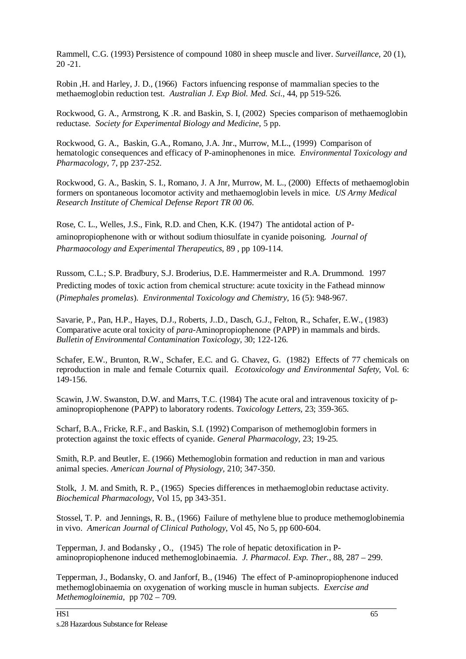Rammell, C.G. (1993) Persistence of compound 1080 in sheep muscle and liver. *Surveillance*, 20 (1), 20 -21.

Robin ,H. and Harley, J. D., (1966) Factors infuencing response of mammalian species to the methaemoglobin reduction test. *Australian J. Exp Biol. Med. Sci*., 44, pp 519-526.

Rockwood, G. A., Armstrong, K .R. and Baskin, S. I, (2002) Species comparison of methaemoglobin reductase. *Society for Experimental Biology and Medicine*, 5 pp.

Rockwood, G. A., Baskin, G.A., Romano, J.A. Jnr., Murrow, M.L., (1999) Comparison of hematologic consequences and efficacy of P-aminophenones in mice. *Environmental Toxicology and Pharmacology*, 7, pp 237-252.

Rockwood, G. A., Baskin, S. I., Romano, J. A Jnr, Murrow, M. L., (2000) Effects of methaemoglobin formers on spontaneous locomotor activity and methaemoglobin levels in mice. *US Army Medical Research Institute of Chemical Defense Report TR 00 06*.

Rose, C. L., Welles, J.S., Fink, R.D. and Chen, K.K. (1947) The antidotal action of Paminopropiophenone with or without sodium thiosulfate in cyanide poisoning. *Journal of Pharmaocology and Experimental Therapeutics*, 89 , pp 109-114.

Russom, C.L.; S.P. Bradbury, S.J. Broderius, D.E. Hammermeister and R.A. Drummond. 1997 Predicting modes of toxic action from chemical structure: acute toxicity in the Fathead minnow (*Pimephales promelas*). *Environmental Toxicology and Chemistry,* 16 (5): 948-967.

Savarie, P., Pan, H.P., Hayes, D.J., Roberts, J..D., Dasch, G.J., Felton, R., Schafer, E.W., (1983) Comparative acute oral toxicity of *para-*Aminopropiophenone (PAPP) in mammals and birds. *Bulletin of Environmental Contamination Toxicology,* 30; 122-126.

Schafer, E.W., Brunton, R.W., Schafer, E.C. and G. Chavez, G. (1982) Effects of 77 chemicals on reproduction in male and female Coturnix quail. *Ecotoxicology and Environmental Safety,* Vol. 6: 149-156.

Scawin, J.W. Swanston, D.W. and Marrs, T.C. (1984) The acute oral and intravenous toxicity of paminopropiophenone (PAPP) to laboratory rodents. *Toxicology Letters,* 23; 359-365.

Scharf, B.A., Fricke, R.F., and Baskin, S.I. (1992) Comparison of methemoglobin formers in protection against the toxic effects of cyanide. *General Pharmacology,* 23; 19-25.

Smith, R.P. and Beutler, E. (1966) Methemoglobin formation and reduction in man and various animal species. *American Journal of Physiology,* 210; 347-350.

Stolk, J. M. and Smith, R. P., (1965) Species differences in methaemoglobin reductase activity. *Biochemical Pharmacology*, Vol 15, pp 343-351.

Stossel, T. P. and Jennings, R. B., (1966) Failure of methylene blue to produce methemoglobinemia in vivo. *American Journal of Clinical Pathology*, Vol 45, No 5, pp 600-604.

Tepperman, J. and Bodansky , O., (1945) The role of hepatic detoxification in Paminopropiophenone induced methemoglobinaemia. *J. Pharmacol. Exp. Ther.*, 88, 287 – 299.

Tepperman, J., Bodansky, O. and Janforf, B., (1946) The effect of P-aminopropiophenone induced methemoglobinaemia on oxygenation of working muscle in human subjects. *Exercise and Methemogloinemia,* pp 702 – 709.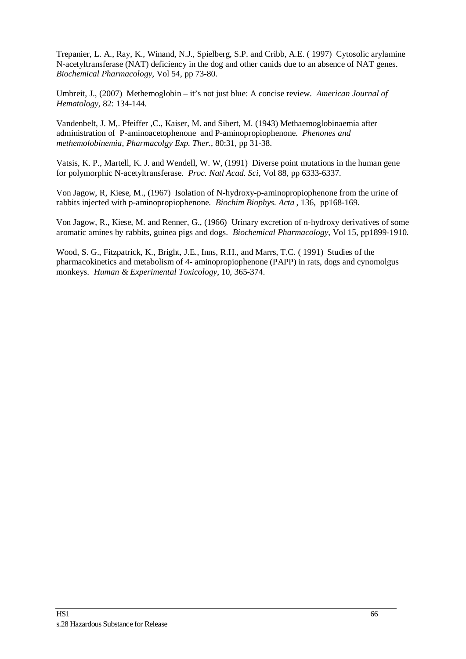Trepanier, L. A., Ray, K., Winand, N.J., Spielberg, S.P. and Cribb, A.E. ( 1997) Cytosolic arylamine N-acetyltransferase (NAT) deficiency in the dog and other canids due to an absence of NAT genes. *Biochemical Pharmacology*, Vol 54, pp 73-80.

Umbreit, J., (2007) Methemoglobin – it's not just blue: A concise review. *American Journal of Hematology,* 82: 134-144.

Vandenbelt, J. M,. Pfeiffer ,C., Kaiser, M. and Sibert, M. (1943) Methaemoglobinaemia after administration of P-aminoacetophenone and P-aminopropiophenone. *Phenones and methemolobinemia*, *Pharmacolgy Exp. Ther.*, 80:31, pp 31-38.

Vatsis, K. P., Martell, K. J. and Wendell, W. W, (1991) Diverse point mutations in the human gene for polymorphic N-acetyltransferase. *Proc. Natl Acad. Sci*, Vol 88, pp 6333-6337.

Von Jagow, R, Kiese, M., (1967) Isolation of N-hydroxy-p-aminopropiophenone from the urine of rabbits injected with p-aminopropiophenone. *Biochim Biophys. Acta* , 136, pp168-169.

Von Jagow, R., Kiese, M. and Renner, G., (1966) Urinary excretion of n-hydroxy derivatives of some aromatic amines by rabbits, guinea pigs and dogs. *Biochemical Pharmacology*, Vol 15, pp1899-1910.

Wood, S. G., Fitzpatrick, K., Bright, J.E., Inns, R.H., and Marrs, T.C. ( 1991) Studies of the pharmacokinetics and metabolism of 4- aminopropiophenone (PAPP) in rats, dogs and cynomolgus monkeys. *Human & Experimental Toxicology*, 10, 365-374.